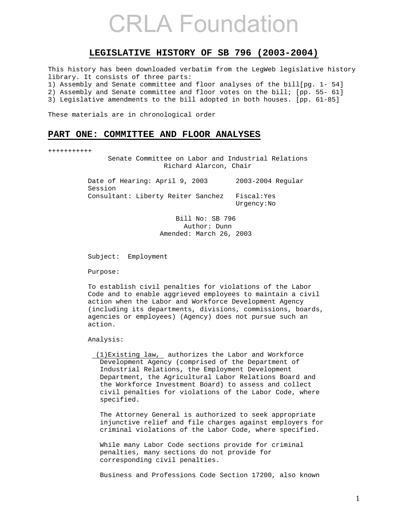### **LEGISLATIVE HISTORY OF SB 796 (2003-2004)**

This history has been downloaded verbatim from the LegWeb legislative history library. It consists of three parts: 1) Assembly and Senate committee and floor analyses of the bill[pg. 1- 54] 2) Assembly and Senate committee and floor votes on the bill; [pp. 55- 61] 3) Legislative amendments to the bill adopted in both houses. [pp. 61-85]

These materials are in chronological order

### **PART ONE: COMMITTEE AND FLOOR ANALYSES**

+++++++++++

 Senate Committee on Labor and Industrial Relations Richard Alarcon, Chair

Date of Hearing: April 9, 2003 2003-2004 Regular Session Consultant: Liberty Reiter Sanchez Fiscal:Yes Urgency:No

> Bill No: SB 796 Author: Dunn Amended: March 26, 2003

Subject: Employment

Purpose:

 To establish civil penalties for violations of the Labor Code and to enable aggrieved employees to maintain a civil action when the Labor and Workforce Development Agency (including its departments, divisions, commissions, boards, agencies or employees) (Agency) does not pursue such an action.

Analysis:

 (1)Existing law, authorizes the Labor and Workforce Development Agency (comprised of the Department of Industrial Relations, the Employment Development Department, the Agricultural Labor Relations Board and the Workforce Investment Board) to assess and collect civil penalties for violations of the Labor Code, where specified.

 The Attorney General is authorized to seek appropriate injunctive relief and file charges against employers for criminal violations of the Labor Code, where specified.

 While many Labor Code sections provide for criminal penalties, many sections do not provide for corresponding civil penalties.

Business and Professions Code Section 17200, also known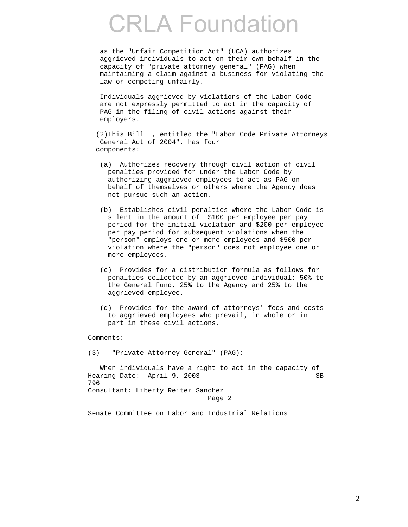as the "Unfair Competition Act" (UCA) authorizes aggrieved individuals to act on their own behalf in the capacity of "private attorney general" (PAG) when maintaining a claim against a business for violating the law or competing unfairly.

 Individuals aggrieved by violations of the Labor Code are not expressly permitted to act in the capacity of PAG in the filing of civil actions against their employers.

 (2)This Bill , entitled the "Labor Code Private Attorneys General Act of 2004", has four components:

- (a) Authorizes recovery through civil action of civil penalties provided for under the Labor Code by authorizing aggrieved employees to act as PAG on behalf of themselves or others where the Agency does not pursue such an action.
- (b) Establishes civil penalties where the Labor Code is silent in the amount of \$100 per employee per pay period for the initial violation and \$200 per employee per pay period for subsequent violations when the "person" employs one or more employees and \$500 per violation where the "person" does not employee one or more employees.
- (c) Provides for a distribution formula as follows for penalties collected by an aggrieved individual: 50% to the General Fund, 25% to the Agency and 25% to the aggrieved employee.
- (d) Provides for the award of attorneys' fees and costs to aggrieved employees who prevail, in whole or in part in these civil actions.

Comments:

(3) "Private Attorney General" (PAG):

 When individuals have a right to act in the capacity of Hearing Date: April 9, 2003 SB 796 Consultant: Liberty Reiter Sanchez Page 2

Senate Committee on Labor and Industrial Relations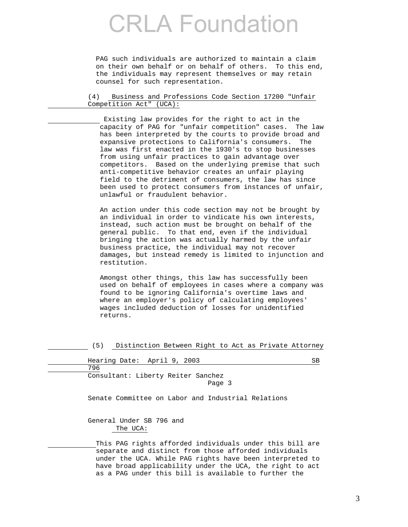PAG such individuals are authorized to maintain a claim on their own behalf or on behalf of others. To this end, the individuals may represent themselves or may retain counsel for such representation.

 (4) Business and Professions Code Section 17200 "Unfair Competition Act" (UCA):

 Existing law provides for the right to act in the capacity of PAG for "unfair competition" cases. The law has been interpreted by the courts to provide broad and expansive protections to California's consumers. The law was first enacted in the 1930's to stop businesses from using unfair practices to gain advantage over competitors. Based on the underlying premise that such anti-competitive behavior creates an unfair playing field to the detriment of consumers, the law has since been used to protect consumers from instances of unfair, unlawful or fraudulent behavior.

 An action under this code section may not be brought by an individual in order to vindicate his own interests, instead, such action must be brought on behalf of the general public. To that end, even if the individual bringing the action was actually harmed by the unfair business practice, the individual may not recover damages, but instead remedy is limited to injunction and restitution.

 Amongst other things, this law has successfully been used on behalf of employees in cases where a company was found to be ignoring California's overtime laws and where an employer's policy of calculating employees' wages included deduction of losses for unidentified returns.

(5) Distinction Between Right to Act as Private Attorney

| Hearing Date: April 9, 2003                        | SB |
|----------------------------------------------------|----|
| 796                                                |    |
| Consultant: Liberty Reiter Sanchez<br>Page 3       |    |
| Senate Committee on Labor and Industrial Relations |    |

 General Under SB 796 and The UCA:

 This PAG rights afforded individuals under this bill are separate and distinct from those afforded individuals under the UCA. While PAG rights have been interpreted to have broad applicability under the UCA, the right to act as a PAG under this bill is available to further the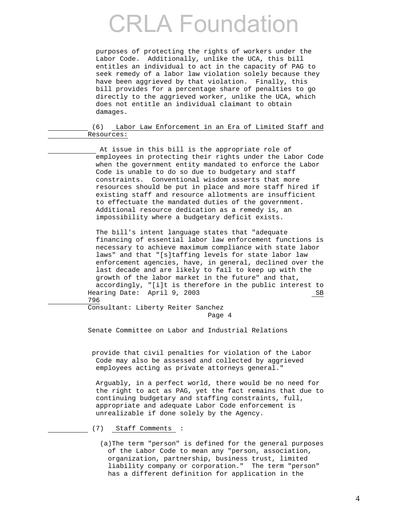purposes of protecting the rights of workers under the Labor Code. Additionally, unlike the UCA, this bill entitles an individual to act in the capacity of PAG to seek remedy of a labor law violation solely because they have been aggrieved by that violation. Finally, this bill provides for a percentage share of penalties to go directly to the aggrieved worker, unlike the UCA, which does not entitle an individual claimant to obtain damages.

 (6) Labor Law Enforcement in an Era of Limited Staff and Resources:

 At issue in this bill is the appropriate role of employees in protecting their rights under the Labor Code when the government entity mandated to enforce the Labor Code is unable to do so due to budgetary and staff constraints. Conventional wisdom asserts that more resources should be put in place and more staff hired if existing staff and resource allotments are insufficient to effectuate the mandated duties of the government. Additional resource dedication as a remedy is, an impossibility where a budgetary deficit exists.

 The bill's intent language states that "adequate financing of essential labor law enforcement functions is necessary to achieve maximum compliance with state labor laws" and that "[s]taffing levels for state labor law enforcement agencies, have, in general, declined over the last decade and are likely to fail to keep up with the growth of the labor market in the future" and that, accordingly, "[i]t is therefore in the public interest to Hearing Date: April 9, 2003 SB 796

 Consultant: Liberty Reiter Sanchez Page 4

Senate Committee on Labor and Industrial Relations

 provide that civil penalties for violation of the Labor Code may also be assessed and collected by aggrieved employees acting as private attorneys general."

 Arguably, in a perfect world, there would be no need for the right to act as PAG, yet the fact remains that due to continuing budgetary and staffing constraints, full, appropriate and adequate Labor Code enforcement is unrealizable if done solely by the Agency.

- (7) Staff Comments :
	- (a)The term "person" is defined for the general purposes of the Labor Code to mean any "person, association, organization, partnership, business trust, limited liability company or corporation." The term "person" has a different definition for application in the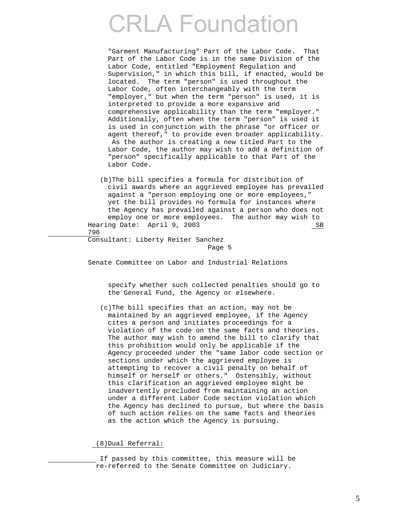"Garment Manufacturing" Part of the Labor Code. That Part of the Labor Code is in the same Division of the Labor Code, entitled "Employment Regulation and Supervision," in which this bill, if enacted, would be located. The term "person" is used throughout the Labor Code, often interchangeably with the term "employer," but when the term "person" is used, it is interpreted to provide a more expansive and comprehensive applicability than the term "employer." Additionally, often when the term "person" is used it is used in conjunction with the phrase "or officer or agent thereof," to provide even broader applicability. As the author is creating a new titled Part to the Labor Code, the author may wish to add a definition of "person" specifically applicable to that Part of the Labor Code.

 (b)The bill specifies a formula for distribution of civil awards where an aggrieved employee has prevailed against a "person employing one or more employees," yet the bill provides no formula for instances where the Agency has prevailed against a person who does not employ one or more employees. The author may wish to Hearing Date: April 9, 2003 SB 796

 Consultant: Liberty Reiter Sanchez Page 5

Senate Committee on Labor and Industrial Relations

 specify whether such collected penalties should go to the General Fund, the Agency or elsewhere.

 (c)The bill specifies that an action, may not be maintained by an aggrieved employee, if the Agency cites a person and initiates proceedings for a violation of the code on the same facts and theories. The author may wish to amend the bill to clarify that this prohibition would only be applicable if the Agency proceeded under the "same labor code section or sections under which the aggrieved employee is attempting to recover a civil penalty on behalf of himself or herself or others." Ostensibly, without this clarification an aggrieved employee might be inadvertently precluded from maintaining an action under a different Labor Code section violation which the Agency has declined to pursue, but where the basis of such action relies on the same facts and theories as the action which the Agency is pursuing.

(8)Dual Referral:

 If passed by this committee, this measure will be re-referred to the Senate Committee on Judiciary.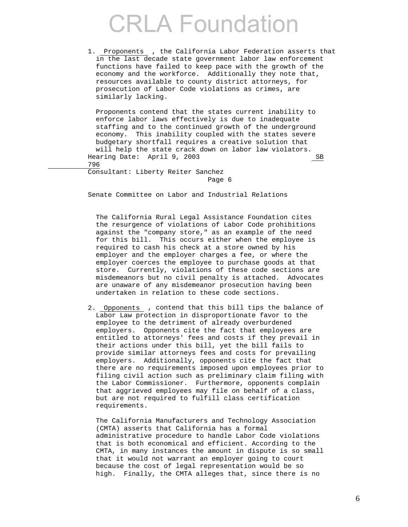1. Proponents , the California Labor Federation asserts that in the last decade state government labor law enforcement functions have failed to keep pace with the growth of the economy and the workforce. Additionally they note that, resources available to county district attorneys, for prosecution of Labor Code violations as crimes, are similarly lacking.

 Proponents contend that the states current inability to enforce labor laws effectively is due to inadequate staffing and to the continued growth of the underground economy. This inability coupled with the states severe budgetary shortfall requires a creative solution that will help the state crack down on labor law violators. Hearing Date: April 9, 2003 SB 796

 Consultant: Liberty Reiter Sanchez Page 6

Senate Committee on Labor and Industrial Relations

 The California Rural Legal Assistance Foundation cites the resurgence of violations of Labor Code prohibitions against the "company store," as an example of the need for this bill. This occurs either when the employee is required to cash his check at a store owned by his employer and the employer charges a fee, or where the employer coerces the employee to purchase goods at that store. Currently, violations of these code sections are misdemeanors but no civil penalty is attached. Advocates are unaware of any misdemeanor prosecution having been undertaken in relation to these code sections.

 2. Opponents , contend that this bill tips the balance of Labor Law protection in disproportionate favor to the employee to the detriment of already overburdened employers. Opponents cite the fact that employees are entitled to attorneys' fees and costs if they prevail in their actions under this bill, yet the bill fails to provide similar attorneys fees and costs for prevailing employers. Additionally, opponents cite the fact that there are no requirements imposed upon employees prior to filing civil action such as preliminary claim filing with the Labor Commissioner. Furthermore, opponents complain that aggrieved employees may file on behalf of a class, but are not required to fulfill class certification requirements.

 The California Manufacturers and Technology Association (CMTA) asserts that California has a formal administrative procedure to handle Labor Code violations that is both economical and efficient. According to the CMTA, in many instances the amount in dispute is so small that it would not warrant an employer going to court because the cost of legal representation would be so high. Finally, the CMTA alleges that, since there is no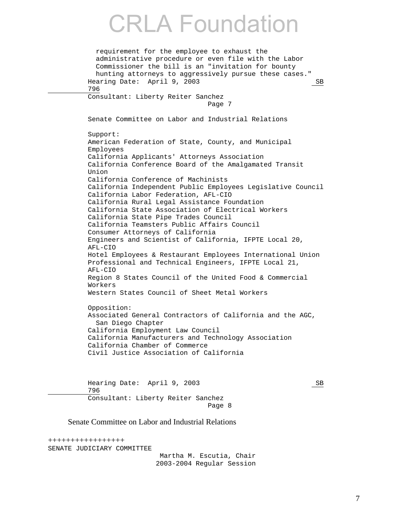```
 requirement for the employee to exhaust the 
   administrative procedure or even file with the Labor 
   Commissioner the bill is an "invitation for bounty 
   hunting attorneys to aggressively pursue these cases." 
Hearing Date: April 9, 2003 SB
 796 
 Consultant: Liberty Reiter Sanchez 
                               Page 7 
 Senate Committee on Labor and Industrial Relations 
 Support: 
 American Federation of State, County, and Municipal 
 Employees 
 California Applicants' Attorneys Association 
 California Conference Board of the Amalgamated Transit 
 Union 
 California Conference of Machinists 
 California Independent Public Employees Legislative Council 
 California Labor Federation, AFL-CIO 
 California Rural Legal Assistance Foundation 
 California State Association of Electrical Workers 
 California State Pipe Trades Council 
 California Teamsters Public Affairs Council 
 Consumer Attorneys of California 
 Engineers and Scientist of California, IFPTE Local 20, 
 AFL-CIO 
 Hotel Employees & Restaurant Employees International Union 
 Professional and Technical Engineers, IFPTE Local 21, 
 AFL-CIO 
 Region 8 States Council of the United Food & Commercial 
 Workers 
 Western States Council of Sheet Metal Workers 
 Opposition: 
 Associated General Contractors of California and the AGC, 
   San Diego Chapter 
 California Employment Law Council 
 California Manufacturers and Technology Association 
 California Chamber of Commerce 
 Civil Justice Association of California 
Hearing Date: April 9, 2003 SB
 796 
 Consultant: Liberty Reiter Sanchez 
                                Page 8
```
### Senate Committee on Labor and Industrial Relations

+++++++++++++++++ SENATE JUDICIARY COMMITTEE Martha M. Escutia, Chair 2003-2004 Regular Session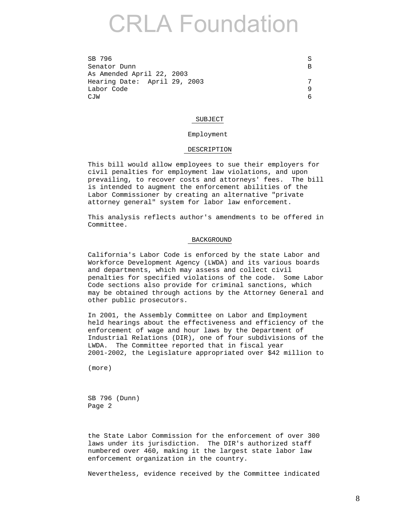| SB 796                       |  |
|------------------------------|--|
| Senator Dunn                 |  |
| As Amended April 22, 2003    |  |
| Hearing Date: April 29, 2003 |  |
| Labor Code                   |  |
| C.TM                         |  |

#### SUBJECT

### Employment

#### DESCRIPTION

 This bill would allow employees to sue their employers for civil penalties for employment law violations, and upon prevailing, to recover costs and attorneys' fees. The bill is intended to augment the enforcement abilities of the Labor Commissioner by creating an alternative "private attorney general" system for labor law enforcement.

 This analysis reflects author's amendments to be offered in Committee.

#### BACKGROUND

 California's Labor Code is enforced by the state Labor and Workforce Development Agency (LWDA) and its various boards and departments, which may assess and collect civil penalties for specified violations of the code. Some Labor Code sections also provide for criminal sanctions, which may be obtained through actions by the Attorney General and other public prosecutors.

 In 2001, the Assembly Committee on Labor and Employment held hearings about the effectiveness and efficiency of the enforcement of wage and hour laws by the Department of Industrial Relations (DIR), one of four subdivisions of the LWDA. The Committee reported that in fiscal year 2001-2002, the Legislature appropriated over \$42 million to

(more)

 SB 796 (Dunn) Page 2

 the State Labor Commission for the enforcement of over 300 laws under its jurisdiction. The DIR's authorized staff numbered over 460, making it the largest state labor law enforcement organization in the country.

Nevertheless, evidence received by the Committee indicated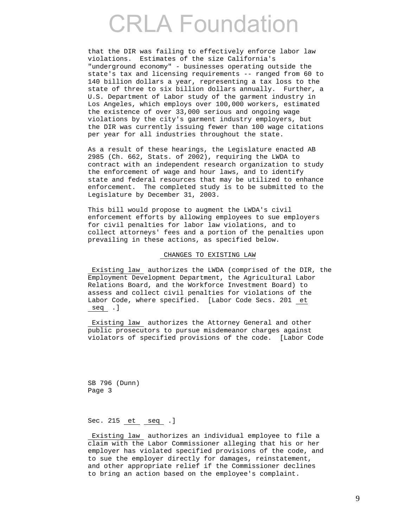that the DIR was failing to effectively enforce labor law violations. Estimates of the size California's "underground economy" - businesses operating outside the state's tax and licensing requirements -- ranged from 60 to 140 billion dollars a year, representing a tax loss to the state of three to six billion dollars annually. Further, a U.S. Department of Labor study of the garment industry in Los Angeles, which employs over 100,000 workers, estimated the existence of over 33,000 serious and ongoing wage violations by the city's garment industry employers, but the DIR was currently issuing fewer than 100 wage citations per year for all industries throughout the state.

 As a result of these hearings, the Legislature enacted AB 2985 (Ch. 662, Stats. of 2002), requiring the LWDA to contract with an independent research organization to study the enforcement of wage and hour laws, and to identify state and federal resources that may be utilized to enhance enforcement. The completed study is to be submitted to the Legislature by December 31, 2003.

 This bill would propose to augment the LWDA's civil enforcement efforts by allowing employees to sue employers for civil penalties for labor law violations, and to collect attorneys' fees and a portion of the penalties upon prevailing in these actions, as specified below.

### CHANGES TO EXISTING LAW

 Existing law authorizes the LWDA (comprised of the DIR, the Employment Development Department, the Agricultural Labor Relations Board, and the Workforce Investment Board) to assess and collect civil penalties for violations of the Labor Code, where specified. [Labor Code Secs. 201 et seq .]

 Existing law authorizes the Attorney General and other public prosecutors to pursue misdemeanor charges against violators of specified provisions of the code. [Labor Code

 SB 796 (Dunn) Page 3

### Sec. 215 et seq .]

 Existing law authorizes an individual employee to file a claim with the Labor Commissioner alleging that his or her employer has violated specified provisions of the code, and to sue the employer directly for damages, reinstatement, and other appropriate relief if the Commissioner declines to bring an action based on the employee's complaint.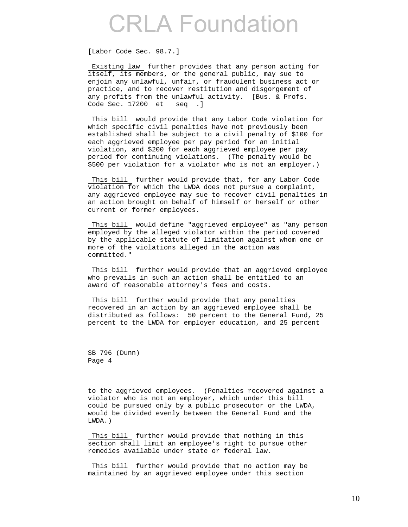[Labor Code Sec. 98.7.]

Existing law further provides that any person acting for itself, its members, or the general public, may sue to enjoin any unlawful, unfair, or fraudulent business act or practice, and to recover restitution and disgorgement of any profits from the unlawful activity. [Bus. & Profs. Code Sec. 17200 et seq .]

 This bill would provide that any Labor Code violation for which specific civil penalties have not previously been established shall be subject to a civil penalty of \$100 for each aggrieved employee per pay period for an initial violation, and \$200 for each aggrieved employee per pay period for continuing violations. (The penalty would be \$500 per violation for a violator who is not an employer.)

 This bill further would provide that, for any Labor Code violation for which the LWDA does not pursue a complaint, any aggrieved employee may sue to recover civil penalties in an action brought on behalf of himself or herself or other current or former employees.

 This bill would define "aggrieved employee" as "any person employed by the alleged violator within the period covered by the applicable statute of limitation against whom one or more of the violations alleged in the action was committed."

 This bill further would provide that an aggrieved employee who prevails in such an action shall be entitled to an award of reasonable attorney's fees and costs.

 This bill further would provide that any penalties recovered in an action by an aggrieved employee shall be distributed as follows: 50 percent to the General Fund, 25 percent to the LWDA for employer education, and 25 percent

 SB 796 (Dunn) Page 4

 to the aggrieved employees. (Penalties recovered against a violator who is not an employer, which under this bill could be pursued only by a public prosecutor or the LWDA, would be divided evenly between the General Fund and the LWDA.)

 This bill further would provide that nothing in this section shall limit an employee's right to pursue other remedies available under state or federal law.

 This bill further would provide that no action may be maintained by an aggrieved employee under this section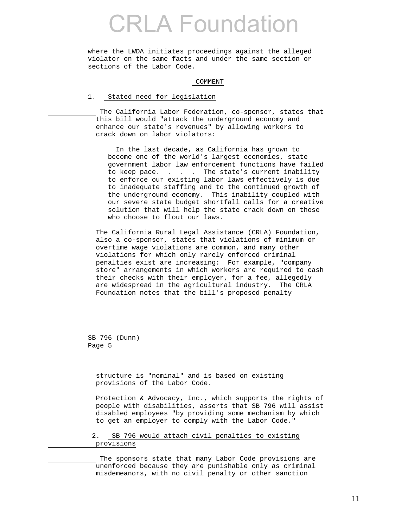where the LWDA initiates proceedings against the alleged violator on the same facts and under the same section or sections of the Labor Code.

#### COMMENT

### 1. Stated need for legislation

 The California Labor Federation, co-sponsor, states that this bill would "attack the underground economy and enhance our state's revenues" by allowing workers to crack down on labor violators:

 In the last decade, as California has grown to become one of the world's largest economies, state government labor law enforcement functions have failed to keep pace. . . . The state's current inability to enforce our existing labor laws effectively is due to inadequate staffing and to the continued growth of the underground economy. This inability coupled with our severe state budget shortfall calls for a creative solution that will help the state crack down on those who choose to flout our laws.

 The California Rural Legal Assistance (CRLA) Foundation, also a co-sponsor, states that violations of minimum or overtime wage violations are common, and many other violations for which only rarely enforced criminal penalties exist are increasing: For example, "company store" arrangements in which workers are required to cash their checks with their employer, for a fee, allegedly are widespread in the agricultural industry. The CRLA Foundation notes that the bill's proposed penalty

 SB 796 (Dunn) Page 5

> structure is "nominal" and is based on existing provisions of the Labor Code.

 Protection & Advocacy, Inc., which supports the rights of people with disabilities, asserts that SB 796 will assist disabled employees "by providing some mechanism by which to get an employer to comply with the Labor Code."

 2. SB 796 would attach civil penalties to existing provisions

 The sponsors state that many Labor Code provisions are unenforced because they are punishable only as criminal misdemeanors, with no civil penalty or other sanction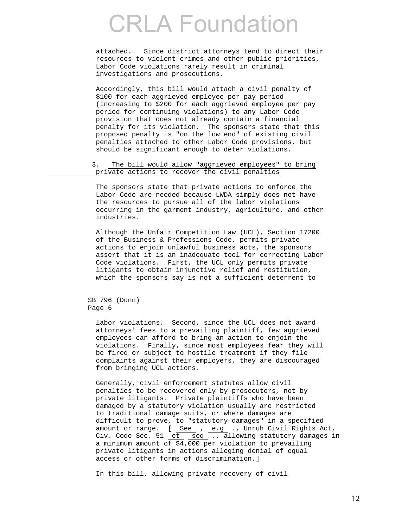attached. Since district attorneys tend to direct their resources to violent crimes and other public priorities, Labor Code violations rarely result in criminal investigations and prosecutions.

 Accordingly, this bill would attach a civil penalty of \$100 for each aggrieved employee per pay period (increasing to \$200 for each aggrieved employee per pay period for continuing violations) to any Labor Code provision that does not already contain a financial penalty for its violation. The sponsors state that this proposed penalty is "on the low end" of existing civil penalties attached to other Labor Code provisions, but should be significant enough to deter violations.

### 3. The bill would allow "aggrieved employees" to bring private actions to recover the civil penalties

 The sponsors state that private actions to enforce the Labor Code are needed because LWDA simply does not have the resources to pursue all of the labor violations occurring in the garment industry, agriculture, and other industries.

 Although the Unfair Competition Law (UCL), Section 17200 of the Business & Professions Code, permits private actions to enjoin unlawful business acts, the sponsors assert that it is an inadequate tool for correcting Labor Code violations. First, the UCL only permits private litigants to obtain injunctive relief and restitution, which the sponsors say is not a sufficient deterrent to

 SB 796 (Dunn) Page 6

> labor violations. Second, since the UCL does not award attorneys' fees to a prevailing plaintiff, few aggrieved employees can afford to bring an action to enjoin the violations. Finally, since most employees fear they will be fired or subject to hostile treatment if they file complaints against their employers, they are discouraged from bringing UCL actions.

 Generally, civil enforcement statutes allow civil penalties to be recovered only by prosecutors, not by private litigants. Private plaintiffs who have been damaged by a statutory violation usually are restricted to traditional damage suits, or where damages are difficult to prove, to "statutory damages" in a specified amount or range. [ <u>See</u> , e.g ., Unruh Civil Rights Act, Civ. Code Sec. 51 et seq ., allowing statutory damages in a minimum amount of  $\frac{2}{94}$ , 000 per violation to prevailing private litigants in actions alleging denial of equal access or other forms of discrimination.]

In this bill, allowing private recovery of civil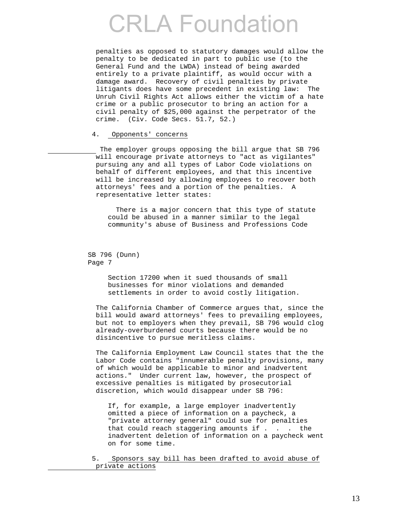penalties as opposed to statutory damages would allow the penalty to be dedicated in part to public use (to the General Fund and the LWDA) instead of being awarded entirely to a private plaintiff, as would occur with a damage award. Recovery of civil penalties by private litigants does have some precedent in existing law: The Unruh Civil Rights Act allows either the victim of a hate crime or a public prosecutor to bring an action for a civil penalty of \$25,000 against the perpetrator of the crime. (Civ. Code Secs. 51.7, 52.)

### 4. Opponents' concerns

 The employer groups opposing the bill argue that SB 796 will encourage private attorneys to "act as vigilantes" pursuing any and all types of Labor Code violations on behalf of different employees, and that this incentive will be increased by allowing employees to recover both attorneys' fees and a portion of the penalties. A representative letter states:

 There is a major concern that this type of statute could be abused in a manner similar to the legal community's abuse of Business and Professions Code

 SB 796 (Dunn) Page 7

> Section 17200 when it sued thousands of small businesses for minor violations and demanded settlements in order to avoid costly litigation.

 The California Chamber of Commerce argues that, since the bill would award attorneys' fees to prevailing employees, but not to employers when they prevail, SB 796 would clog already-overburdened courts because there would be no disincentive to pursue meritless claims.

 The California Employment Law Council states that the the Labor Code contains "innumerable penalty provisions, many of which would be applicable to minor and inadvertent actions." Under current law, however, the prospect of excessive penalties is mitigated by prosecutorial discretion, which would disappear under SB 796:

 If, for example, a large employer inadvertently omitted a piece of information on a paycheck, a "private attorney general" could sue for penalties that could reach staggering amounts if . . . the inadvertent deletion of information on a paycheck went on for some time.

 5. Sponsors say bill has been drafted to avoid abuse of private actions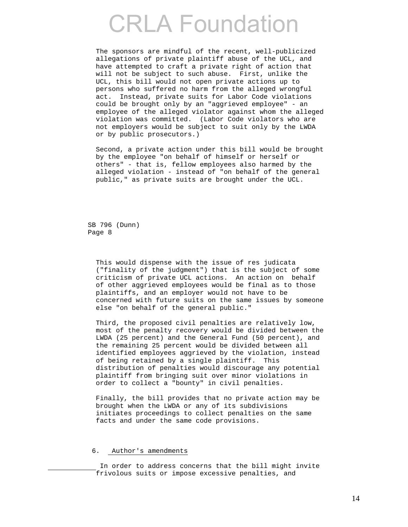The sponsors are mindful of the recent, well-publicized allegations of private plaintiff abuse of the UCL, and have attempted to craft a private right of action that will not be subject to such abuse. First, unlike the UCL, this bill would not open private actions up to persons who suffered no harm from the alleged wrongful act. Instead, private suits for Labor Code violations could be brought only by an "aggrieved employee" - an employee of the alleged violator against whom the alleged violation was committed. (Labor Code violators who are not employers would be subject to suit only by the LWDA or by public prosecutors.)

 Second, a private action under this bill would be brought by the employee "on behalf of himself or herself or others" - that is, fellow employees also harmed by the alleged violation - instead of "on behalf of the general public," as private suits are brought under the UCL.

 SB 796 (Dunn) Page 8

> This would dispense with the issue of res judicata ("finality of the judgment") that is the subject of some criticism of private UCL actions. An action on behalf of other aggrieved employees would be final as to those plaintiffs, and an employer would not have to be concerned with future suits on the same issues by someone else "on behalf of the general public."

> Third, the proposed civil penalties are relatively low, most of the penalty recovery would be divided between the LWDA (25 percent) and the General Fund (50 percent), and the remaining 25 percent would be divided between all identified employees aggrieved by the violation, instead of being retained by a single plaintiff. This distribution of penalties would discourage any potential plaintiff from bringing suit over minor violations in order to collect a "bounty" in civil penalties.

 Finally, the bill provides that no private action may be brought when the LWDA or any of its subdivisions initiates proceedings to collect penalties on the same facts and under the same code provisions.

#### 6. Author's amendments

 In order to address concerns that the bill might invite frivolous suits or impose excessive penalties, and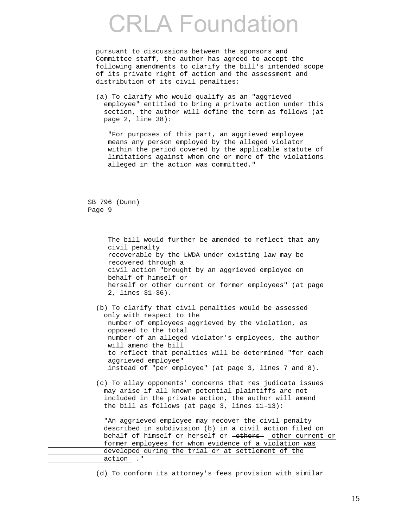pursuant to discussions between the sponsors and Committee staff, the author has agreed to accept the following amendments to clarify the bill's intended scope of its private right of action and the assessment and distribution of its civil penalties:

 (a) To clarify who would qualify as an "aggrieved employee" entitled to bring a private action under this section, the author will define the term as follows (at page 2, line 38):

 "For purposes of this part, an aggrieved employee means any person employed by the alleged violator within the period covered by the applicable statute of limitations against whom one or more of the violations alleged in the action was committed."

 SB 796 (Dunn) Page 9

> The bill would further be amended to reflect that any civil penalty recoverable by the LWDA under existing law may be recovered through a civil action "brought by an aggrieved employee on behalf of himself or herself or other current or former employees" (at page 2, lines 31-36).

 (b) To clarify that civil penalties would be assessed only with respect to the number of employees aggrieved by the violation, as opposed to the total number of an alleged violator's employees, the author will amend the bill to reflect that penalties will be determined "for each aggrieved employee" instead of "per employee" (at page 3, lines 7 and 8).

 (c) To allay opponents' concerns that res judicata issues may arise if all known potential plaintiffs are not included in the private action, the author will amend the bill as follows (at page 3, lines 11-13):

 "An aggrieved employee may recover the civil penalty described in subdivision (b) in a civil action filed on behalf of himself or herself or -others- other current or former employees for whom evidence of a violation was developed during the trial or at settlement of the action ."

(d) To conform its attorney's fees provision with similar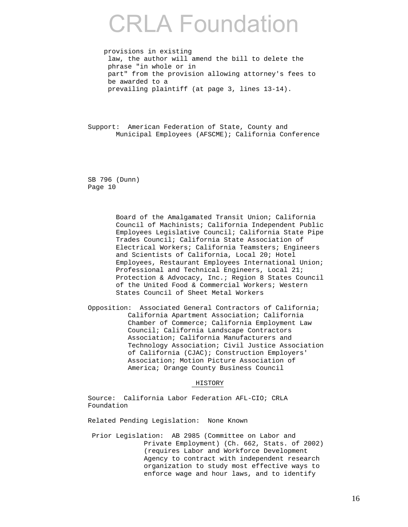provisions in existing law, the author will amend the bill to delete the phrase "in whole or in part" from the provision allowing attorney's fees to be awarded to a prevailing plaintiff (at page 3, lines 13-14).

 Support: American Federation of State, County and Municipal Employees (AFSCME); California Conference

 SB 796 (Dunn) Page 10

> Board of the Amalgamated Transit Union; California Council of Machinists; California Independent Public Employees Legislative Council; California State Pipe Trades Council; California State Association of Electrical Workers; California Teamsters; Engineers and Scientists of California, Local 20; Hotel Employees, Restaurant Employees International Union; Professional and Technical Engineers, Local 21; Protection & Advocacy, Inc.; Region 8 States Council of the United Food & Commercial Workers; Western States Council of Sheet Metal Workers

 Opposition: Associated General Contractors of California; California Apartment Association; California Chamber of Commerce; California Employment Law Council; California Landscape Contractors Association; California Manufacturers and Technology Association; Civil Justice Association of California (CJAC); Construction Employers' Association; Motion Picture Association of America; Orange County Business Council

### HISTORY

 Source: California Labor Federation AFL-CIO; CRLA Foundation

Related Pending Legislation: None Known

 Prior Legislation: AB 2985 (Committee on Labor and Private Employment) (Ch. 662, Stats. of 2002) (requires Labor and Workforce Development Agency to contract with independent research organization to study most effective ways to enforce wage and hour laws, and to identify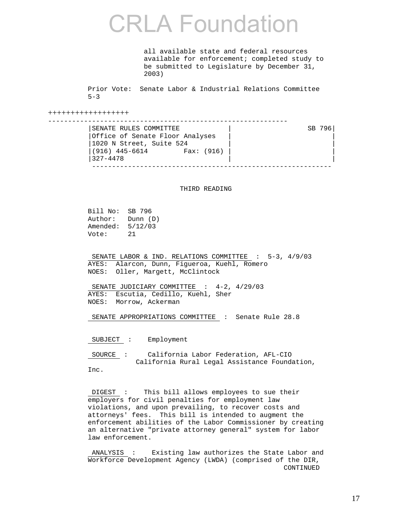all available state and federal resources available for enforcement; completed study to be submitted to Legislature by December 31, 2003)

 Prior Vote: Senate Labor & Industrial Relations Committee  $5 - 3$ 

++++++++++++++++++

| SENATE RULES COMMITTEE                   | SB 796 |
|------------------------------------------|--------|
| Office of Senate Floor Analyses          |        |
| 1020 N Street, Suite 524                 |        |
| 916) 445-6614 <sup> </sup><br>Fax: (916) |        |
| 327-4478                                 |        |
|                                          |        |

#### THIRD READING

 Bill No: SB 796 Author: Dunn (D) Amended: 5/12/03 Vote: 21

SENATE LABOR & IND. RELATIONS COMMITTEE : 5-3, 4/9/03 AYES: Alarcon, Dunn, Figueroa, Kuehl, Romero NOES: Oller, Margett, McClintock

SENATE JUDICIARY COMMITTEE : 4-2, 4/29/03 AYES: Escutia, Cedillo, Kuehl, Sher NOES: Morrow, Ackerman

SENATE APPROPRIATIONS COMMITTEE : Senate Rule 28.8

SUBJECT : Employment

 SOURCE : California Labor Federation, AFL-CIO California Rural Legal Assistance Foundation, Inc.

 DIGEST : This bill allows employees to sue their employers for civil penalties for employment law violations, and upon prevailing, to recover costs and attorneys' fees. This bill is intended to augment the enforcement abilities of the Labor Commissioner by creating an alternative "private attorney general" system for labor law enforcement.

 ANALYSIS : Existing law authorizes the State Labor and Workforce Development Agency (LWDA) (comprised of the DIR, CONTINUED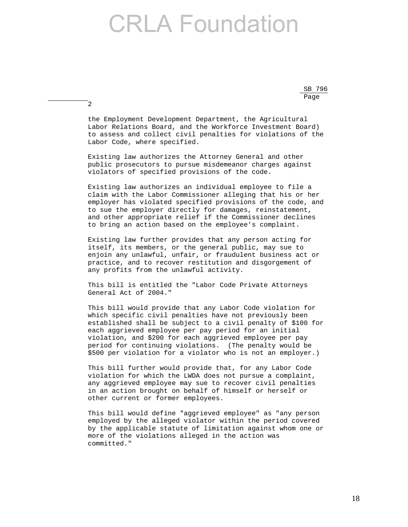SB 796 <u>Page and the set of the set of the set of the set of the set of the set of the set of the set of the set of the set of the set of the set of the set of the set of the set of the set of the set of the set of the set of the</u>

> the Employment Development Department, the Agricultural Labor Relations Board, and the Workforce Investment Board) to assess and collect civil penalties for violations of the Labor Code, where specified.

2

 Existing law authorizes the Attorney General and other public prosecutors to pursue misdemeanor charges against violators of specified provisions of the code.

 Existing law authorizes an individual employee to file a claim with the Labor Commissioner alleging that his or her employer has violated specified provisions of the code, and to sue the employer directly for damages, reinstatement, and other appropriate relief if the Commissioner declines to bring an action based on the employee's complaint.

 Existing law further provides that any person acting for itself, its members, or the general public, may sue to enjoin any unlawful, unfair, or fraudulent business act or practice, and to recover restitution and disgorgement of any profits from the unlawful activity.

 This bill is entitled the "Labor Code Private Attorneys General Act of 2004."

 This bill would provide that any Labor Code violation for which specific civil penalties have not previously been established shall be subject to a civil penalty of \$100 for each aggrieved employee per pay period for an initial violation, and \$200 for each aggrieved employee per pay period for continuing violations. (The penalty would be \$500 per violation for a violator who is not an employer.)

 This bill further would provide that, for any Labor Code violation for which the LWDA does not pursue a complaint, any aggrieved employee may sue to recover civil penalties in an action brought on behalf of himself or herself or other current or former employees.

 This bill would define "aggrieved employee" as "any person employed by the alleged violator within the period covered by the applicable statute of limitation against whom one or more of the violations alleged in the action was committed."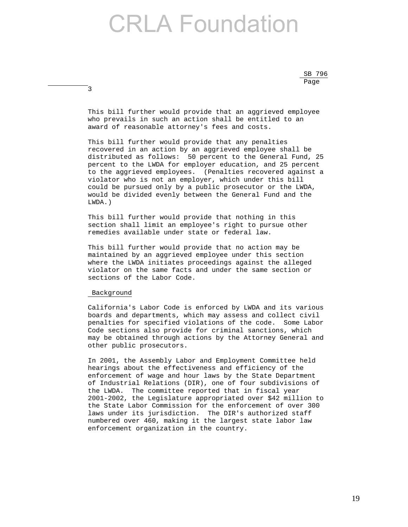$SB$  796 <u>Page and the set of the set of the set of the set of the set of the set of the set of the set of the set of the set of the set of the set of the set of the set of the set of the set of the set of the set of the set of the</u>

> This bill further would provide that an aggrieved employee who prevails in such an action shall be entitled to an award of reasonable attorney's fees and costs.

 This bill further would provide that any penalties recovered in an action by an aggrieved employee shall be distributed as follows: 50 percent to the General Fund, 25 percent to the LWDA for employer education, and 25 percent to the aggrieved employees. (Penalties recovered against a violator who is not an employer, which under this bill could be pursued only by a public prosecutor or the LWDA, would be divided evenly between the General Fund and the LWDA.)

 This bill further would provide that nothing in this section shall limit an employee's right to pursue other remedies available under state or federal law.

 This bill further would provide that no action may be maintained by an aggrieved employee under this section where the LWDA initiates proceedings against the alleged violator on the same facts and under the same section or sections of the Labor Code.

#### Background

3

 California's Labor Code is enforced by LWDA and its various boards and departments, which may assess and collect civil penalties for specified violations of the code. Some Labor Code sections also provide for criminal sanctions, which may be obtained through actions by the Attorney General and other public prosecutors.

 In 2001, the Assembly Labor and Employment Committee held hearings about the effectiveness and efficiency of the enforcement of wage and hour laws by the State Department of Industrial Relations (DIR), one of four subdivisions of the LWDA. The committee reported that in fiscal year 2001-2002, the Legislature appropriated over \$42 million to the State Labor Commission for the enforcement of over 300 laws under its jurisdiction. The DIR's authorized staff numbered over 460, making it the largest state labor law enforcement organization in the country.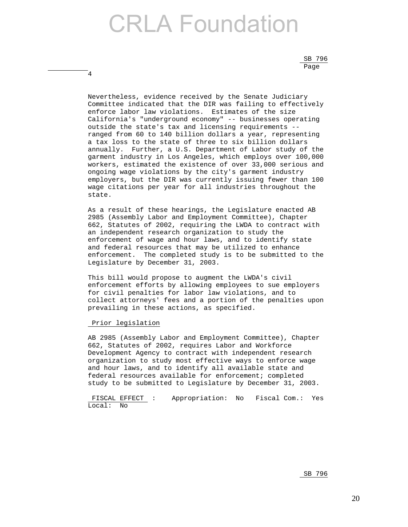$SB$  796 <u>Page and the set of the set of the set of the set of the set of the set of the set of the set of the set of the set of the set of the set of the set of the set of the set of the set of the set of the set of the set of the</u>

> Nevertheless, evidence received by the Senate Judiciary Committee indicated that the DIR was failing to effectively enforce labor law violations. Estimates of the size California's "underground economy" -- businesses operating outside the state's tax and licensing requirements - ranged from 60 to 140 billion dollars a year, representing a tax loss to the state of three to six billion dollars annually. Further, a U.S. Department of Labor study of the garment industry in Los Angeles, which employs over 100,000 workers, estimated the existence of over 33,000 serious and ongoing wage violations by the city's garment industry employers, but the DIR was currently issuing fewer than 100 wage citations per year for all industries throughout the state.

> As a result of these hearings, the Legislature enacted AB 2985 (Assembly Labor and Employment Committee), Chapter 662, Statutes of 2002, requiring the LWDA to contract with an independent research organization to study the enforcement of wage and hour laws, and to identify state and federal resources that may be utilized to enhance enforcement. The completed study is to be submitted to the Legislature by December 31, 2003.

> This bill would propose to augment the LWDA's civil enforcement efforts by allowing employees to sue employers for civil penalties for labor law violations, and to collect attorneys' fees and a portion of the penalties upon prevailing in these actions, as specified.

### Prior legislation

4

 AB 2985 (Assembly Labor and Employment Committee), Chapter 662, Statutes of 2002, requires Labor and Workforce Development Agency to contract with independent research organization to study most effective ways to enforce wage and hour laws, and to identify all available state and federal resources available for enforcement; completed study to be submitted to Legislature by December 31, 2003.

 FISCAL EFFECT : Appropriation: No Fiscal Com.: Yes Local: No

 $SB$  796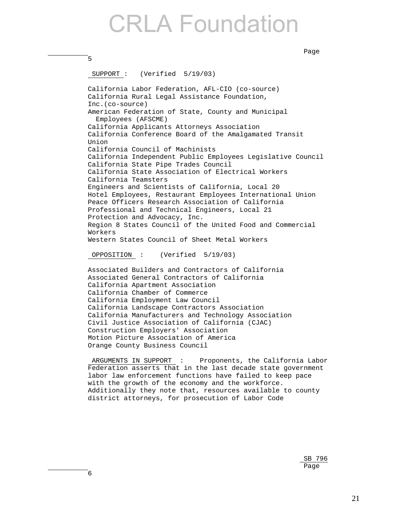nd a bhainn ann an t-ainm an t-ainm an t-ainm an t-ainm an t-ainm an t-ainm an t-ainm an t-ainm an t-ainm an t-

```
 5 
           SUPPORT : (Verified 5/19/03) 
           California Labor Federation, AFL-CIO (co-source) 
           California Rural Legal Assistance Foundation, 
           Inc.(co-source) 
           American Federation of State, County and Municipal 
             Employees (AFSCME) 
           California Applicants Attorneys Association 
           California Conference Board of the Amalgamated Transit 
           Union 
           California Council of Machinists 
           California Independent Public Employees Legislative Council 
           California State Pipe Trades Council 
           California State Association of Electrical Workers 
           California Teamsters 
           Engineers and Scientists of California, Local 20 
           Hotel Employees, Restaurant Employees International Union 
           Peace Officers Research Association of California 
           Professional and Technical Engineers, Local 21 
           Protection and Advocacy, Inc. 
           Region 8 States Council of the United Food and Commercial 
           Workers 
           Western States Council of Sheet Metal Workers 
           OPPOSITION : (Verified 5/19/03) 
           Associated Builders and Contractors of California 
           Associated General Contractors of California 
           California Apartment Association 
           California Chamber of Commerce 
           California Employment Law Council 
           California Landscape Contractors Association 
           California Manufacturers and Technology Association 
           Civil Justice Association of California (CJAC) 
           Construction Employers' Association 
           Motion Picture Association of America 
           Orange County Business Council 
           ARGUMENTS IN SUPPORT : Proponents, the California Labor 
           Federation asserts that in the last decade state government 
           labor law enforcement functions have failed to keep pace
```
with the growth of the economy and the workforce.

district attorneys, for prosecution of Labor Code

 $SB$  796 <u>Page and the set of the set of the set of the set of the set of the set of the set of the set of the set of the set of the set of the set of the set of the set of the set of the set of the set of the set of the set of the</u>

Additionally they note that, resources available to county

6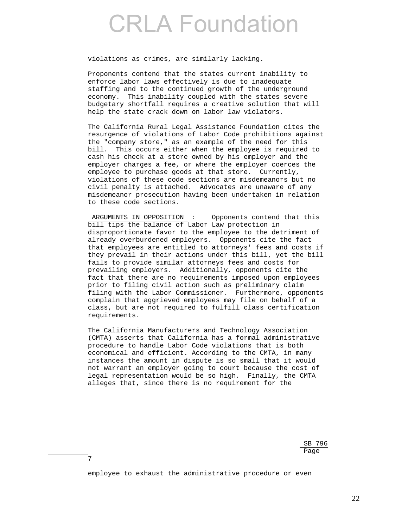violations as crimes, are similarly lacking.

 Proponents contend that the states current inability to enforce labor laws effectively is due to inadequate staffing and to the continued growth of the underground economy. This inability coupled with the states severe budgetary shortfall requires a creative solution that will help the state crack down on labor law violators.

 The California Rural Legal Assistance Foundation cites the resurgence of violations of Labor Code prohibitions against the "company store," as an example of the need for this bill. This occurs either when the employee is required to cash his check at a store owned by his employer and the employer charges a fee, or where the employer coerces the employee to purchase goods at that store. Currently, violations of these code sections are misdemeanors but no civil penalty is attached. Advocates are unaware of any misdemeanor prosecution having been undertaken in relation to these code sections.

ARGUMENTS IN OPPOSITION : Opponents contend that this bill tips the balance of Labor Law protection in disproportionate favor to the employee to the detriment of already overburdened employers. Opponents cite the fact that employees are entitled to attorneys' fees and costs if they prevail in their actions under this bill, yet the bill fails to provide similar attorneys fees and costs for prevailing employers. Additionally, opponents cite the fact that there are no requirements imposed upon employees prior to filing civil action such as preliminary claim filing with the Labor Commissioner. Furthermore, opponents complain that aggrieved employees may file on behalf of a class, but are not required to fulfill class certification requirements.

 The California Manufacturers and Technology Association (CMTA) asserts that California has a formal administrative procedure to handle Labor Code violations that is both economical and efficient. According to the CMTA, in many instances the amount in dispute is so small that it would not warrant an employer going to court because the cost of legal representation would be so high. Finally, the CMTA alleges that, since there is no requirement for the

 $SB$  796 nd a bhainn ann an t-ainm an t-ainm an t-ainm an t-ainm an t-ainm an t-ainm an t-ainm an t-ainm an t-ainm an t-

employee to exhaust the administrative procedure or even

7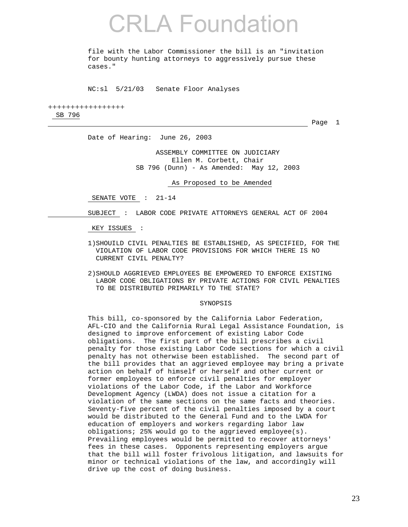file with the Labor Commissioner the bill is an "invitation for bounty hunting attorneys to aggressively pursue these cases."

NC:sl 5/21/03 Senate Floor Analyses

+++++++++++++++++ SB 796

**Page 1** 

Date of Hearing: June 26, 2003

 ASSEMBLY COMMITTEE ON JUDICIARY Ellen M. Corbett, Chair SB 796 (Dunn) - As Amended: May 12, 2003

As Proposed to be Amended

SENATE VOTE : 21-14

SUBJECT : LABOR CODE PRIVATE ATTORNEYS GENERAL ACT OF 2004

KEY ISSUES :

- 1)SHOUILD CIVIL PENALTIES BE ESTABLISHED, AS SPECIFIED, FOR THE VIOLATION OF LABOR CODE PROVISIONS FOR WHICH THERE IS NO CURRENT CIVIL PENALTY?
- 2)SHOULD AGGRIEVED EMPLOYEES BE EMPOWERED TO ENFORCE EXISTING LABOR CODE OBLIGATIONS BY PRIVATE ACTIONS FOR CIVIL PENALTIES TO BE DISTRIBUTED PRIMARILY TO THE STATE?

#### SYNOPSIS

 This bill, co-sponsored by the California Labor Federation, AFL-CIO and the California Rural Legal Assistance Foundation, is designed to improve enforcement of existing Labor Code obligations. The first part of the bill prescribes a civil penalty for those existing Labor Code sections for which a civil penalty has not otherwise been established. The second part of the bill provides that an aggrieved employee may bring a private action on behalf of himself or herself and other current or former employees to enforce civil penalties for employer violations of the Labor Code, if the Labor and Workforce Development Agency (LWDA) does not issue a citation for a violation of the same sections on the same facts and theories. Seventy-five percent of the civil penalties imposed by a court would be distributed to the General Fund and to the LWDA for education of employers and workers regarding labor law obligations; 25% would go to the aggrieved employee(s). Prevailing employees would be permitted to recover attorneys' fees in these cases. Opponents representing employers argue that the bill will foster frivolous litigation, and lawsuits for minor or technical violations of the law, and accordingly will drive up the cost of doing business.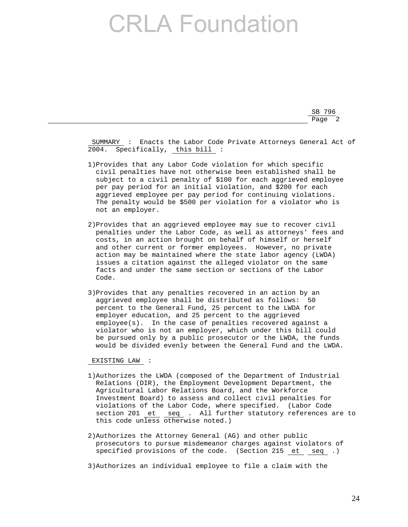SB 796 Page 2

> SUMMARY : Enacts the Labor Code Private Attorneys General Act of 2004. Specifically, this bill :

- 1)Provides that any Labor Code violation for which specific civil penalties have not otherwise been established shall be subject to a civil penalty of \$100 for each aggrieved employee per pay period for an initial violation, and \$200 for each aggrieved employee per pay period for continuing violations. The penalty would be \$500 per violation for a violator who is not an employer.
- 2)Provides that an aggrieved employee may sue to recover civil penalties under the Labor Code, as well as attorneys' fees and costs, in an action brought on behalf of himself or herself and other current or former employees. However, no private action may be maintained where the state labor agency (LWDA) issues a citation against the alleged violator on the same facts and under the same section or sections of the Labor Code.
- 3)Provides that any penalties recovered in an action by an aggrieved employee shall be distributed as follows: 50 percent to the General Fund, 25 percent to the LWDA for employer education, and 25 percent to the aggrieved employee(s). In the case of penalties recovered against a violator who is not an employer, which under this bill could be pursued only by a public prosecutor or the LWDA, the funds would be divided evenly between the General Fund and the LWDA.

EXISTING LAW :

- 1)Authorizes the LWDA (composed of the Department of Industrial Relations (DIR), the Employment Development Department, the Agricultural Labor Relations Board, and the Workforce Investment Board) to assess and collect civil penalties for violations of the Labor Code, where specified. (Labor Code section 201 et seq . All further statutory references are to this code unless otherwise noted.)
- 2)Authorizes the Attorney General (AG) and other public prosecutors to pursue misdemeanor charges against violators of specified provisions of the code. (Section 215 et seq .)

3)Authorizes an individual employee to file a claim with the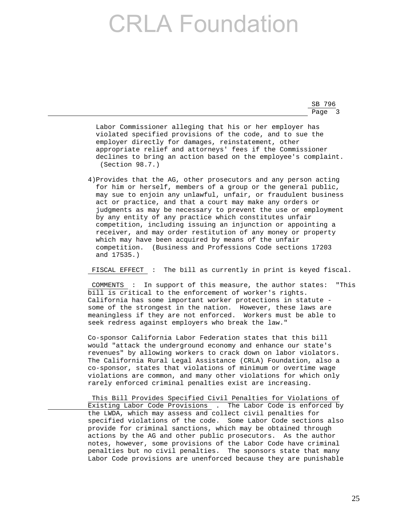SB 796 Page 3

> Labor Commissioner alleging that his or her employer has violated specified provisions of the code, and to sue the employer directly for damages, reinstatement, other appropriate relief and attorneys' fees if the Commissioner declines to bring an action based on the employee's complaint. (Section 98.7.)

 4)Provides that the AG, other prosecutors and any person acting for him or herself, members of a group or the general public, may sue to enjoin any unlawful, unfair, or fraudulent business act or practice, and that a court may make any orders or judgments as may be necessary to prevent the use or employment by any entity of any practice which constitutes unfair competition, including issuing an injunction or appointing a receiver, and may order restitution of any money or property which may have been acquired by means of the unfair competition. (Business and Professions Code sections 17203 and 17535.)

FISCAL EFFECT : The bill as currently in print is keyed fiscal.

 COMMENTS : In support of this measure, the author states: "This bill is critical to the enforcement of worker's rights. California has some important worker protections in statute some of the strongest in the nation. However, these laws are meaningless if they are not enforced. Workers must be able to seek redress against employers who break the law."

 Co-sponsor California Labor Federation states that this bill would "attack the underground economy and enhance our state's revenues" by allowing workers to crack down on labor violators. The California Rural Legal Assistance (CRLA) Foundation, also a co-sponsor, states that violations of minimum or overtime wage violations are common, and many other violations for which only rarely enforced criminal penalties exist are increasing.

 This Bill Provides Specified Civil Penalties for Violations of Existing Labor Code Provisions . The Labor Code is enforced by the LWDA, which may assess and collect civil penalties for specified violations of the code. Some Labor Code sections also provide for criminal sanctions, which may be obtained through actions by the AG and other public prosecutors. As the author notes, however, some provisions of the Labor Code have criminal penalties but no civil penalties. The sponsors state that many Labor Code provisions are unenforced because they are punishable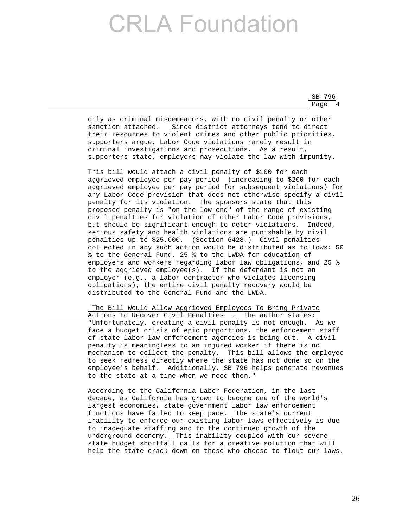| B 796<br>SВ |  |
|-------------|--|
| Page        |  |

 only as criminal misdemeanors, with no civil penalty or other sanction attached. Since district attorneys tend to direct their resources to violent crimes and other public priorities, supporters argue, Labor Code violations rarely result in criminal investigations and prosecutions. As a result, supporters state, employers may violate the law with impunity.

 This bill would attach a civil penalty of \$100 for each aggrieved employee per pay period (increasing to \$200 for each aggrieved employee per pay period for subsequent violations) for any Labor Code provision that does not otherwise specify a civil penalty for its violation. The sponsors state that this proposed penalty is "on the low end" of the range of existing civil penalties for violation of other Labor Code provisions, but should be significant enough to deter violations. Indeed, serious safety and health violations are punishable by civil penalties up to \$25,000. (Section 6428.) Civil penalties collected in any such action would be distributed as follows: 50 % to the General Fund, 25 % to the LWDA for education of employers and workers regarding labor law obligations, and 25 % to the aggrieved employee(s). If the defendant is not an employer (e.g., a labor contractor who violates licensing obligations), the entire civil penalty recovery would be distributed to the General Fund and the LWDA.

 The Bill Would Allow Aggrieved Employees To Bring Private Actions To Recover Civil Penalties . The author states: "Unfortunately, creating a civil penalty is not enough. As we face a budget crisis of epic proportions, the enforcement staff of state labor law enforcement agencies is being cut. A civil penalty is meaningless to an injured worker if there is no mechanism to collect the penalty. This bill allows the employee to seek redress directly where the state has not done so on the employee's behalf. Additionally, SB 796 helps generate revenues to the state at a time when we need them."

 According to the California Labor Federation, in the last decade, as California has grown to become one of the world's largest economies, state government labor law enforcement functions have failed to keep pace. The state's current inability to enforce our existing labor laws effectively is due to inadequate staffing and to the continued growth of the underground economy. This inability coupled with our severe state budget shortfall calls for a creative solution that will help the state crack down on those who choose to flout our laws.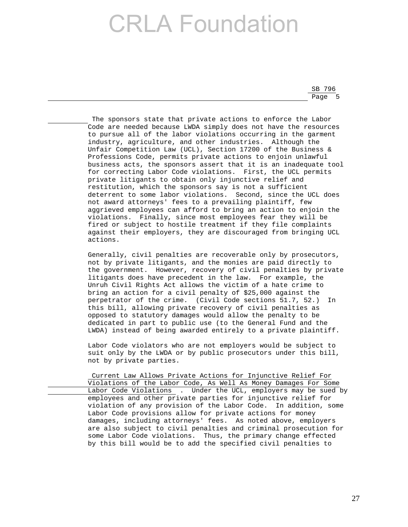SB 796 <u>Page 5 and 2001 and 2001 and 2001 and 2001 and 2001 and 2001 and 2001 and 2001 and 2001 and 2001 and 2001 and 2001 and 2001 and 2001 and 2001 and 2001 and 2001 and 2001 and 2001 and 2001 and 2001 and 2001 and 2001 and 200</u>

> The sponsors state that private actions to enforce the Labor Code are needed because LWDA simply does not have the resources to pursue all of the labor violations occurring in the garment industry, agriculture, and other industries. Although the Unfair Competition Law (UCL), Section 17200 of the Business & Professions Code, permits private actions to enjoin unlawful business acts, the sponsors assert that it is an inadequate tool for correcting Labor Code violations. First, the UCL permits private litigants to obtain only injunctive relief and restitution, which the sponsors say is not a sufficient deterrent to some labor violations. Second, since the UCL does not award attorneys' fees to a prevailing plaintiff, few aggrieved employees can afford to bring an action to enjoin the violations. Finally, since most employees fear they will be fired or subject to hostile treatment if they file complaints against their employers, they are discouraged from bringing UCL actions.

> Generally, civil penalties are recoverable only by prosecutors, not by private litigants, and the monies are paid directly to the government. However, recovery of civil penalties by private litigants does have precedent in the law. For example, the Unruh Civil Rights Act allows the victim of a hate crime to bring an action for a civil penalty of \$25,000 against the perpetrator of the crime. (Civil Code sections 51.7, 52.) In this bill, allowing private recovery of civil penalties as opposed to statutory damages would allow the penalty to be dedicated in part to public use (to the General Fund and the LWDA) instead of being awarded entirely to a private plaintiff.

 Labor Code violators who are not employers would be subject to suit only by the LWDA or by public prosecutors under this bill, not by private parties.

 Current Law Allows Private Actions for Injunctive Relief For Violations of the Labor Code, As Well As Money Damages For Some Labor Code Violations . Under the UCL, employers may be sued by employees and other private parties for injunctive relief for violation of any provision of the Labor Code. In addition, some Labor Code provisions allow for private actions for money damages, including attorneys' fees. As noted above, employers are also subject to civil penalties and criminal prosecution for some Labor Code violations. Thus, the primary change effected by this bill would be to add the specified civil penalties to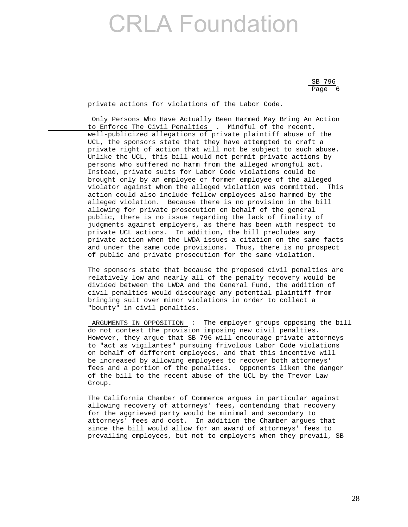SB 796 en de la provincia de la provincia de la provincia de la provincia de la provincia de la provincia de la provi

private actions for violations of the Labor Code.

 Only Persons Who Have Actually Been Harmed May Bring An Action to Enforce The Civil Penalties . Mindful of the recent, well-publicized allegations of private plaintiff abuse of the UCL, the sponsors state that they have attempted to craft a private right of action that will not be subject to such abuse. Unlike the UCL, this bill would not permit private actions by persons who suffered no harm from the alleged wrongful act. Instead, private suits for Labor Code violations could be brought only by an employee or former employee of the alleged violator against whom the alleged violation was committed. This action could also include fellow employees also harmed by the alleged violation. Because there is no provision in the bill allowing for private prosecution on behalf of the general public, there is no issue regarding the lack of finality of judgments against employers, as there has been with respect to private UCL actions. In addition, the bill precludes any private action when the LWDA issues a citation on the same facts and under the same code provisions. Thus, there is no prospect of public and private prosecution for the same violation.

 The sponsors state that because the proposed civil penalties are relatively low and nearly all of the penalty recovery would be divided between the LWDA and the General Fund, the addition of civil penalties would discourage any potential plaintiff from bringing suit over minor violations in order to collect a "bounty" in civil penalties.

 ARGUMENTS IN OPPOSITION : The employer groups opposing the bill do not contest the provision imposing new civil penalties. However, they argue that SB 796 will encourage private attorneys to "act as vigilantes" pursuing frivolous Labor Code violations on behalf of different employees, and that this incentive will be increased by allowing employees to recover both attorneys' fees and a portion of the penalties. Opponents liken the danger of the bill to the recent abuse of the UCL by the Trevor Law Group.

 The California Chamber of Commerce argues in particular against allowing recovery of attorneys' fees, contending that recovery for the aggrieved party would be minimal and secondary to attorneys' fees and cost. In addition the Chamber argues that since the bill would allow for an award of attorneys' fees to prevailing employees, but not to employers when they prevail, SB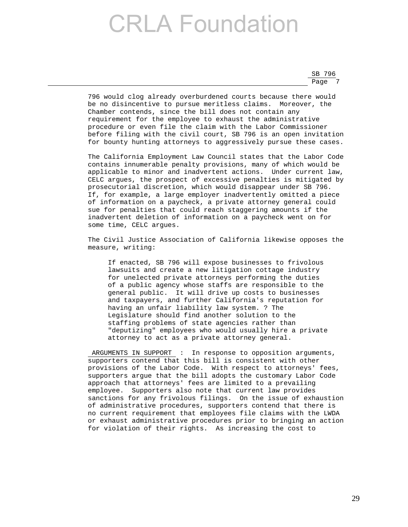SB 796 Page 7

> 796 would clog already overburdened courts because there would be no disincentive to pursue meritless claims. Moreover, the Chamber contends, since the bill does not contain any requirement for the employee to exhaust the administrative procedure or even file the claim with the Labor Commissioner before filing with the civil court, SB 796 is an open invitation for bounty hunting attorneys to aggressively pursue these cases.

> The California Employment Law Council states that the Labor Code contains innumerable penalty provisions, many of which would be applicable to minor and inadvertent actions. Under current law, CELC argues, the prospect of excessive penalties is mitigated by prosecutorial discretion, which would disappear under SB 796. If, for example, a large employer inadvertently omitted a piece of information on a paycheck, a private attorney general could sue for penalties that could reach staggering amounts if the inadvertent deletion of information on a paycheck went on for some time, CELC argues.

> The Civil Justice Association of California likewise opposes the measure, writing:

 If enacted, SB 796 will expose businesses to frivolous lawsuits and create a new litigation cottage industry for unelected private attorneys performing the duties of a public agency whose staffs are responsible to the general public. It will drive up costs to businesses and taxpayers, and further California's reputation for having an unfair liability law system. ? The Legislature should find another solution to the staffing problems of state agencies rather than "deputizing" employees who would usually hire a private attorney to act as a private attorney general.

 ARGUMENTS IN SUPPORT : In response to opposition arguments, supporters contend that this bill is consistent with other provisions of the Labor Code. With respect to attorneys' fees, supporters argue that the bill adopts the customary Labor Code approach that attorneys' fees are limited to a prevailing employee. Supporters also note that current law provides sanctions for any frivolous filings. On the issue of exhaustion of administrative procedures, supporters contend that there is no current requirement that employees file claims with the LWDA or exhaust administrative procedures prior to bringing an action for violation of their rights. As increasing the cost to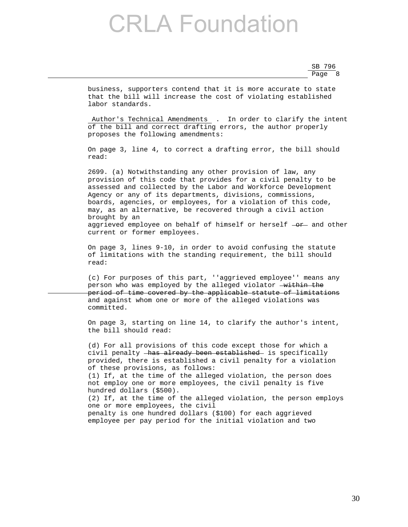SB 796 <u>Page 8 and 2001 and 2001 and 2001 and 2001 and 2001 and 2001 and 2001 and 2001 and 2001 and 2001 and 2001 and 2001 and 2001 and 2001 and 2001 and 2001 and 2001 and 2001 and 2001 and 2001 and 2001 and 2001 and 2001 and 200</u>

> business, supporters contend that it is more accurate to state that the bill will increase the cost of violating established labor standards.

 Author's Technical Amendments . In order to clarify the intent of the bill and correct drafting errors, the author properly proposes the following amendments:

 On page 3, line 4, to correct a drafting error, the bill should read:

 2699. (a) Notwithstanding any other provision of law, any provision of this code that provides for a civil penalty to be assessed and collected by the Labor and Workforce Development Agency or any of its departments, divisions, commissions, boards, agencies, or employees, for a violation of this code, may, as an alternative, be recovered through a civil action brought by an aggrieved employee on behalf of himself or herself  $- $o<sub>r</sub>$$  and other current or former employees.

 On page 3, lines 9-10, in order to avoid confusing the statute of limitations with the standing requirement, the bill should read:

 (c) For purposes of this part, ''aggrieved employee'' means any person who was employed by the alleged violator  $-\text{within the}$  period of time covered by the applicable statute of limitations and against whom one or more of the alleged violations was committed.

 On page 3, starting on line 14, to clarify the author's intent, the bill should read:

 (d) For all provisions of this code except those for which a civil penalty - has already been established is specifically provided, there is established a civil penalty for a violation of these provisions, as follows: (1) If, at the time of the alleged violation, the person does not employ one or more employees, the civil penalty is five hundred dollars (\$500). (2) If, at the time of the alleged violation, the person employs one or more employees, the civil penalty is one hundred dollars (\$100) for each aggrieved employee per pay period for the initial violation and two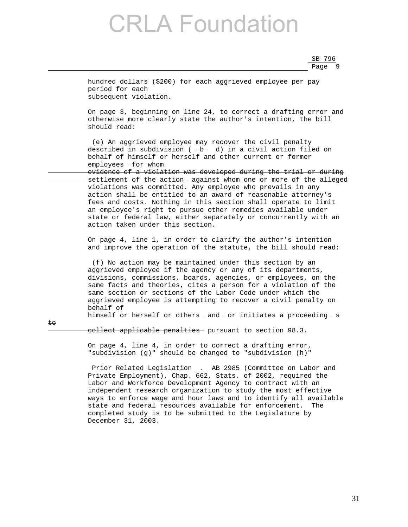SB 796 <u>Page 9 and 2011 and 2012 and 2013 and 2014 and 2014 and 2014 and 2014 and 2014 and 2014 and 2014 and 2014 and 20</u>

 hundred dollars (\$200) for each aggrieved employee per pay period for each subsequent violation. On page 3, beginning on line 24, to correct a drafting error and otherwise more clearly state the author's intention, the bill should read: (e) An aggrieved employee may recover the civil penalty described in subdivision ( $\rightarrow$  d) in a civil action filed on behalf of himself or herself and other current or former employees  $-$ for whom evidence of a violation was developed during the trial or during settlement of the action against whom one or more of the alleged violations was committed. Any employee who prevails in any action shall be entitled to an award of reasonable attorney's fees and costs. Nothing in this section shall operate to limit an employee's right to pursue other remedies available under state or federal law, either separately or concurrently with an action taken under this section. On page 4, line 1, in order to clarify the author's intention and improve the operation of the statute, the bill should read: (f) No action may be maintained under this section by an aggrieved employee if the agency or any of its departments, divisions, commissions, boards, agencies, or employees, on the same facts and theories, cites a person for a violation of the same section or sections of the Labor Code under which the aggrieved employee is attempting to recover a civil penalty on behalf of himself or herself or others  $\frac{1}{\sqrt{2}}$  or initiates a proceeding  $\frac{1}{\sqrt{2}}$ to collect applicable penalties - pursuant to section 98.3. On page 4, line 4, in order to correct a drafting error, "subdivision (g)" should be changed to "subdivision (h)" Prior Related Legislation . AB 2985 (Committee on Labor and Private Employment), Chap. 662, Stats. of 2002, required the Labor and Workforce Development Agency to contract with an independent research organization to study the most effective ways to enforce wage and hour laws and to identify all available state and federal resources available for enforcement. The

completed study is to be submitted to the Legislature by

December 31, 2003.

31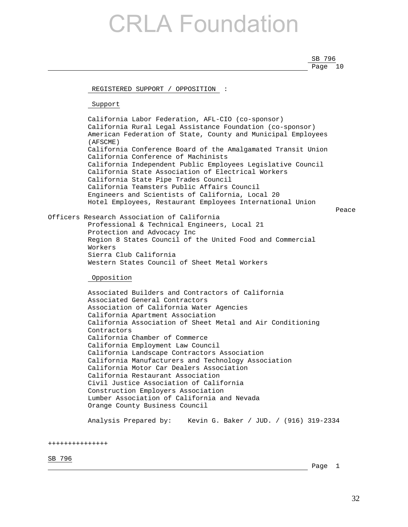SB 796 Page 10

REGISTERED SUPPORT / OPPOSITION :

Support

 California Labor Federation, AFL-CIO (co-sponsor) California Rural Legal Assistance Foundation (co-sponsor) American Federation of State, County and Municipal Employees (AFSCME) California Conference Board of the Amalgamated Transit Union California Conference of Machinists California Independent Public Employees Legislative Council California State Association of Electrical Workers California State Pipe Trades Council California Teamsters Public Affairs Council Engineers and Scientists of California, Local 20 Hotel Employees, Restaurant Employees International Union

Peace in the contract of the contract of the contract of the contract of the contract of the contract of the contract of the contract of the contract of the contract of the contract of the contract of the contract of the c

Officers Research Association of California Professional & Technical Engineers, Local 21 Protection and Advocacy Inc Region 8 States Council of the United Food and Commercial Workers Sierra Club California Western States Council of Sheet Metal Workers

Opposition

 Associated Builders and Contractors of California Associated General Contractors Association of California Water Agencies California Apartment Association California Association of Sheet Metal and Air Conditioning Contractors California Chamber of Commerce California Employment Law Council California Landscape Contractors Association California Manufacturers and Technology Association California Motor Car Dealers Association California Restaurant Association Civil Justice Association of California Construction Employers Association Lumber Association of California and Nevada Orange County Business Council

Analysis Prepared by: Kevin G. Baker / JUD. / (916) 319-2334

+++++++++++++++

SB 796

Page 1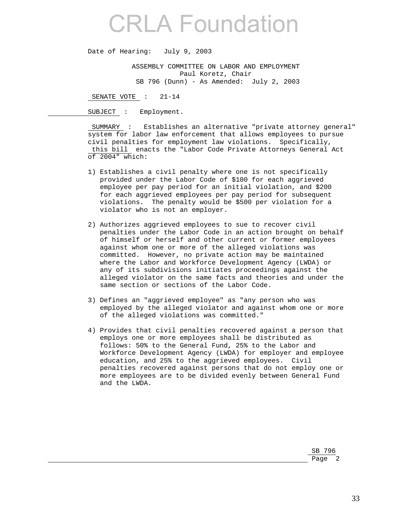Date of Hearing: July 9, 2003

 ASSEMBLY COMMITTEE ON LABOR AND EMPLOYMENT Paul Koretz, Chair SB 796 (Dunn) - As Amended: July 2, 2003

SENATE VOTE : 21-14

SUBJECT : Employment.

 SUMMARY : Establishes an alternative "private attorney general" system for labor law enforcement that allows employees to pursue civil penalties for employment law violations. Specifically, this bill enacts the "Labor Code Private Attorneys General Act of 2004" which:

- 1) Establishes a civil penalty where one is not specifically provided under the Labor Code of \$100 for each aggrieved employee per pay period for an initial violation, and \$200 for each aggrieved employees per pay period for subsequent violations. The penalty would be \$500 per violation for a violator who is not an employer.
- 2) Authorizes aggrieved employees to sue to recover civil penalties under the Labor Code in an action brought on behalf of himself or herself and other current or former employees against whom one or more of the alleged violations was committed. However, no private action may be maintained where the Labor and Workforce Development Agency (LWDA) or any of its subdivisions initiates proceedings against the alleged violator on the same facts and theories and under the same section or sections of the Labor Code.
- 3) Defines an "aggrieved employee" as "any person who was employed by the alleged violator and against whom one or more of the alleged violations was committed."
- 4) Provides that civil penalties recovered against a person that employs one or more employees shall be distributed as follows: 50% to the General Fund, 25% to the Labor and Workforce Development Agency (LWDA) for employer and employee education, and 25% to the aggrieved employees. Civil penalties recovered against persons that do not employ one or more employees are to be divided evenly between General Fund and the LWDA.

SB 796 Page 2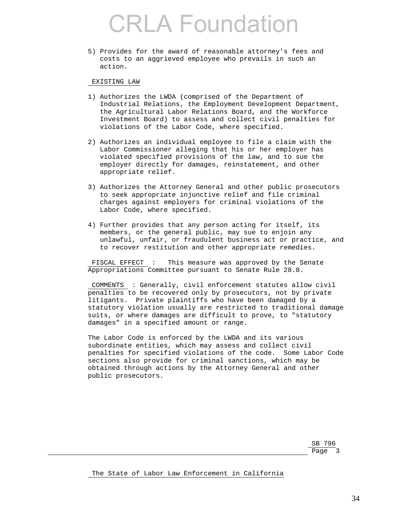5) Provides for the award of reasonable attorney's fees and costs to an aggrieved employee who prevails in such an action.

### EXISTING LAW

- 1) Authorizes the LWDA (comprised of the Department of Industrial Relations, the Employment Development Department, the Agricultural Labor Relations Board, and the Workforce Investment Board) to assess and collect civil penalties for violations of the Labor Code, where specified.
- 2) Authorizes an individual employee to file a claim with the Labor Commissioner alleging that his or her employer has violated specified provisions of the law, and to sue the employer directly for damages, reinstatement, and other appropriate relief.
- 3) Authorizes the Attorney General and other public prosecutors to seek appropriate injunctive relief and file criminal charges against employers for criminal violations of the Labor Code, where specified.
- 4) Further provides that any person acting for itself, its members, or the general public, may sue to enjoin any unlawful, unfair, or fraudulent business act or practice, and to recover restitution and other appropriate remedies.

 FISCAL EFFECT : This measure was approved by the Senate Appropriations Committee pursuant to Senate Rule 28.8.

 COMMENTS : Generally, civil enforcement statutes allow civil penalties to be recovered only by prosecutors, not by private litigants. Private plaintiffs who have been damaged by a statutory violation usually are restricted to traditional damage suits, or where damages are difficult to prove, to "statutory damages" in a specified amount or range.

 The Labor Code is enforced by the LWDA and its various subordinate entities, which may assess and collect civil penalties for specified violations of the code. Some Labor Code sections also provide for criminal sanctions, which may be obtained through actions by the Attorney General and other public prosecutors.

SB 796 Page 3 and 2012 and 2012 and 2012 and 2012 and 2012 and 2012 and 2012 and 2012 and 2012 and 2012 and 2012 and

The State of Labor Law Enforcement in California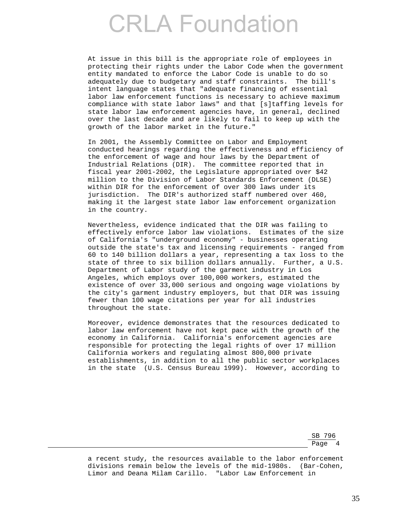At issue in this bill is the appropriate role of employees in protecting their rights under the Labor Code when the government entity mandated to enforce the Labor Code is unable to do so adequately due to budgetary and staff constraints. The bill's intent language states that "adequate financing of essential labor law enforcement functions is necessary to achieve maximum compliance with state labor laws" and that [s]taffing levels for state labor law enforcement agencies have, in general, declined over the last decade and are likely to fail to keep up with the growth of the labor market in the future."

 In 2001, the Assembly Committee on Labor and Employment conducted hearings regarding the effectiveness and efficiency of the enforcement of wage and hour laws by the Department of Industrial Relations (DIR). The committee reported that in fiscal year 2001-2002, the Legislature appropriated over \$42 million to the Division of Labor Standards Enforcement (DLSE) within DIR for the enforcement of over 300 laws under its jurisdiction. The DIR's authorized staff numbered over 460, making it the largest state labor law enforcement organization in the country.

 Nevertheless, evidence indicated that the DIR was failing to effectively enforce labor law violations. Estimates of the size of California's "underground economy" - businesses operating outside the state's tax and licensing requirements - ranged from 60 to 140 billion dollars a year, representing a tax loss to the state of three to six billion dollars annually. Further, a U.S. Department of Labor study of the garment industry in Los Angeles, which employs over 100,000 workers, estimated the existence of over 33,000 serious and ongoing wage violations by the city's garment industry employers, but that DIR was issuing fewer than 100 wage citations per year for all industries throughout the state.

 Moreover, evidence demonstrates that the resources dedicated to labor law enforcement have not kept pace with the growth of the economy in California. California's enforcement agencies are responsible for protecting the legal rights of over 17 million California workers and regulating almost 800,000 private establishments, in addition to all the public sector workplaces in the state (U.S. Census Bureau 1999). However, according to

SB 796 Page 4

> a recent study, the resources available to the labor enforcement divisions remain below the levels of the mid-1980s. (Bar-Cohen, Limor and Deana Milam Carillo. "Labor Law Enforcement in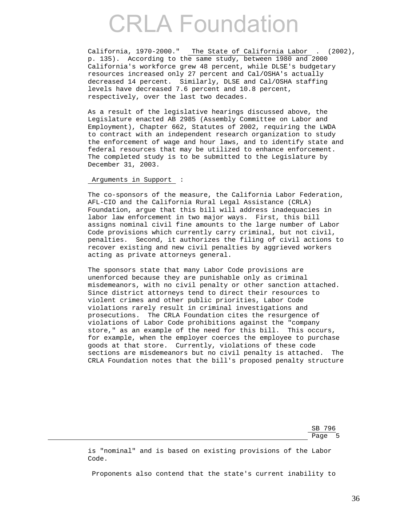California, 1970-2000." The State of California Labor . (2002), p. 135). According to the same study, between 1980 and 2000 California's workforce grew 48 percent, while DLSE's budgetary resources increased only 27 percent and Cal/OSHA's actually decreased 14 percent. Similarly, DLSE and Cal/OSHA staffing levels have decreased 7.6 percent and 10.8 percent, respectively, over the last two decades.

 As a result of the legislative hearings discussed above, the Legislature enacted AB 2985 (Assembly Committee on Labor and Employment), Chapter 662, Statutes of 2002, requiring the LWDA to contract with an independent research organization to study the enforcement of wage and hour laws, and to identify state and federal resources that may be utilized to enhance enforcement. The completed study is to be submitted to the Legislature by December 31, 2003.

### Arguments in Support :

 The co-sponsors of the measure, the California Labor Federation, AFL-CIO and the California Rural Legal Assistance (CRLA) Foundation, argue that this bill will address inadequacies in labor law enforcement in two major ways. First, this bill assigns nominal civil fine amounts to the large number of Labor Code provisions which currently carry criminal, but not civil, penalties. Second, it authorizes the filing of civil actions to recover existing and new civil penalties by aggrieved workers acting as private attorneys general.

 The sponsors state that many Labor Code provisions are unenforced because they are punishable only as criminal misdemeanors, with no civil penalty or other sanction attached. Since district attorneys tend to direct their resources to violent crimes and other public priorities, Labor Code violations rarely result in criminal investigations and prosecutions. The CRLA Foundation cites the resurgence of violations of Labor Code prohibitions against the "company store," as an example of the need for this bill. This occurs, for example, when the employer coerces the employee to purchase goods at that store. Currently, violations of these code sections are misdemeanors but no civil penalty is attached. The CRLA Foundation notes that the bill's proposed penalty structure

SB 796 <u>Page 5 and 2001 and 2001 and 2001 and 2001 and 2001 and 2001 and 2001 and 2001 and 2001 and 2001 and 2001 and 2001 and 2001 and 2001 and 2001 and 2001 and 2001 and 2001 and 2001 and 2001 and 2001 and 2001 and 2001 and 200</u>

> is "nominal" and is based on existing provisions of the Labor Code.

Proponents also contend that the state's current inability to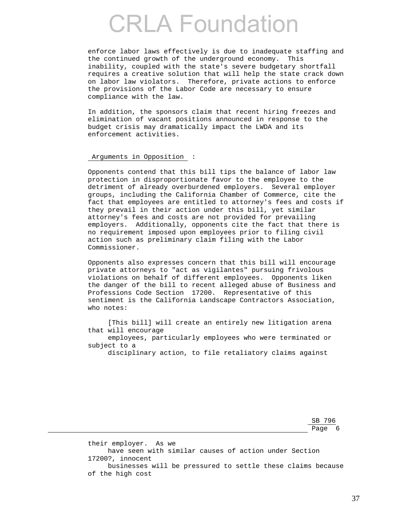enforce labor laws effectively is due to inadequate staffing and the continued growth of the underground economy. This inability, coupled with the state's severe budgetary shortfall requires a creative solution that will help the state crack down on labor law violators. Therefore, private actions to enforce the provisions of the Labor Code are necessary to ensure compliance with the law.

 In addition, the sponsors claim that recent hiring freezes and elimination of vacant positions announced in response to the budget crisis may dramatically impact the LWDA and its enforcement activities.

### Arguments in Opposition :

 Opponents contend that this bill tips the balance of labor law protection in disproportionate favor to the employee to the detriment of already overburdened employers. Several employer groups, including the California Chamber of Commerce, cite the fact that employees are entitled to attorney's fees and costs if they prevail in their action under this bill, yet similar attorney's fees and costs are not provided for prevailing employers. Additionally, opponents cite the fact that there is no requirement imposed upon employees prior to filing civil action such as preliminary claim filing with the Labor Commissioner.

 Opponents also expresses concern that this bill will encourage private attorneys to "act as vigilantes" pursuing frivolous violations on behalf of different employees. Opponents liken the danger of the bill to recent alleged abuse of Business and Professions Code Section 17200. Representative of this sentiment is the California Landscape Contractors Association, who notes:

 [This bill] will create an entirely new litigation arena that will encourage

 employees, particularly employees who were terminated or subject to a

disciplinary action, to file retaliatory claims against

SB 796 Page 6

> their employer. As we have seen with similar causes of action under Section 17200?, innocent businesses will be pressured to settle these claims because of the high cost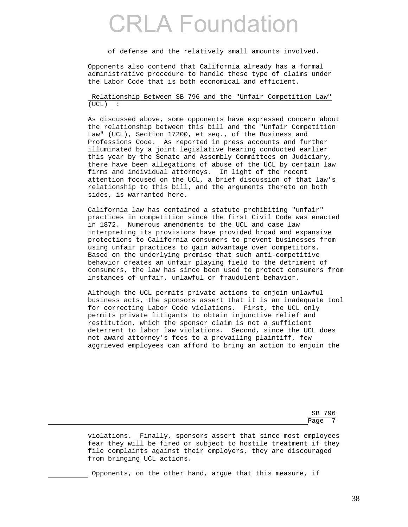of defense and the relatively small amounts involved.

 Opponents also contend that California already has a formal administrative procedure to handle these type of claims under the Labor Code that is both economical and efficient.

 Relationship Between SB 796 and the "Unfair Competition Law" (UCL) :

 As discussed above, some opponents have expressed concern about the relationship between this bill and the "Unfair Competition Law" (UCL), Section 17200, et seq., of the Business and Professions Code. As reported in press accounts and further illuminated by a joint legislative hearing conducted earlier this year by the Senate and Assembly Committees on Judiciary, there have been allegations of abuse of the UCL by certain law firms and individual attorneys. In light of the recent attention focused on the UCL, a brief discussion of that law's relationship to this bill, and the arguments thereto on both sides, is warranted here.

 California law has contained a statute prohibiting "unfair" practices in competition since the first Civil Code was enacted in 1872. Numerous amendments to the UCL and case law interpreting its provisions have provided broad and expansive protections to California consumers to prevent businesses from using unfair practices to gain advantage over competitors. Based on the underlying premise that such anti-competitive behavior creates an unfair playing field to the detriment of consumers, the law has since been used to protect consumers from instances of unfair, unlawful or fraudulent behavior.

 Although the UCL permits private actions to enjoin unlawful business acts, the sponsors assert that it is an inadequate tool for correcting Labor Code violations. First, the UCL only permits private litigants to obtain injunctive relief and restitution, which the sponsor claim is not a sufficient deterrent to labor law violations. Second, since the UCL does not award attorney's fees to a prevailing plaintiff, few aggrieved employees can afford to bring an action to enjoin the

SB 796 Page 7 and 2012 and 2012 and 2012 and 2012 and 2012 and 2012 and 2012 and 2012 and 2012 and 2012 and 2012 and

> violations. Finally, sponsors assert that since most employees fear they will be fired or subject to hostile treatment if they file complaints against their employers, they are discouraged from bringing UCL actions.

Opponents, on the other hand, argue that this measure, if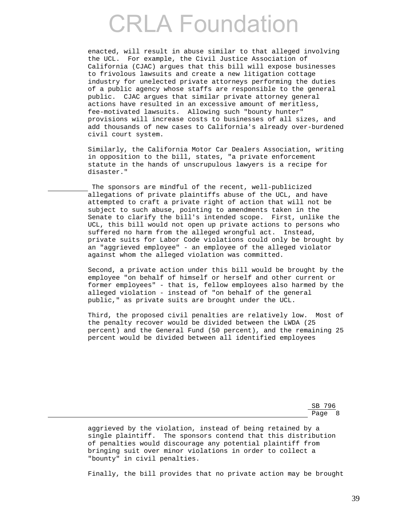enacted, will result in abuse similar to that alleged involving the UCL. For example, the Civil Justice Association of California (CJAC) argues that this bill will expose businesses to frivolous lawsuits and create a new litigation cottage industry for unelected private attorneys performing the duties of a public agency whose staffs are responsible to the general public. CJAC argues that similar private attorney general actions have resulted in an excessive amount of meritless, fee-motivated lawsuits. Allowing such "bounty hunter" provisions will increase costs to businesses of all sizes, and add thousands of new cases to California's already over-burdened civil court system.

 Similarly, the California Motor Car Dealers Association, writing in opposition to the bill, states, "a private enforcement statute in the hands of unscrupulous lawyers is a recipe for disaster."

 The sponsors are mindful of the recent, well-publicized allegations of private plaintiffs abuse of the UCL, and have attempted to craft a private right of action that will not be subject to such abuse, pointing to amendments taken in the Senate to clarify the bill's intended scope. First, unlike the UCL, this bill would not open up private actions to persons who suffered no harm from the alleged wrongful act. Instead, private suits for Labor Code violations could only be brought by an "aggrieved employee" - an employee of the alleged violator against whom the alleged violation was committed.

 Second, a private action under this bill would be brought by the employee "on behalf of himself or herself and other current or former employees" - that is, fellow employees also harmed by the alleged violation - instead of "on behalf of the general public," as private suits are brought under the UCL.

 Third, the proposed civil penalties are relatively low. Most of the penalty recover would be divided between the LWDA (25 percent) and the General Fund (50 percent), and the remaining 25 percent would be divided between all identified employees

SB 796 en de la provincia de la provincia de la provincia de la provincia de la provincia de la provincia de la provi

> aggrieved by the violation, instead of being retained by a single plaintiff. The sponsors contend that this distribution of penalties would discourage any potential plaintiff from bringing suit over minor violations in order to collect a "bounty" in civil penalties.

Finally, the bill provides that no private action may be brought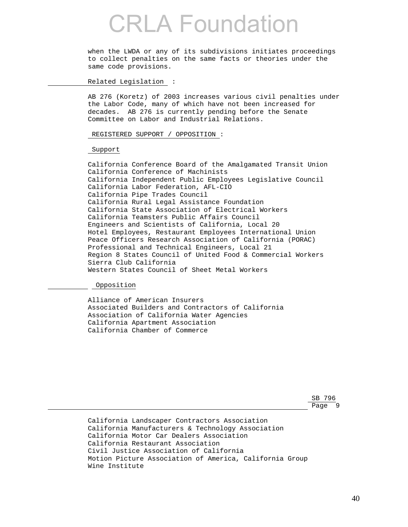when the LWDA or any of its subdivisions initiates proceedings to collect penalties on the same facts or theories under the same code provisions.

Related Legislation :

 AB 276 (Koretz) of 2003 increases various civil penalties under the Labor Code, many of which have not been increased for decades. AB 276 is currently pending before the Senate Committee on Labor and Industrial Relations.

REGISTERED SUPPORT / OPPOSITION :

Support

 California Conference Board of the Amalgamated Transit Union California Conference of Machinists California Independent Public Employees Legislative Council California Labor Federation, AFL-CIO California Pipe Trades Council California Rural Legal Assistance Foundation California State Association of Electrical Workers California Teamsters Public Affairs Council Engineers and Scientists of California, Local 20 Hotel Employees, Restaurant Employees International Union Peace Officers Research Association of California (PORAC) Professional and Technical Engineers, Local 21 Region 8 States Council of United Food & Commercial Workers Sierra Club California Western States Council of Sheet Metal Workers

Opposition

 Alliance of American Insurers Associated Builders and Contractors of California Association of California Water Agencies California Apartment Association California Chamber of Commerce

SB 796 <u>Page 9 and 2011 and 2012 and 2012 and 2012 and 2012 and 2012 and 2012 and 2012 and 2012 and 2012 and 2013 and 20</u>

> California Landscaper Contractors Association California Manufacturers & Technology Association California Motor Car Dealers Association California Restaurant Association Civil Justice Association of California Motion Picture Association of America, California Group Wine Institute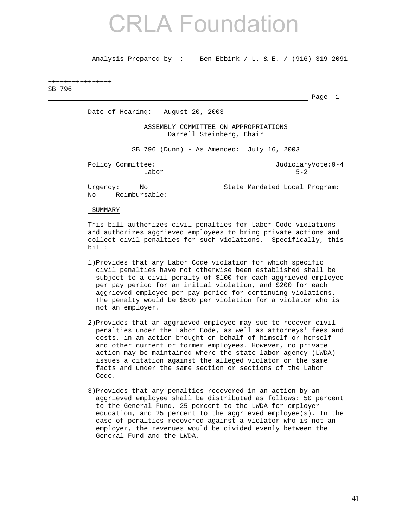Analysis Prepared by : Ben Ebbink / L. & E. / (916) 319-2091

### ++++++++++++++++ SB 796

Page 1

Date of Hearing: August 20, 2003

 ASSEMBLY COMMITTEE ON APPROPRIATIONS Darrell Steinberg, Chair

SB 796 (Dunn) - As Amended: July 16, 2003

Policy Committee:  $JudiciaryVote:9-4$ Labor 5-2

No Reimbursable:

Urgency: No State Mandated Local Program:

SUMMARY

 This bill authorizes civil penalties for Labor Code violations and authorizes aggrieved employees to bring private actions and collect civil penalties for such violations. Specifically, this bill:

- 1)Provides that any Labor Code violation for which specific civil penalties have not otherwise been established shall be subject to a civil penalty of \$100 for each aggrieved employee per pay period for an initial violation, and \$200 for each aggrieved employee per pay period for continuing violations. The penalty would be \$500 per violation for a violator who is not an employer.
- 2)Provides that an aggrieved employee may sue to recover civil penalties under the Labor Code, as well as attorneys' fees and costs, in an action brought on behalf of himself or herself and other current or former employees. However, no private action may be maintained where the state labor agency (LWDA) issues a citation against the alleged violator on the same facts and under the same section or sections of the Labor Code.
- 3)Provides that any penalties recovered in an action by an aggrieved employee shall be distributed as follows: 50 percent to the General Fund, 25 percent to the LWDA for employer education, and 25 percent to the aggrieved employee(s). In the case of penalties recovered against a violator who is not an employer, the revenues would be divided evenly between the General Fund and the LWDA.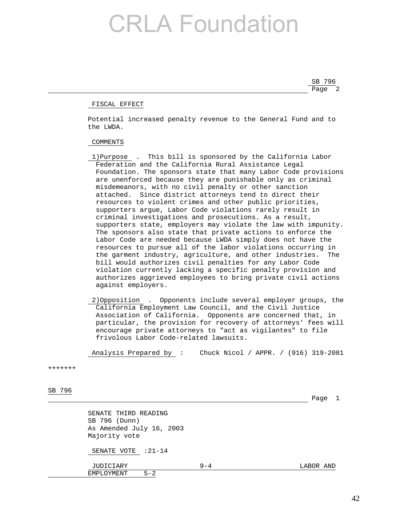SB 796 Page 2 and 2 and 2 and 2 and 2 and 2 and 2 and 2 and 2 and 2 and 2 and 2 and 2 and 2 and 2 and 2 and 2 and 2 and 2

### FISCAL EFFECT

 Potential increased penalty revenue to the General Fund and to the LWDA.

### COMMENTS

- 1)Purpose . This bill is sponsored by the California Labor Federation and the California Rural Assistance Legal Foundation. The sponsors state that many Labor Code provisions are unenforced because they are punishable only as criminal misdemeanors, with no civil penalty or other sanction attached. Since district attorneys tend to direct their resources to violent crimes and other public priorities, supporters argue, Labor Code violations rarely result in criminal investigations and prosecutions. As a result, supporters state, employers may violate the law with impunity. The sponsors also state that private actions to enforce the Labor Code are needed because LWDA simply does not have the resources to pursue all of the labor violations occurring in the garment industry, agriculture, and other industries. The bill would authorizes civil penalties for any Labor Code violation currently lacking a specific penalty provision and authorizes aggrieved employees to bring private civil actions against employers.
- 2)Opposition . Opponents include several employer groups, the California Employment Law Council, and the Civil Justice Association of California. Opponents are concerned that, in particular, the provision for recovery of attorneys' fees will encourage private attorneys to "act as vigilantes" to file frivolous Labor Code-related lawsuits.

Analysis Prepared by : Chuck Nicol / APPR. / (916) 319-2081

#### +++++++

SB 796

Page 1

 SENATE THIRD READING SB 796 (Dunn) As Amended July 16, 2003 Majority vote

SENATE VOTE : 21-14

 JUDICIARY 9-4 LABOR AND EMPLOYMENT 5-2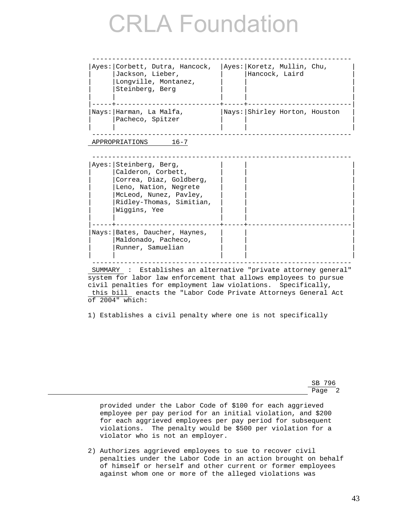| Ayes: Corbett, Dutra, Hancock,<br>Jackson, Lieber,<br>Longville, Montanez,<br>Steinberg, Berg | Ayes: Koretz, Mullin, Chu,<br>Hancock, Laird |  |
|-----------------------------------------------------------------------------------------------|----------------------------------------------|--|
| Nays: Harman, La Malfa,<br>Pacheco, Spitzer                                                   | Nays: Shirley Horton, Houston                |  |

APPROPRIATIONS 16-7

| Ayes: Steinberg, Berg,          |  |
|---------------------------------|--|
| Calderon, Corbett,              |  |
| Correa, Diaz, Goldberg,         |  |
| Leno, Nation, Negrete           |  |
| McLeod, Nunez, Pavley,          |  |
| Ridley-Thomas, Simitian,        |  |
| Wiggins, Yee                    |  |
|                                 |  |
|                                 |  |
| Nays:   Bates, Daucher, Haynes, |  |
| Maldonado, Pacheco,             |  |
| Runner, Samuelian               |  |
|                                 |  |

 SUMMARY : Establishes an alternative "private attorney general" system for labor law enforcement that allows employees to pursue civil penalties for employment law violations. Specifically, this bill enacts the "Labor Code Private Attorneys General Act of 2004" which:

1) Establishes a civil penalty where one is not specifically

SB 796 Page 2

> provided under the Labor Code of \$100 for each aggrieved employee per pay period for an initial violation, and \$200 for each aggrieved employees per pay period for subsequent violations. The penalty would be \$500 per violation for a violator who is not an employer.

 2) Authorizes aggrieved employees to sue to recover civil penalties under the Labor Code in an action brought on behalf of himself or herself and other current or former employees against whom one or more of the alleged violations was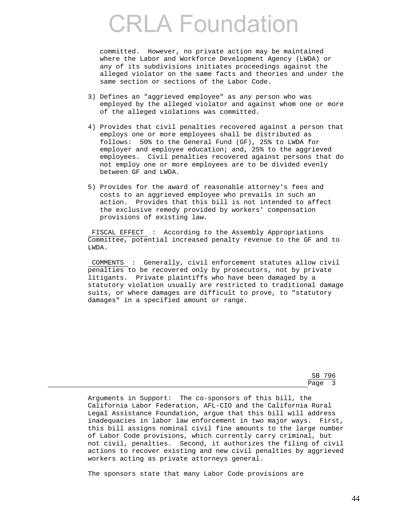committed. However, no private action may be maintained where the Labor and Workforce Development Agency (LWDA) or any of its subdivisions initiates proceedings against the alleged violator on the same facts and theories and under the same section or sections of the Labor Code.

- 3) Defines an "aggrieved employee" as any person who was employed by the alleged violator and against whom one or more of the alleged violations was committed.
- 4) Provides that civil penalties recovered against a person that employs one or more employees shall be distributed as follows: 50% to the General Fund (GF), 25% to LWDA for employer and employee education; and, 25% to the aggrieved employees. Civil penalties recovered against persons that do not employ one or more employees are to be divided evenly between GF and LWDA.
- 5) Provides for the award of reasonable attorney's fees and costs to an aggrieved employee who prevails in such an action. Provides that this bill is not intended to affect the exclusive remedy provided by workers' compensation provisions of existing law.

 FISCAL EFFECT : According to the Assembly Appropriations Committee, potential increased penalty revenue to the GF and to LWDA.

 COMMENTS : Generally, civil enforcement statutes allow civil penalties to be recovered only by prosecutors, not by private litigants. Private plaintiffs who have been damaged by a statutory violation usually are restricted to traditional damage suits, or where damages are difficult to prove, to "statutory damages" in a specified amount or range.

SB 796 Page 3 and 2012 and 2012 and 2012 and 2012 and 2012 and 2012 and 2012 and 2012 and 2012 and 2012 and 2012 and

> Arguments in Support: The co-sponsors of this bill, the California Labor Federation, AFL-CIO and the California Rural Legal Assistance Foundation, argue that this bill will address inadequacies in labor law enforcement in two major ways. First, this bill assigns nominal civil fine amounts to the large number of Labor Code provisions, which currently carry criminal, but not civil, penalties. Second, it authorizes the filing of civil actions to recover existing and new civil penalties by aggrieved workers acting as private attorneys general.

The sponsors state that many Labor Code provisions are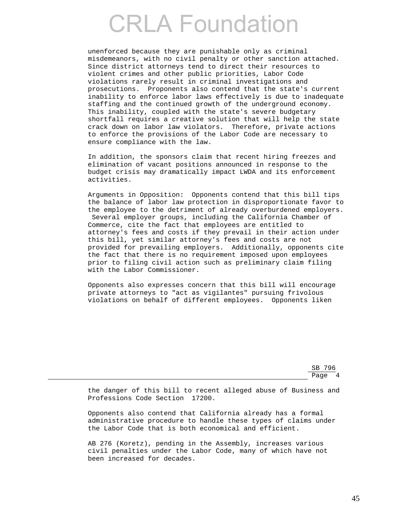unenforced because they are punishable only as criminal misdemeanors, with no civil penalty or other sanction attached. Since district attorneys tend to direct their resources to violent crimes and other public priorities, Labor Code violations rarely result in criminal investigations and prosecutions. Proponents also contend that the state's current inability to enforce labor laws effectively is due to inadequate staffing and the continued growth of the underground economy. This inability, coupled with the state's severe budgetary shortfall requires a creative solution that will help the state crack down on labor law violators. Therefore, private actions to enforce the provisions of the Labor Code are necessary to ensure compliance with the law.

 In addition, the sponsors claim that recent hiring freezes and elimination of vacant positions announced in response to the budget crisis may dramatically impact LWDA and its enforcement activities.

 Arguments in Opposition: Opponents contend that this bill tips the balance of labor law protection in disproportionate favor to the employee to the detriment of already overburdened employers. Several employer groups, including the California Chamber of Commerce, cite the fact that employees are entitled to attorney's fees and costs if they prevail in their action under this bill, yet similar attorney's fees and costs are not provided for prevailing employers. Additionally, opponents cite the fact that there is no requirement imposed upon employees prior to filing civil action such as preliminary claim filing with the Labor Commissioner.

 Opponents also expresses concern that this bill will encourage private attorneys to "act as vigilantes" pursuing frivolous violations on behalf of different employees. Opponents liken

SB 796 Page 4

> the danger of this bill to recent alleged abuse of Business and Professions Code Section 17200.

 Opponents also contend that California already has a formal administrative procedure to handle these types of claims under the Labor Code that is both economical and efficient.

 AB 276 (Koretz), pending in the Assembly, increases various civil penalties under the Labor Code, many of which have not been increased for decades.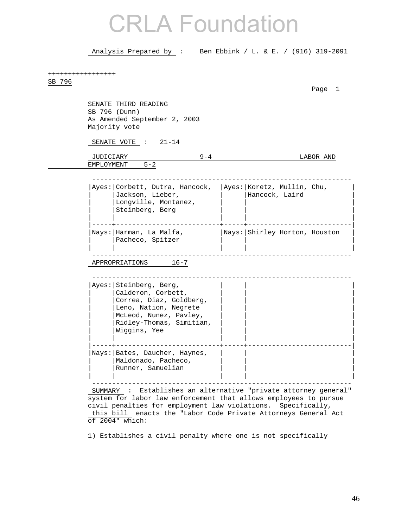Analysis Prepared by : Ben Ebbink / L. & E. / (916) 319-2091

| SB 796 |                         |                                                                                                                                                                        |         |                                              | Page 1    |
|--------|-------------------------|------------------------------------------------------------------------------------------------------------------------------------------------------------------------|---------|----------------------------------------------|-----------|
|        | SB 796 (Dunn)           | SENATE THIRD READING<br>As Amended September 2, 2003<br>Majority vote                                                                                                  |         |                                              |           |
|        |                         | SENATE VOTE : 21-14                                                                                                                                                    |         |                                              |           |
|        | JUDICIARY<br>EMPLOYMENT | $5 - 2$                                                                                                                                                                | $9 - 4$ |                                              | LABOR AND |
|        |                         | Ayes: Corbett, Dutra, Hancock,<br>Jackson, Lieber,<br>Longville, Montanez,<br>Steinberg, Berg                                                                          |         | Ayes: Koretz, Mullin, Chu,<br>Hancock, Laird |           |
|        |                         | Nays:   Harman, La Malfa,<br>Pacheco, Spitzer                                                                                                                          |         | Nays: Shirley Horton, Houston                |           |
|        |                         | APPROPRIATIONS<br>$16 - 7$                                                                                                                                             |         |                                              |           |
|        |                         | Ayes: Steinberg, Berg,<br>Calderon, Corbett,<br>Correa, Diaz, Goldberg,<br>Leno, Nation, Negrete<br>McLeod, Nunez, Pavley,<br>Ridley-Thomas, Simitian,<br>Wiggins, Yee |         |                                              |           |
|        |                         | Nays:   Bates, Daucher, Haynes,<br>Maldonado, Pacheco,<br>Runner, Samuelian                                                                                            |         |                                              |           |

1) Establishes a civil penalty where one is not specifically

of 2004" which:

this bill enacts the "Labor Code Private Attorneys General Act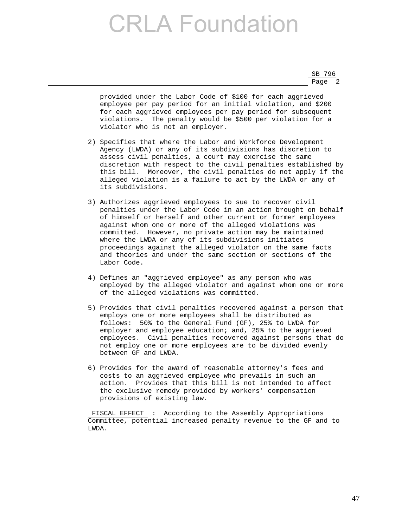SB 796 Page 2

> provided under the Labor Code of \$100 for each aggrieved employee per pay period for an initial violation, and \$200 for each aggrieved employees per pay period for subsequent violations. The penalty would be \$500 per violation for a violator who is not an employer.

- 2) Specifies that where the Labor and Workforce Development Agency (LWDA) or any of its subdivisions has discretion to assess civil penalties, a court may exercise the same discretion with respect to the civil penalties established by this bill. Moreover, the civil penalties do not apply if the alleged violation is a failure to act by the LWDA or any of its subdivisions.
- 3) Authorizes aggrieved employees to sue to recover civil penalties under the Labor Code in an action brought on behalf of himself or herself and other current or former employees against whom one or more of the alleged violations was committed. However, no private action may be maintained where the LWDA or any of its subdivisions initiates proceedings against the alleged violator on the same facts and theories and under the same section or sections of the Labor Code.
- 4) Defines an "aggrieved employee" as any person who was employed by the alleged violator and against whom one or more of the alleged violations was committed.
- 5) Provides that civil penalties recovered against a person that employs one or more employees shall be distributed as follows: 50% to the General Fund (GF), 25% to LWDA for employer and employee education; and, 25% to the aggrieved employees. Civil penalties recovered against persons that do not employ one or more employees are to be divided evenly between GF and LWDA.
- 6) Provides for the award of reasonable attorney's fees and costs to an aggrieved employee who prevails in such an action. Provides that this bill is not intended to affect the exclusive remedy provided by workers' compensation provisions of existing law.

 FISCAL EFFECT : According to the Assembly Appropriations Committee, potential increased penalty revenue to the GF and to LWDA.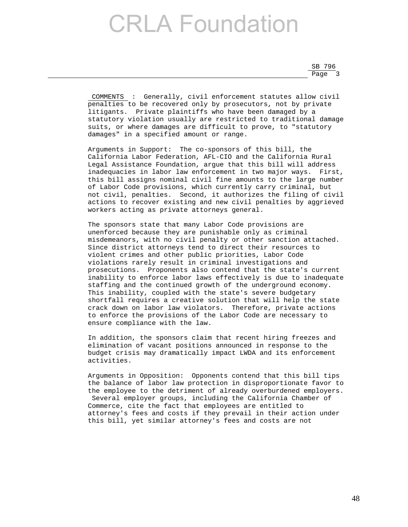SB 796 Page 3

> COMMENTS : Generally, civil enforcement statutes allow civil penalties to be recovered only by prosecutors, not by private litigants. Private plaintiffs who have been damaged by a statutory violation usually are restricted to traditional damage suits, or where damages are difficult to prove, to "statutory damages" in a specified amount or range.

> Arguments in Support: The co-sponsors of this bill, the California Labor Federation, AFL-CIO and the California Rural Legal Assistance Foundation, argue that this bill will address inadequacies in labor law enforcement in two major ways. First, this bill assigns nominal civil fine amounts to the large number of Labor Code provisions, which currently carry criminal, but not civil, penalties. Second, it authorizes the filing of civil actions to recover existing and new civil penalties by aggrieved workers acting as private attorneys general.

> The sponsors state that many Labor Code provisions are unenforced because they are punishable only as criminal misdemeanors, with no civil penalty or other sanction attached. Since district attorneys tend to direct their resources to violent crimes and other public priorities, Labor Code violations rarely result in criminal investigations and prosecutions. Proponents also contend that the state's current inability to enforce labor laws effectively is due to inadequate staffing and the continued growth of the underground economy. This inability, coupled with the state's severe budgetary shortfall requires a creative solution that will help the state crack down on labor law violators. Therefore, private actions to enforce the provisions of the Labor Code are necessary to ensure compliance with the law.

 In addition, the sponsors claim that recent hiring freezes and elimination of vacant positions announced in response to the budget crisis may dramatically impact LWDA and its enforcement activities.

 Arguments in Opposition: Opponents contend that this bill tips the balance of labor law protection in disproportionate favor to the employee to the detriment of already overburdened employers. Several employer groups, including the California Chamber of Commerce, cite the fact that employees are entitled to attorney's fees and costs if they prevail in their action under this bill, yet similar attorney's fees and costs are not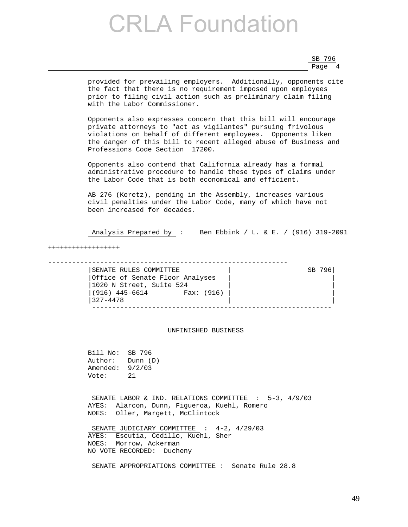SB 796 Page 4

> provided for prevailing employers. Additionally, opponents cite the fact that there is no requirement imposed upon employees prior to filing civil action such as preliminary claim filing with the Labor Commissioner.

 Opponents also expresses concern that this bill will encourage private attorneys to "act as vigilantes" pursuing frivolous violations on behalf of different employees. Opponents liken the danger of this bill to recent alleged abuse of Business and Professions Code Section 17200.

 Opponents also contend that California already has a formal administrative procedure to handle these types of claims under the Labor Code that is both economical and efficient.

 AB 276 (Koretz), pending in the Assembly, increases various civil penalties under the Labor Code, many of which have not been increased for decades.

Analysis Prepared by : Ben Ebbink / L. & E. / (916) 319-2091

++++++++++++++++++

------------------------------------------------------------ |SENATE RULES COMMITTEE | SB 796| |Office of Senate Floor Analyses | | |1020 N Street, Suite 524 | | |(916) 445-6614 Fax: (916) | | |327-4478 | | ------------------------------------------------------------

### UNFINISHED BUSINESS

 Bill No: SB 796 Author: Dunn (D) Amended: 9/2/03 Vote: 21

SENATE LABOR & IND. RELATIONS COMMITTEE : 5-3, 4/9/03 AYES: Alarcon, Dunn, Figueroa, Kuehl, Romero NOES: Oller, Margett, McClintock

SENATE JUDICIARY COMMITTEE : 4-2, 4/29/03 AYES: Escutia, Cedillo, Kuehl, Sher NOES: Morrow, Ackerman NO VOTE RECORDED: Ducheny

SENATE APPROPRIATIONS COMMITTEE : Senate Rule 28.8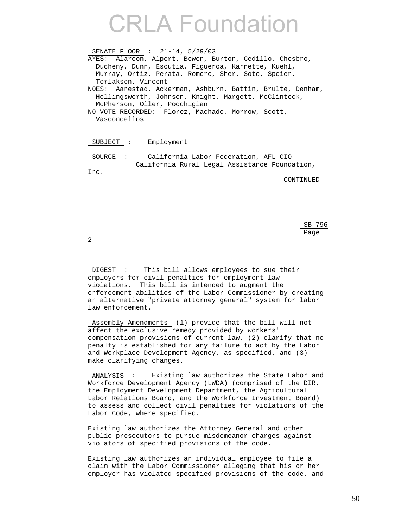SENATE FLOOR : 21-14, 5/29/03 AYES: Alarcon, Alpert, Bowen, Burton, Cedillo, Chesbro, Ducheny, Dunn, Escutia, Figueroa, Karnette, Kuehl, Murray, Ortiz, Perata, Romero, Sher, Soto, Speier, Torlakson, Vincent NOES: Aanestad, Ackerman, Ashburn, Battin, Brulte, Denham, Hollingsworth, Johnson, Knight, Margett, McClintock, McPherson, Oller, Poochigian NO VOTE RECORDED: Florez, Machado, Morrow, Scott, Vasconcellos

SUBJECT : Employment

 SOURCE : California Labor Federation, AFL-CIO California Rural Legal Assistance Foundation, Inc.

CONTINUED

 $SB$  796 <u>Page and the set of the set of the set of the set of the set of the set of the set of the set of the set of the set of the set of the set of the set of the set of the set of the set of the set of the set of the set of the</u>

2

 DIGEST : This bill allows employees to sue their employers for civil penalties for employment law violations. This bill is intended to augment the enforcement abilities of the Labor Commissioner by creating an alternative "private attorney general" system for labor law enforcement.

 Assembly Amendments (1) provide that the bill will not affect the exclusive remedy provided by workers' compensation provisions of current law, (2) clarify that no penalty is established for any failure to act by the Labor and Workplace Development Agency, as specified, and (3) make clarifying changes.

 ANALYSIS : Existing law authorizes the State Labor and Workforce Development Agency (LWDA) (comprised of the DIR, the Employment Development Department, the Agricultural Labor Relations Board, and the Workforce Investment Board) to assess and collect civil penalties for violations of the Labor Code, where specified.

 Existing law authorizes the Attorney General and other public prosecutors to pursue misdemeanor charges against violators of specified provisions of the code.

 Existing law authorizes an individual employee to file a claim with the Labor Commissioner alleging that his or her employer has violated specified provisions of the code, and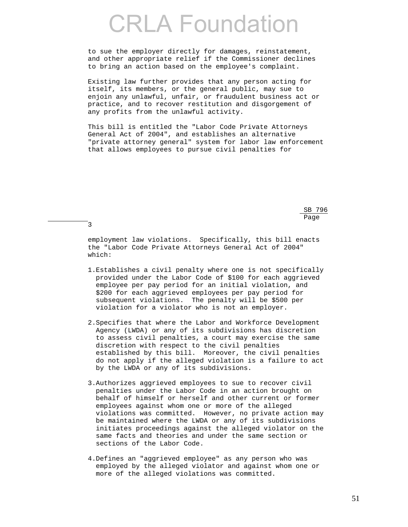to sue the employer directly for damages, reinstatement, and other appropriate relief if the Commissioner declines to bring an action based on the employee's complaint.

 Existing law further provides that any person acting for itself, its members, or the general public, may sue to enjoin any unlawful, unfair, or fraudulent business act or practice, and to recover restitution and disgorgement of any profits from the unlawful activity.

 This bill is entitled the "Labor Code Private Attorneys General Act of 2004", and establishes an alternative "private attorney general" system for labor law enforcement that allows employees to pursue civil penalties for

 $SB$  796 <u>Page and the set of the set of the set of the set of the set of the set of the set of the set of the set of the set of the set of the set of the set of the set of the set of the set of the set of the set of the set of the</u>

> employment law violations. Specifically, this bill enacts the "Labor Code Private Attorneys General Act of 2004" which:

3

- 1.Establishes a civil penalty where one is not specifically provided under the Labor Code of \$100 for each aggrieved employee per pay period for an initial violation, and \$200 for each aggrieved employees per pay period for subsequent violations. The penalty will be \$500 per violation for a violator who is not an employer.
- 2.Specifies that where the Labor and Workforce Development Agency (LWDA) or any of its subdivisions has discretion to assess civil penalties, a court may exercise the same discretion with respect to the civil penalties established by this bill. Moreover, the civil penalties do not apply if the alleged violation is a failure to act by the LWDA or any of its subdivisions.
- 3.Authorizes aggrieved employees to sue to recover civil penalties under the Labor Code in an action brought on behalf of himself or herself and other current or former employees against whom one or more of the alleged violations was committed. However, no private action may be maintained where the LWDA or any of its subdivisions initiates proceedings against the alleged violator on the same facts and theories and under the same section or sections of the Labor Code.
- 4.Defines an "aggrieved employee" as any person who was employed by the alleged violator and against whom one or more of the alleged violations was committed.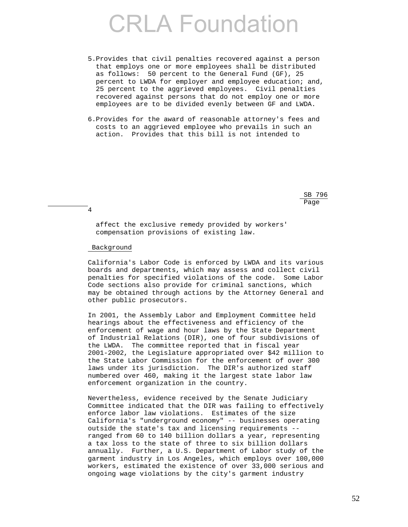- 5.Provides that civil penalties recovered against a person that employs one or more employees shall be distributed as follows: 50 percent to the General Fund (GF), 25 percent to LWDA for employer and employee education; and, 25 percent to the aggrieved employees. Civil penalties recovered against persons that do not employ one or more employees are to be divided evenly between GF and LWDA.
- 6.Provides for the award of reasonable attorney's fees and costs to an aggrieved employee who prevails in such an action. Provides that this bill is not intended to

 $SB$  796 nd a bhainn an chuid ann an t-an chuid ann an chuid ann an chuid ann an chuid ann an chuid ann an chuid an chu

4

 affect the exclusive remedy provided by workers' compensation provisions of existing law.

### Background

 California's Labor Code is enforced by LWDA and its various boards and departments, which may assess and collect civil penalties for specified violations of the code. Some Labor Code sections also provide for criminal sanctions, which may be obtained through actions by the Attorney General and other public prosecutors.

 In 2001, the Assembly Labor and Employment Committee held hearings about the effectiveness and efficiency of the enforcement of wage and hour laws by the State Department of Industrial Relations (DIR), one of four subdivisions of the LWDA. The committee reported that in fiscal year 2001-2002, the Legislature appropriated over \$42 million to the State Labor Commission for the enforcement of over 300 laws under its jurisdiction. The DIR's authorized staff numbered over 460, making it the largest state labor law enforcement organization in the country.

 Nevertheless, evidence received by the Senate Judiciary Committee indicated that the DIR was failing to effectively enforce labor law violations. Estimates of the size California's "underground economy" -- businesses operating outside the state's tax and licensing requirements - ranged from 60 to 140 billion dollars a year, representing a tax loss to the state of three to six billion dollars annually. Further, a U.S. Department of Labor study of the garment industry in Los Angeles, which employs over 100,000 workers, estimated the existence of over 33,000 serious and ongoing wage violations by the city's garment industry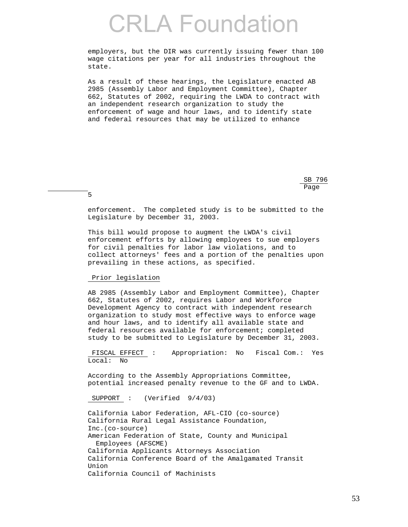employers, but the DIR was currently issuing fewer than 100 wage citations per year for all industries throughout the state.

 As a result of these hearings, the Legislature enacted AB 2985 (Assembly Labor and Employment Committee), Chapter 662, Statutes of 2002, requiring the LWDA to contract with an independent research organization to study the enforcement of wage and hour laws, and to identify state and federal resources that may be utilized to enhance

 $SB$  796 <u>Page and the set of the set of the set of the set of the set of the set of the set of the set of the set of the set of the set of the set of the set of the set of the set of the set of the set of the set of the set of the</u>

> enforcement. The completed study is to be submitted to the Legislature by December 31, 2003.

 This bill would propose to augment the LWDA's civil enforcement efforts by allowing employees to sue employers for civil penalties for labor law violations, and to collect attorneys' fees and a portion of the penalties upon prevailing in these actions, as specified.

Prior legislation

5

 AB 2985 (Assembly Labor and Employment Committee), Chapter 662, Statutes of 2002, requires Labor and Workforce Development Agency to contract with independent research organization to study most effective ways to enforce wage and hour laws, and to identify all available state and federal resources available for enforcement; completed study to be submitted to Legislature by December 31, 2003.

 FISCAL EFFECT : Appropriation: No Fiscal Com.: Yes Local: No

 According to the Assembly Appropriations Committee, potential increased penalty revenue to the GF and to LWDA.

SUPPORT : (Verified 9/4/03)

 California Labor Federation, AFL-CIO (co-source) California Rural Legal Assistance Foundation, Inc.(co-source) American Federation of State, County and Municipal Employees (AFSCME) California Applicants Attorneys Association California Conference Board of the Amalgamated Transit Union California Council of Machinists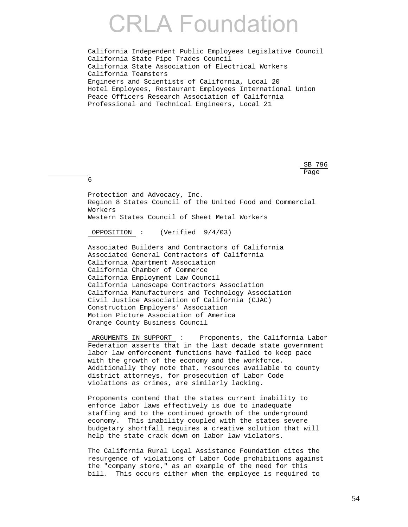California Independent Public Employees Legislative Council California State Pipe Trades Council California State Association of Electrical Workers California Teamsters Engineers and Scientists of California, Local 20 Hotel Employees, Restaurant Employees International Union Peace Officers Research Association of California Professional and Technical Engineers, Local 21

 $SB$  796 <u>Page and the set of the set of the set of the set of the set of the set of the set of the set of the set of the set of the set of the set of the set of the set of the set of the set of the set of the set of the set of the</u>

 Protection and Advocacy, Inc. Region 8 States Council of the United Food and Commercial Workers Western States Council of Sheet Metal Workers

OPPOSITION : (Verified 9/4/03)

6

 Associated Builders and Contractors of California Associated General Contractors of California California Apartment Association California Chamber of Commerce California Employment Law Council California Landscape Contractors Association California Manufacturers and Technology Association Civil Justice Association of California (CJAC) Construction Employers' Association Motion Picture Association of America Orange County Business Council

 ARGUMENTS IN SUPPORT : Proponents, the California Labor Federation asserts that in the last decade state government labor law enforcement functions have failed to keep pace with the growth of the economy and the workforce. Additionally they note that, resources available to county district attorneys, for prosecution of Labor Code violations as crimes, are similarly lacking.

 Proponents contend that the states current inability to enforce labor laws effectively is due to inadequate staffing and to the continued growth of the underground economy. This inability coupled with the states severe budgetary shortfall requires a creative solution that will help the state crack down on labor law violators.

 The California Rural Legal Assistance Foundation cites the resurgence of violations of Labor Code prohibitions against the "company store," as an example of the need for this bill. This occurs either when the employee is required to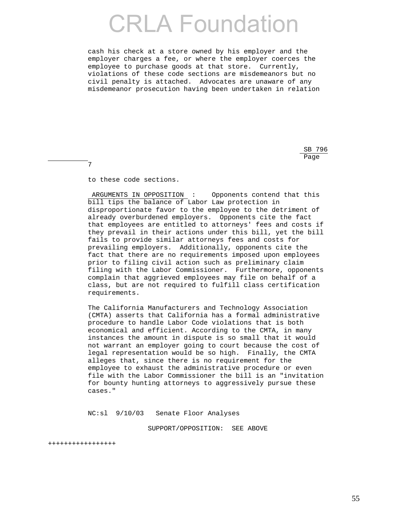cash his check at a store owned by his employer and the employer charges a fee, or where the employer coerces the employee to purchase goods at that store. Currently, violations of these code sections are misdemeanors but no civil penalty is attached. Advocates are unaware of any misdemeanor prosecution having been undertaken in relation

 $SB$  796 <u>Page and the set of the set of the set of the set of the set of the set of the set of the set of the set of the set of the set of the set of the set of the set of the set of the set of the set of the set of the set of the</u>

to these code sections.

7

 ARGUMENTS IN OPPOSITION : Opponents contend that this bill tips the balance of Labor Law protection in disproportionate favor to the employee to the detriment of already overburdened employers. Opponents cite the fact that employees are entitled to attorneys' fees and costs if they prevail in their actions under this bill, yet the bill fails to provide similar attorneys fees and costs for prevailing employers. Additionally, opponents cite the fact that there are no requirements imposed upon employees prior to filing civil action such as preliminary claim filing with the Labor Commissioner. Furthermore, opponents complain that aggrieved employees may file on behalf of a class, but are not required to fulfill class certification requirements.

 The California Manufacturers and Technology Association (CMTA) asserts that California has a formal administrative procedure to handle Labor Code violations that is both economical and efficient. According to the CMTA, in many instances the amount in dispute is so small that it would not warrant an employer going to court because the cost of legal representation would be so high. Finally, the CMTA alleges that, since there is no requirement for the employee to exhaust the administrative procedure or even file with the Labor Commissioner the bill is an "invitation for bounty hunting attorneys to aggressively pursue these cases."

NC:sl 9/10/03 Senate Floor Analyses

SUPPORT/OPPOSITION: SEE ABOVE

+++++++++++++++++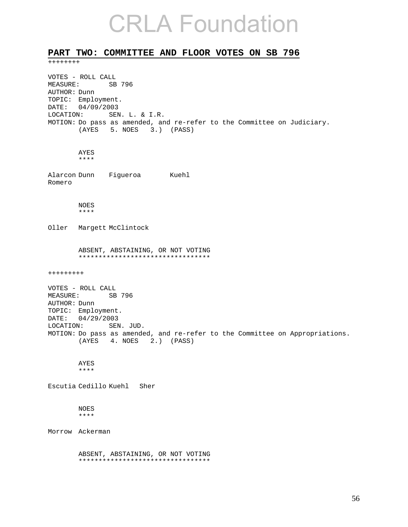### **PART TWO: COMMITTEE AND FLOOR VOTES ON SB 796**

++++++++

VOTES - ROLL CALL MEASURE: SB 796 AUTHOR: Dunn TOPIC: Employment. DATE: 04/09/2003 LOCATION: SEN. L. & I.R. MOTION: Do pass as amended, and re-refer to the Committee on Judiciary. (AYES 5. NOES 3.) (PASS) AYES \*\*\*\* Alarcon Dunn Figueroa Kuehl Romero NOES \*\*\*\* Oller Margett McClintock ABSENT, ABSTAINING, OR NOT VOTING \*\*\*\*\*\*\*\*\*\*\*\*\*\*\*\*\*\*\*\*\*\*\*\*\*\*\*\*\*\*\*\*\* +++++++++ VOTES - ROLL CALL<br>MEASURE: SB SB 796 AUTHOR: Dunn TOPIC: Employment. DATE: 04/29/2003 LOCATION: SEN. JUD. MOTION: Do pass as amended, and re-refer to the Committee on Appropriations. (AYES 4. NOES 2.) (PASS) AYES \*\*\*\* Escutia Cedillo Kuehl Sher NOES \*\*\*\* Morrow Ackerman ABSENT, ABSTAINING, OR NOT VOTING \*\*\*\*\*\*\*\*\*\*\*\*\*\*\*\*\*\*\*\*\*\*\*\*\*\*\*\*\*\*\*\*\*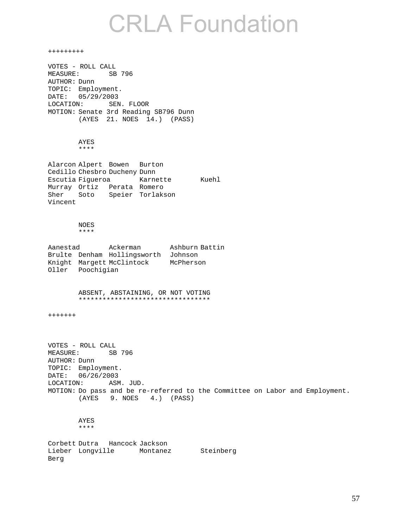+++++++++ VOTES - ROLL CALL MEASURE: SB 796 AUTHOR: Dunn TOPIC: Employment. DATE: 05/29/2003 LOCATION: SEN. FLOOR MOTION: Senate 3rd Reading SB796 Dunn (AYES 21. NOES 14.) (PASS) AYES \*\*\*\* Alarcon Alpert Bowen Burton Cedillo Chesbro Ducheny Dunn Escutia Figueroa Karnette Kuehl Murray Ortiz Perata Romero Sher Soto Speier Torlakson Vincent NOES \*\*\*\* Aanestad Ackerman Ashburn Battin Brulte Denham Hollingsworth Johnson Knight Margett McClintock McPherson Oller Poochigian ABSENT, ABSTAINING, OR NOT VOTING \*\*\*\*\*\*\*\*\*\*\*\*\*\*\*\*\*\*\*\*\*\*\*\*\*\*\*\*\*\*\*\*\* +++++++ VOTES - ROLL CALL MEASURE: SB 796 AUTHOR: Dunn TOPIC: Employment. DATE: 06/26/2003 LOCATION: ASM. JUD. MOTION: Do pass and be re-referred to the Committee on Labor and Employment. (AYES 9. NOES 4.) (PASS) AYES \*\*\*\* Corbett Dutra Hancock Jackson Lieber Longville Montanez Steinberg Berg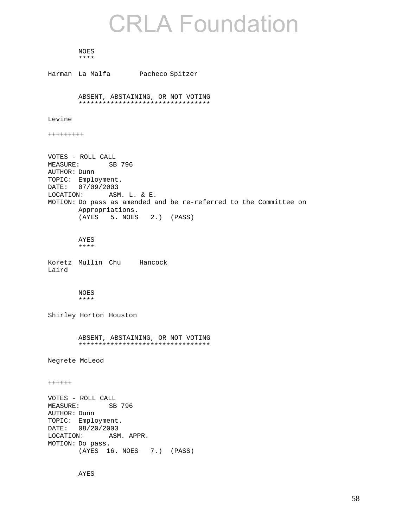NOES \*\*\*\*

Harman La Malfa Pacheco Spitzer ABSENT, ABSTAINING, OR NOT VOTING \*\*\*\*\*\*\*\*\*\*\*\*\*\*\*\*\*\*\*\*\*\*\*\*\*\*\*\*\*\*\*\*\* Levine +++++++++ VOTES - ROLL CALL MEASURE: SB 796 AUTHOR: Dunn TOPIC: Employment. DATE: 07/09/2003 LOCATION: ASM. L. & E. MOTION: Do pass as amended and be re-referred to the Committee on Appropriations. (AYES 5. NOES 2.) (PASS) AYES \*\*\*\* Koretz Mullin Chu Hancock Laird NOES \*\*\*\* Shirley Horton Houston ABSENT, ABSTAINING, OR NOT VOTING \*\*\*\*\*\*\*\*\*\*\*\*\*\*\*\*\*\*\*\*\*\*\*\*\*\*\*\*\*\*\*\*\* Negrete McLeod ++++++ VOTES - ROLL CALL MEASURE: SB 796 AUTHOR: Dunn TOPIC: Employment. DATE: 08/20/2003 LOCATION: ASM. APPR. MOTION: Do pass. (AYES 16. NOES 7.) (PASS)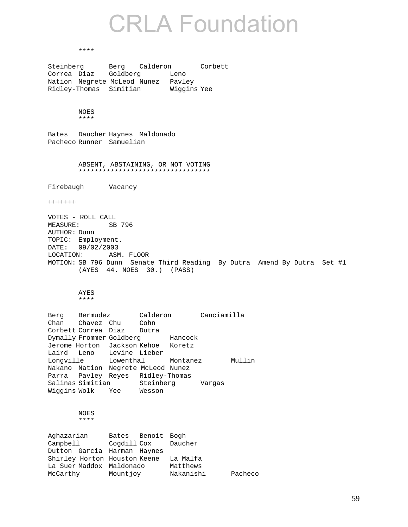#### \*\*\*\*

Steinberg Berg Calderon Corbett Correa Diaz Goldberg Leno Nation Negrete McLeod Nunez Pavley Ridley-Thomas Simitian Wiggins Yee NOES \*\*\*\* Bates Daucher Haynes Maldonado Pacheco Runner Samuelian ABSENT, ABSTAINING, OR NOT VOTING \*\*\*\*\*\*\*\*\*\*\*\*\*\*\*\*\*\*\*\*\*\*\*\*\*\*\*\*\*\*\*\*\* Firebaugh Vacancy +++++++ VOTES - ROLL CALL MEASURE: SB 796 AUTHOR: Dunn TOPIC: Employment. DATE: 09/02/2003 LOCATION: ASM. FLOOR MOTION: SB 796 Dunn Senate Third Reading By Dutra Amend By Dutra Set #1 (AYES 44. NOES 30.) (PASS) AYES \*\*\*\* Berg Bermudez Calderon Canciamilla Chan Chavez Chu Cohn Corbett Correa Diaz Dutra<br>Dymally Frommer Goldberg Hancock Dymally Frommer Goldberg Jerome Horton Jackson Kehoe Koretz Laird Leno Levine Lieber<br>Longville Lowenthal Lowenthal Montanez Mullin Nakano Nation Negrete McLeod Nunez Parra Pavley Reyes Ridley-Thomas Salinas Simitian Steinberg Vargas Wiggins Wolk Yee Wesson NOES \*\*\*\* Aghazarian Bates Benoit Bogh Campbell Cogdill Cox Daucher Dutton Garcia Harman Haynes Shirley Horton Houston Keene La Malfa La Suer Maddox Maldonado Matthews McCarthy Mountjoy Nakanishi Pacheco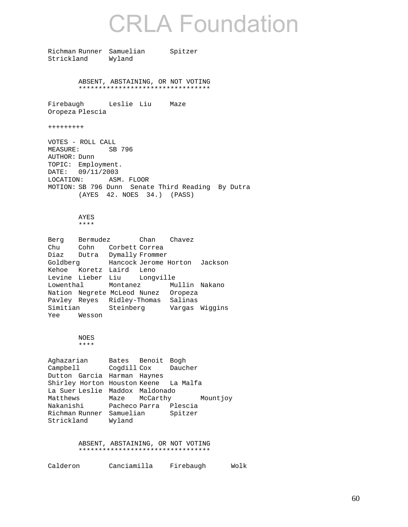Richman Runner Samuelian Spitzer Strickland Wyland

> ABSENT, ABSTAINING, OR NOT VOTING \*\*\*\*\*\*\*\*\*\*\*\*\*\*\*\*\*\*\*\*\*\*\*\*\*\*\*\*\*\*\*\*\*

Firebaugh Leslie Liu Maze Oropeza Plescia

+++++++++

VOTES - ROLL CALL MEASURE: SB 796 AUTHOR: Dunn TOPIC: Employment. DATE: 09/11/2003 LOCATION: ASM. FLOOR MOTION: SB 796 Dunn Senate Third Reading By Dutra (AYES 42. NOES 34.) (PASS)

### AYES

\*\*\*\*

Berg Bermudez Chan Chavez Chu Cohn Corbett Correa Diaz Dutra Dymally Frommer Goldberg Hancock Jerome Horton Jackson Kehoe Koretz Laird Leno Levine Lieber Liu Longville Lowenthal Montanez Mullin Nakano Nation Negrete McLeod Nunez Oropeza Pavley Reyes Ridley-Thomas Salinas Simitian Steinberg Vargas Wiggins Yee Wesson

### NOES \*\*\*\*

Aghazarian Bates Benoit Bogh Campbell Cogdill Cox Daucher Dutton Garcia Harman Haynes Shirley Horton Houston Keene La Malfa La Suer Leslie Maddox Maldonado Matthews Maze McCarthy Mountjoy Nakanishi Pacheco Parra Plescia Richman Runner Samuelian Spitzer Strickland Wyland

> ABSENT, ABSTAINING, OR NOT VOTING \*\*\*\*\*\*\*\*\*\*\*\*\*\*\*\*\*\*\*\*\*\*\*\*\*\*\*\*\*\*\*\*\*

| Calderon | Canciamilla | Firebaugh | Wolk |
|----------|-------------|-----------|------|
|----------|-------------|-----------|------|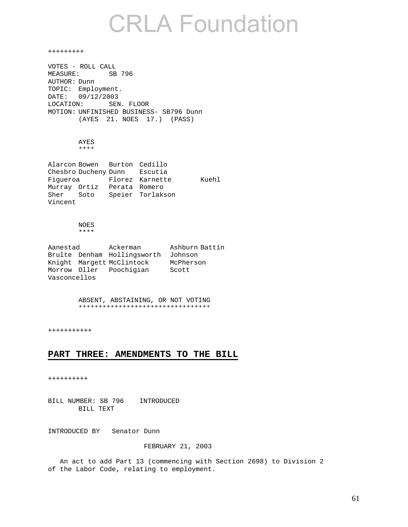+++++++++ VOTES - ROLL CALL MEASURE: SB 796 AUTHOR: Dunn TOPIC: Employment. DATE: 09/12/2003 LOCATION: SEN. FLOOR MOTION: UNFINISHED BUSINESS- SB796 Dunn (AYES 21. NOES 17.) (PASS) AYES \*\*\*\* Alarcon Bowen Burton Cedillo Chesbro Ducheny Dunn Escutia<br>Figueroa Florez Karnette Florez Karnette Kuehl Murray Ortiz Perata Romero Sher Soto Speier Torlakson Vincent NOES

### \*\*\*\*

Aanestad Ackerman Ashburn Battin Brulte Denham Hollingsworth Johnson Knight Margett McClintock McPherson Morrow Oller Poochigian Scott Vasconcellos

### ABSENT, ABSTAINING, OR NOT VOTING \*\*\*\*\*\*\*\*\*\*\*\*\*\*\*\*\*\*\*\*\*\*\*\*\*\*\*\*\*\*\*\*\*

+++++++++++

### **PART THREE: AMENDMENTS TO THE BILL**

++++++++++

BILL NUMBER: SB 796 INTRODUCED BILL TEXT

INTRODUCED BY Senator Dunn

### FEBRUARY 21, 2003

 An act to add Part 13 (commencing with Section 2698) to Division 2 of the Labor Code, relating to employment.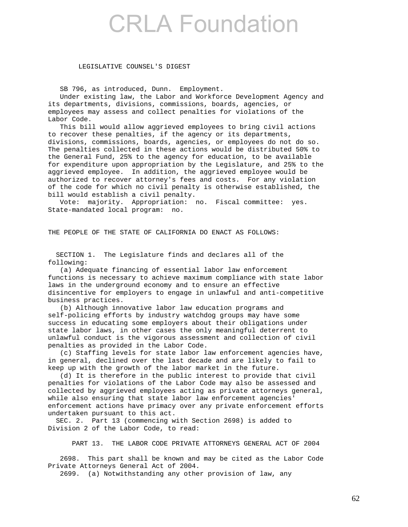### LEGISLATIVE COUNSEL'S DIGEST

SB 796, as introduced, Dunn. Employment.

 Under existing law, the Labor and Workforce Development Agency and its departments, divisions, commissions, boards, agencies, or employees may assess and collect penalties for violations of the Labor Code.

 This bill would allow aggrieved employees to bring civil actions to recover these penalties, if the agency or its departments, divisions, commissions, boards, agencies, or employees do not do so. The penalties collected in these actions would be distributed 50% to the General Fund, 25% to the agency for education, to be available for expenditure upon appropriation by the Legislature, and 25% to the aggrieved employee. In addition, the aggrieved employee would be authorized to recover attorney's fees and costs. For any violation of the code for which no civil penalty is otherwise established, the bill would establish a civil penalty.

 Vote: majority. Appropriation: no. Fiscal committee: yes. State-mandated local program: no.

THE PEOPLE OF THE STATE OF CALIFORNIA DO ENACT AS FOLLOWS:

 SECTION 1. The Legislature finds and declares all of the following:

 (a) Adequate financing of essential labor law enforcement functions is necessary to achieve maximum compliance with state labor laws in the underground economy and to ensure an effective disincentive for employers to engage in unlawful and anti-competitive business practices.

 (b) Although innovative labor law education programs and self-policing efforts by industry watchdog groups may have some success in educating some employers about their obligations under state labor laws, in other cases the only meaningful deterrent to unlawful conduct is the vigorous assessment and collection of civil penalties as provided in the Labor Code.

 (c) Staffing levels for state labor law enforcement agencies have, in general, declined over the last decade and are likely to fail to keep up with the growth of the labor market in the future.

 (d) It is therefore in the public interest to provide that civil penalties for violations of the Labor Code may also be assessed and collected by aggrieved employees acting as private attorneys general, while also ensuring that state labor law enforcement agencies' enforcement actions have primacy over any private enforcement efforts undertaken pursuant to this act.

 SEC. 2. Part 13 (commencing with Section 2698) is added to Division 2 of the Labor Code, to read:

PART 13. THE LABOR CODE PRIVATE ATTORNEYS GENERAL ACT OF 2004

 2698. This part shall be known and may be cited as the Labor Code Private Attorneys General Act of 2004.

2699. (a) Notwithstanding any other provision of law, any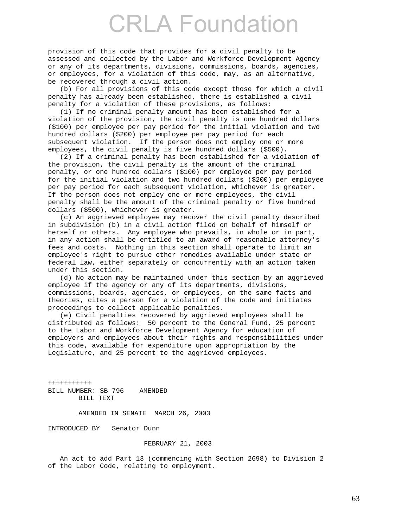provision of this code that provides for a civil penalty to be assessed and collected by the Labor and Workforce Development Agency or any of its departments, divisions, commissions, boards, agencies, or employees, for a violation of this code, may, as an alternative, be recovered through a civil action.

 (b) For all provisions of this code except those for which a civil penalty has already been established, there is established a civil penalty for a violation of these provisions, as follows:

 (1) If no criminal penalty amount has been established for a violation of the provision, the civil penalty is one hundred dollars (\$100) per employee per pay period for the initial violation and two hundred dollars (\$200) per employee per pay period for each subsequent violation. If the person does not employ one or more employees, the civil penalty is five hundred dollars (\$500).

 (2) If a criminal penalty has been established for a violation of the provision, the civil penalty is the amount of the criminal penalty, or one hundred dollars (\$100) per employee per pay period for the initial violation and two hundred dollars (\$200) per employee per pay period for each subsequent violation, whichever is greater. If the person does not employ one or more employees, the civil penalty shall be the amount of the criminal penalty or five hundred dollars (\$500), whichever is greater.

 (c) An aggrieved employee may recover the civil penalty described in subdivision (b) in a civil action filed on behalf of himself or herself or others. Any employee who prevails, in whole or in part, in any action shall be entitled to an award of reasonable attorney's fees and costs. Nothing in this section shall operate to limit an employee's right to pursue other remedies available under state or federal law, either separately or concurrently with an action taken under this section.

 (d) No action may be maintained under this section by an aggrieved employee if the agency or any of its departments, divisions, commissions, boards, agencies, or employees, on the same facts and theories, cites a person for a violation of the code and initiates proceedings to collect applicable penalties.

 (e) Civil penalties recovered by aggrieved employees shall be distributed as follows: 50 percent to the General Fund, 25 percent to the Labor and Workforce Development Agency for education of employers and employees about their rights and responsibilities under this code, available for expenditure upon appropriation by the Legislature, and 25 percent to the aggrieved employees.

+++++++++++ BILL NUMBER: SB 796 AMENDED BILL TEXT

AMENDED IN SENATE MARCH 26, 2003

INTRODUCED BY Senator Dunn

### FEBRUARY 21, 2003

 An act to add Part 13 (commencing with Section 2698) to Division 2 of the Labor Code, relating to employment.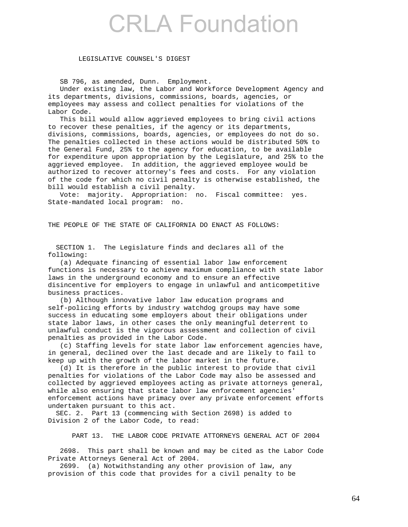### LEGISLATIVE COUNSEL'S DIGEST

SB 796, as amended, Dunn. Employment.

 Under existing law, the Labor and Workforce Development Agency and its departments, divisions, commissions, boards, agencies, or employees may assess and collect penalties for violations of the Labor Code.

 This bill would allow aggrieved employees to bring civil actions to recover these penalties, if the agency or its departments, divisions, commissions, boards, agencies, or employees do not do so. The penalties collected in these actions would be distributed 50% to the General Fund, 25% to the agency for education, to be available for expenditure upon appropriation by the Legislature, and 25% to the aggrieved employee. In addition, the aggrieved employee would be authorized to recover attorney's fees and costs. For any violation of the code for which no civil penalty is otherwise established, the bill would establish a civil penalty.

 Vote: majority. Appropriation: no. Fiscal committee: yes. State-mandated local program: no.

THE PEOPLE OF THE STATE OF CALIFORNIA DO ENACT AS FOLLOWS:

 SECTION 1. The Legislature finds and declares all of the following:

 (a) Adequate financing of essential labor law enforcement functions is necessary to achieve maximum compliance with state labor laws in the underground economy and to ensure an effective disincentive for employers to engage in unlawful and anticompetitive business practices.

 (b) Although innovative labor law education programs and self-policing efforts by industry watchdog groups may have some success in educating some employers about their obligations under state labor laws, in other cases the only meaningful deterrent to unlawful conduct is the vigorous assessment and collection of civil penalties as provided in the Labor Code.

 (c) Staffing levels for state labor law enforcement agencies have, in general, declined over the last decade and are likely to fail to keep up with the growth of the labor market in the future.

 (d) It is therefore in the public interest to provide that civil penalties for violations of the Labor Code may also be assessed and collected by aggrieved employees acting as private attorneys general, while also ensuring that state labor law enforcement agencies' enforcement actions have primacy over any private enforcement efforts undertaken pursuant to this act.

 SEC. 2. Part 13 (commencing with Section 2698) is added to Division 2 of the Labor Code, to read:

PART 13. THE LABOR CODE PRIVATE ATTORNEYS GENERAL ACT OF 2004

 2698. This part shall be known and may be cited as the Labor Code Private Attorneys General Act of 2004.

 2699. (a) Notwithstanding any other provision of law, any provision of this code that provides for a civil penalty to be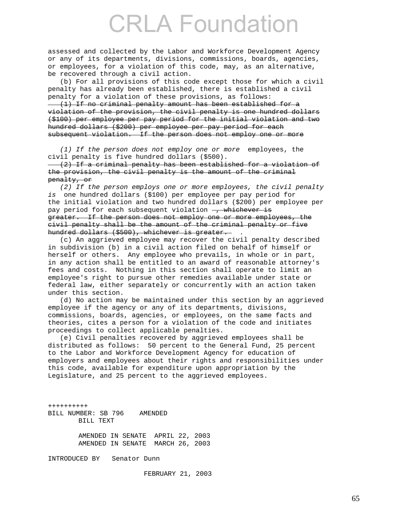assessed and collected by the Labor and Workforce Development Agency or any of its departments, divisions, commissions, boards, agencies, or employees, for a violation of this code, may, as an alternative, be recovered through a civil action.

 (b) For all provisions of this code except those for which a civil penalty has already been established, there is established a civil penalty for a violation of these provisions, as follows: (1) If no criminal penalty amount has been established for a

violation of the provision, the civil penalty is one hundred dollars (\$100) per employee per pay period for the initial violation and two hundred dollars (\$200) per employee per pay period for each subsequent violation. If the person does not employ one or more

 *(1) If the person does not employ one or more* employees, the civil penalty is five hundred dollars (\$500).

 (2) If a criminal penalty has been established for a violation of the provision, the civil penalty is the amount of the criminal penalty, or

 *(2) If the person employs one or more employees, the civil penalty is* one hundred dollars (\$100) per employee per pay period for the initial violation and two hundred dollars (\$200) per employee per pay period for each subsequent violation – whichever is greater. If the person does not employ one or more employees, the civil penalty shall be the amount of the criminal penalty or five hundred dollars (\$500), whichever is greater. *.* 

 (c) An aggrieved employee may recover the civil penalty described in subdivision (b) in a civil action filed on behalf of himself or herself or others. Any employee who prevails, in whole or in part, in any action shall be entitled to an award of reasonable attorney's fees and costs. Nothing in this section shall operate to limit an employee's right to pursue other remedies available under state or federal law, either separately or concurrently with an action taken under this section.

 (d) No action may be maintained under this section by an aggrieved employee if the agency or any of its departments, divisions, commissions, boards, agencies, or employees, on the same facts and theories, cites a person for a violation of the code and initiates proceedings to collect applicable penalties.

 (e) Civil penalties recovered by aggrieved employees shall be distributed as follows: 50 percent to the General Fund, 25 percent to the Labor and Workforce Development Agency for education of employers and employees about their rights and responsibilities under this code, available for expenditure upon appropriation by the Legislature, and 25 percent to the aggrieved employees.

++++++++++ BILL NUMBER: SB 796 AMENDED BILL TEXT AMENDED IN SENATE APRIL 22, 2003

AMENDED IN SENATE MARCH 26, 2003

INTRODUCED BY Senator Dunn

FEBRUARY 21, 2003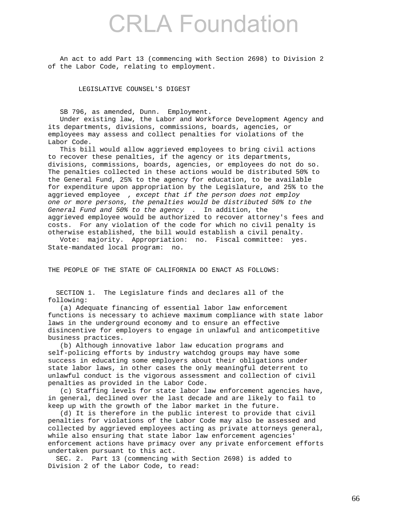An act to add Part 13 (commencing with Section 2698) to Division 2 of the Labor Code, relating to employment.

LEGISLATIVE COUNSEL'S DIGEST

SB 796, as amended, Dunn. Employment.

 Under existing law, the Labor and Workforce Development Agency and its departments, divisions, commissions, boards, agencies, or employees may assess and collect penalties for violations of the Labor Code.

 This bill would allow aggrieved employees to bring civil actions to recover these penalties, if the agency or its departments, divisions, commissions, boards, agencies, or employees do not do so. The penalties collected in these actions would be distributed 50% to the General Fund, 25% to the agency for education, to be available for expenditure upon appropriation by the Legislature, and 25% to the aggrieved employee *, except that if the person does not employ one or more persons, the penalties would be distributed 50% to the General Fund and 50% to the agency* . In addition, the aggrieved employee would be authorized to recover attorney's fees and costs. For any violation of the code for which no civil penalty is otherwise established, the bill would establish a civil penalty.

 Vote: majority. Appropriation: no. Fiscal committee: yes. State-mandated local program: no.

THE PEOPLE OF THE STATE OF CALIFORNIA DO ENACT AS FOLLOWS:

 SECTION 1. The Legislature finds and declares all of the following:

 (a) Adequate financing of essential labor law enforcement functions is necessary to achieve maximum compliance with state labor laws in the underground economy and to ensure an effective disincentive for employers to engage in unlawful and anticompetitive business practices.

 (b) Although innovative labor law education programs and self-policing efforts by industry watchdog groups may have some success in educating some employers about their obligations under state labor laws, in other cases the only meaningful deterrent to unlawful conduct is the vigorous assessment and collection of civil penalties as provided in the Labor Code.

 (c) Staffing levels for state labor law enforcement agencies have, in general, declined over the last decade and are likely to fail to keep up with the growth of the labor market in the future.

 (d) It is therefore in the public interest to provide that civil penalties for violations of the Labor Code may also be assessed and collected by aggrieved employees acting as private attorneys general, while also ensuring that state labor law enforcement agencies' enforcement actions have primacy over any private enforcement efforts undertaken pursuant to this act.

 SEC. 2. Part 13 (commencing with Section 2698) is added to Division 2 of the Labor Code, to read: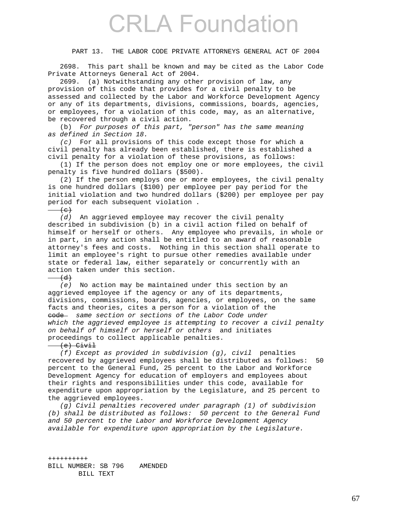### PART 13. THE LABOR CODE PRIVATE ATTORNEYS GENERAL ACT OF 2004

 2698. This part shall be known and may be cited as the Labor Code Private Attorneys General Act of 2004.

 2699. (a) Notwithstanding any other provision of law, any provision of this code that provides for a civil penalty to be assessed and collected by the Labor and Workforce Development Agency or any of its departments, divisions, commissions, boards, agencies, or employees, for a violation of this code, may, as an alternative, be recovered through a civil action.

 (b) *For purposes of this part, "person" has the same meaning as defined in Section 18.* 

 *(c)* For all provisions of this code except those for which a civil penalty has already been established, there is established a civil penalty for a violation of these provisions, as follows:

 (1) If the person does not employ one or more employees, the civil penalty is five hundred dollars (\$500).

 (2) If the person employs one or more employees, the civil penalty is one hundred dollars (\$100) per employee per pay period for the initial violation and two hundred dollars (\$200) per employee per pay period for each subsequent violation .

### $\left( e\right)$

 *(d)* An aggrieved employee may recover the civil penalty described in subdivision (b) in a civil action filed on behalf of himself or herself or others. Any employee who prevails, in whole or in part, in any action shall be entitled to an award of reasonable attorney's fees and costs. Nothing in this section shall operate to limit an employee's right to pursue other remedies available under state or federal law, either separately or concurrently with an action taken under this section.

### $(d)$

 *(e)* No action may be maintained under this section by an aggrieved employee if the agency or any of its departments, divisions, commissions, boards, agencies, or employees, on the same facts and theories, cites a person for a violation of the code *same section or sections of the Labor Code under which the aggrieved employee is attempting to recover a civil penalty on behalf of himself or herself or others* and initiates proceedings to collect applicable penalties.

### $(-6)$  Civil

 *(f) Except as provided in subdivision (g), civil* penalties recovered by aggrieved employees shall be distributed as follows: 50 percent to the General Fund, 25 percent to the Labor and Workforce Development Agency for education of employers and employees about their rights and responsibilities under this code, available for expenditure upon appropriation by the Legislature, and 25 percent to the aggrieved employees.

 *(g) Civil penalties recovered under paragraph (1) of subdivision (b) shall be distributed as follows: 50 percent to the General Fund and 50 percent to the Labor and Workforce Development Agency available for expenditure upon appropriation by the Legislature.* 

*++++++++++*  BILL NUMBER: SB 796 AMENDED BILL TEXT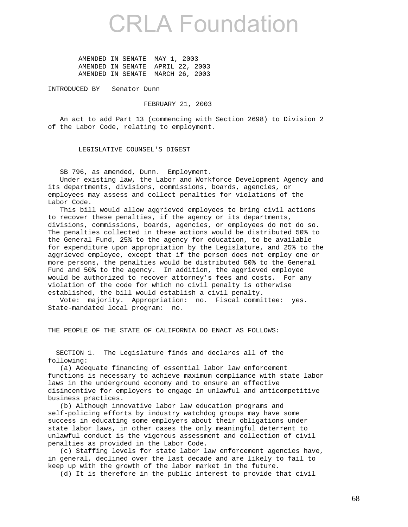AMENDED IN SENATE MAY 1, 2003 AMENDED IN SENATE APRIL 22, 2003 AMENDED IN SENATE MARCH 26, 2003

INTRODUCED BY Senator Dunn

### FEBRUARY 21, 2003

 An act to add Part 13 (commencing with Section 2698) to Division 2 of the Labor Code, relating to employment.

LEGISLATIVE COUNSEL'S DIGEST

SB 796, as amended, Dunn. Employment.

 Under existing law, the Labor and Workforce Development Agency and its departments, divisions, commissions, boards, agencies, or employees may assess and collect penalties for violations of the Labor Code.

 This bill would allow aggrieved employees to bring civil actions to recover these penalties, if the agency or its departments, divisions, commissions, boards, agencies, or employees do not do so. The penalties collected in these actions would be distributed 50% to the General Fund, 25% to the agency for education, to be available for expenditure upon appropriation by the Legislature, and 25% to the aggrieved employee, except that if the person does not employ one or more persons, the penalties would be distributed 50% to the General Fund and 50% to the agency. In addition, the aggrieved employee would be authorized to recover attorney's fees and costs. For any violation of the code for which no civil penalty is otherwise established, the bill would establish a civil penalty.

 Vote: majority. Appropriation: no. Fiscal committee: yes. State-mandated local program: no.

THE PEOPLE OF THE STATE OF CALIFORNIA DO ENACT AS FOLLOWS:

 SECTION 1. The Legislature finds and declares all of the following:

 (a) Adequate financing of essential labor law enforcement functions is necessary to achieve maximum compliance with state labor laws in the underground economy and to ensure an effective disincentive for employers to engage in unlawful and anticompetitive business practices.

 (b) Although innovative labor law education programs and self-policing efforts by industry watchdog groups may have some success in educating some employers about their obligations under state labor laws, in other cases the only meaningful deterrent to unlawful conduct is the vigorous assessment and collection of civil penalties as provided in the Labor Code.

 (c) Staffing levels for state labor law enforcement agencies have, in general, declined over the last decade and are likely to fail to keep up with the growth of the labor market in the future.

(d) It is therefore in the public interest to provide that civil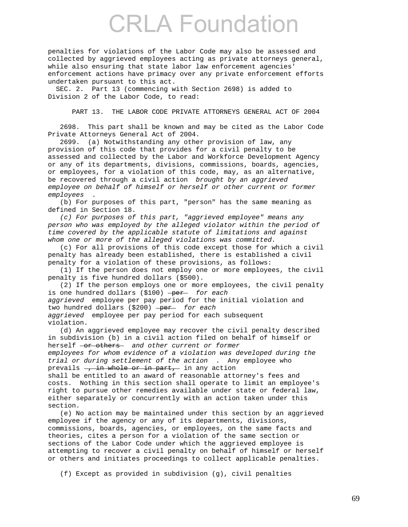penalties for violations of the Labor Code may also be assessed and collected by aggrieved employees acting as private attorneys general, while also ensuring that state labor law enforcement agencies' enforcement actions have primacy over any private enforcement efforts undertaken pursuant to this act.

 SEC. 2. Part 13 (commencing with Section 2698) is added to Division 2 of the Labor Code, to read:

PART 13. THE LABOR CODE PRIVATE ATTORNEYS GENERAL ACT OF 2004

 2698. This part shall be known and may be cited as the Labor Code Private Attorneys General Act of 2004.

 2699. (a) Notwithstanding any other provision of law, any provision of this code that provides for a civil penalty to be assessed and collected by the Labor and Workforce Development Agency or any of its departments, divisions, commissions, boards, agencies, or employees, for a violation of this code, may, as an alternative, be recovered through a civil action *brought by an aggrieved employee on behalf of himself or herself or other current or former employees* .

 (b) For purposes of this part, "person" has the same meaning as defined in Section 18.

 *(c) For purposes of this part, "aggrieved employee" means any person who was employed by the alleged violator within the period of time covered by the applicable statute of limitations and against whom one or more of the alleged violations was committed.* 

 (c) For all provisions of this code except those for which a civil penalty has already been established, there is established a civil penalty for a violation of these provisions, as follows:

 (1) If the person does not employ one or more employees, the civil penalty is five hundred dollars (\$500).

 (2) If the person employs one or more employees, the civil penalty is one hundred dollars (\$100) -per for each *aggrieved* employee per pay period for the initial violation and two hundred dollars (\$200) -per for each *aggrieved* employee per pay period for each subsequent violation.

 (d) An aggrieved employee may recover the civil penalty described in subdivision (b) in a civil action filed on behalf of himself or herself <del>or others</del> and other current or former *employees for whom evidence of a violation was developed during the trial or during settlement of the action* . Any employee who prevails  $\frac{1}{2}$  in whole or in part, in any action shall be entitled to an award of reasonable attorney's fees and costs. Nothing in this section shall operate to limit an employee's right to pursue other remedies available under state or federal law, either separately or concurrently with an action taken under this section.

 (e) No action may be maintained under this section by an aggrieved employee if the agency or any of its departments, divisions, commissions, boards, agencies, or employees, on the same facts and theories, cites a person for a violation of the same section or sections of the Labor Code under which the aggrieved employee is attempting to recover a civil penalty on behalf of himself or herself or others and initiates proceedings to collect applicable penalties.

(f) Except as provided in subdivision (g), civil penalties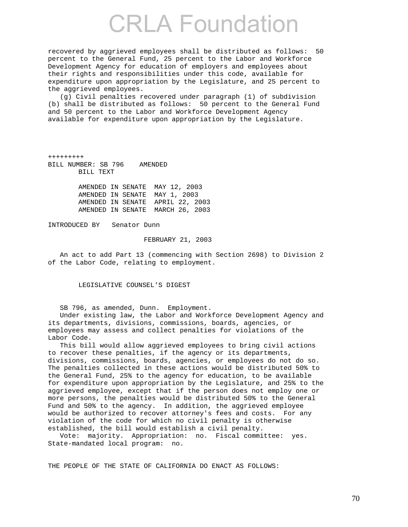recovered by aggrieved employees shall be distributed as follows: 50 percent to the General Fund, 25 percent to the Labor and Workforce Development Agency for education of employers and employees about their rights and responsibilities under this code, available for expenditure upon appropriation by the Legislature, and 25 percent to the aggrieved employees.

 (g) Civil penalties recovered under paragraph (1) of subdivision (b) shall be distributed as follows: 50 percent to the General Fund and 50 percent to the Labor and Workforce Development Agency available for expenditure upon appropriation by the Legislature.

+++++++++ BILL NUMBER: SB 796 AMENDED BILL TEXT

> AMENDED IN SENATE MAY 12, 2003 AMENDED IN SENATE MAY 1, 2003 AMENDED IN SENATE APRIL 22, 2003 AMENDED IN SENATE MARCH 26, 2003

INTRODUCED BY Senator Dunn

#### FEBRUARY 21, 2003

 An act to add Part 13 (commencing with Section 2698) to Division 2 of the Labor Code, relating to employment.

LEGISLATIVE COUNSEL'S DIGEST

SB 796, as amended, Dunn. Employment.

 Under existing law, the Labor and Workforce Development Agency and its departments, divisions, commissions, boards, agencies, or employees may assess and collect penalties for violations of the Labor Code.

 This bill would allow aggrieved employees to bring civil actions to recover these penalties, if the agency or its departments, divisions, commissions, boards, agencies, or employees do not do so. The penalties collected in these actions would be distributed 50% to the General Fund, 25% to the agency for education, to be available for expenditure upon appropriation by the Legislature, and 25% to the aggrieved employee, except that if the person does not employ one or more persons, the penalties would be distributed 50% to the General Fund and 50% to the agency. In addition, the aggrieved employee would be authorized to recover attorney's fees and costs. For any violation of the code for which no civil penalty is otherwise established, the bill would establish a civil penalty.

 Vote: majority. Appropriation: no. Fiscal committee: yes. State-mandated local program: no.

THE PEOPLE OF THE STATE OF CALIFORNIA DO ENACT AS FOLLOWS: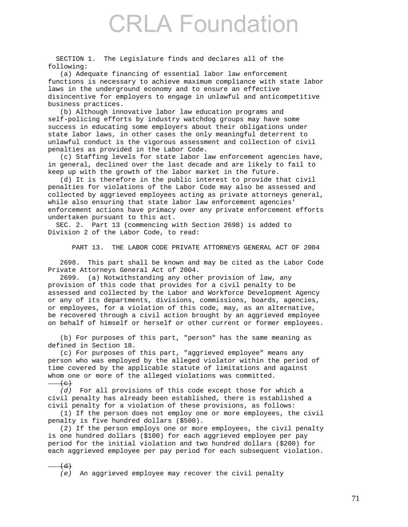SECTION 1. The Legislature finds and declares all of the following:

 (a) Adequate financing of essential labor law enforcement functions is necessary to achieve maximum compliance with state labor laws in the underground economy and to ensure an effective disincentive for employers to engage in unlawful and anticompetitive business practices.

 (b) Although innovative labor law education programs and self-policing efforts by industry watchdog groups may have some success in educating some employers about their obligations under state labor laws, in other cases the only meaningful deterrent to unlawful conduct is the vigorous assessment and collection of civil penalties as provided in the Labor Code.

 (c) Staffing levels for state labor law enforcement agencies have, in general, declined over the last decade and are likely to fail to keep up with the growth of the labor market in the future.

 (d) It is therefore in the public interest to provide that civil penalties for violations of the Labor Code may also be assessed and collected by aggrieved employees acting as private attorneys general, while also ensuring that state labor law enforcement agencies' enforcement actions have primacy over any private enforcement efforts undertaken pursuant to this act.

 SEC. 2. Part 13 (commencing with Section 2698) is added to Division 2 of the Labor Code, to read:

PART 13. THE LABOR CODE PRIVATE ATTORNEYS GENERAL ACT OF 2004

 2698. This part shall be known and may be cited as the Labor Code Private Attorneys General Act of 2004.

 2699. (a) Notwithstanding any other provision of law, any provision of this code that provides for a civil penalty to be assessed and collected by the Labor and Workforce Development Agency or any of its departments, divisions, commissions, boards, agencies, or employees, for a violation of this code, may, as an alternative, be recovered through a civil action brought by an aggrieved employee on behalf of himself or herself or other current or former employees.

 (b) For purposes of this part, "person" has the same meaning as defined in Section 18.

 (c) For purposes of this part, "aggrieved employee" means any person who was employed by the alleged violator within the period of time covered by the applicable statute of limitations and against whom one or more of the alleged violations was committed.  $(e)$ 

 *(d)* For all provisions of this code except those for which a civil penalty has already been established, there is established a civil penalty for a violation of these provisions, as follows:

 (1) If the person does not employ one or more employees, the civil penalty is five hundred dollars (\$500).

 (2) If the person employs one or more employees, the civil penalty is one hundred dollars (\$100) for each aggrieved employee per pay period for the initial violation and two hundred dollars (\$200) for each aggrieved employee per pay period for each subsequent violation.

 $(d)$  *(e)* An aggrieved employee may recover the civil penalty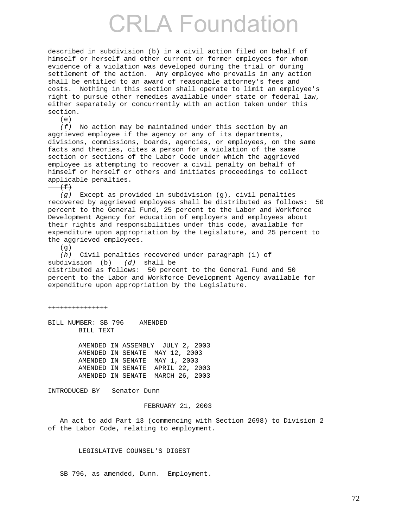described in subdivision (b) in a civil action filed on behalf of himself or herself and other current or former employees for whom evidence of a violation was developed during the trial or during settlement of the action. Any employee who prevails in any action shall be entitled to an award of reasonable attorney's fees and costs. Nothing in this section shall operate to limit an employee's right to pursue other remedies available under state or federal law, either separately or concurrently with an action taken under this section.

 $\left( e\right)$  *(f)* No action may be maintained under this section by an aggrieved employee if the agency or any of its departments, divisions, commissions, boards, agencies, or employees, on the same facts and theories, cites a person for a violation of the same section or sections of the Labor Code under which the aggrieved employee is attempting to recover a civil penalty on behalf of himself or herself or others and initiates proceedings to collect applicable penalties.  $\left( f\right)$  *(g)* Except as provided in subdivision (g), civil penalties recovered by aggrieved employees shall be distributed as follows: 50 percent to the General Fund, 25 percent to the Labor and Workforce Development Agency for education of employers and employees about their rights and responsibilities under this code, available for expenditure upon appropriation by the Legislature, and 25 percent to the aggrieved employees.

 $\rightarrow$ 

 *(h)* Civil penalties recovered under paragraph (1) of subdivision  $\overline{(b)}$  *(d)* shall be distributed as follows: 50 percent to the General Fund and 50 percent to the Labor and Workforce Development Agency available for

+++++++++++++++

BILL NUMBER: SB 796 AMENDED BILL TEXT

> AMENDED IN ASSEMBLY JULY 2, 2003 AMENDED IN SENATE MAY 12, 2003 AMENDED IN SENATE MAY 1, 2003 AMENDED IN SENATE APRIL 22, 2003 AMENDED IN SENATE MARCH 26, 2003

expenditure upon appropriation by the Legislature.

INTRODUCED BY Senator Dunn

### FEBRUARY 21, 2003

 An act to add Part 13 (commencing with Section 2698) to Division 2 of the Labor Code, relating to employment.

LEGISLATIVE COUNSEL'S DIGEST

SB 796, as amended, Dunn. Employment.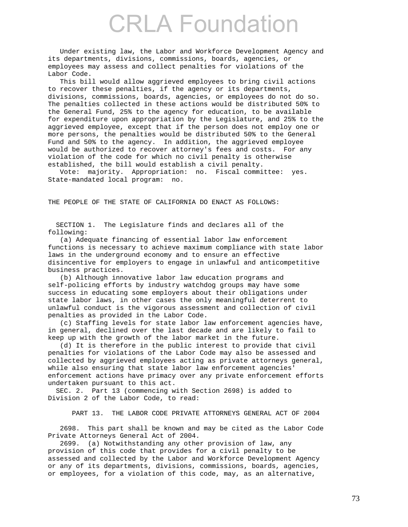Under existing law, the Labor and Workforce Development Agency and its departments, divisions, commissions, boards, agencies, or employees may assess and collect penalties for violations of the Labor Code.

 This bill would allow aggrieved employees to bring civil actions to recover these penalties, if the agency or its departments, divisions, commissions, boards, agencies, or employees do not do so. The penalties collected in these actions would be distributed 50% to the General Fund, 25% to the agency for education, to be available for expenditure upon appropriation by the Legislature, and 25% to the aggrieved employee, except that if the person does not employ one or more persons, the penalties would be distributed 50% to the General Fund and 50% to the agency. In addition, the aggrieved employee would be authorized to recover attorney's fees and costs. For any violation of the code for which no civil penalty is otherwise established, the bill would establish a civil penalty.

 Vote: majority. Appropriation: no. Fiscal committee: yes. State-mandated local program: no.

THE PEOPLE OF THE STATE OF CALIFORNIA DO ENACT AS FOLLOWS:

 SECTION 1. The Legislature finds and declares all of the following:

 (a) Adequate financing of essential labor law enforcement functions is necessary to achieve maximum compliance with state labor laws in the underground economy and to ensure an effective disincentive for employers to engage in unlawful and anticompetitive business practices.

 (b) Although innovative labor law education programs and self-policing efforts by industry watchdog groups may have some success in educating some employers about their obligations under state labor laws, in other cases the only meaningful deterrent to unlawful conduct is the vigorous assessment and collection of civil penalties as provided in the Labor Code.

 (c) Staffing levels for state labor law enforcement agencies have, in general, declined over the last decade and are likely to fail to keep up with the growth of the labor market in the future.

 (d) It is therefore in the public interest to provide that civil penalties for violations of the Labor Code may also be assessed and collected by aggrieved employees acting as private attorneys general, while also ensuring that state labor law enforcement agencies' enforcement actions have primacy over any private enforcement efforts undertaken pursuant to this act.

 SEC. 2. Part 13 (commencing with Section 2698) is added to Division 2 of the Labor Code, to read:

PART 13. THE LABOR CODE PRIVATE ATTORNEYS GENERAL ACT OF 2004

 2698. This part shall be known and may be cited as the Labor Code Private Attorneys General Act of 2004.

 2699. (a) Notwithstanding any other provision of law, any provision of this code that provides for a civil penalty to be assessed and collected by the Labor and Workforce Development Agency or any of its departments, divisions, commissions, boards, agencies, or employees, for a violation of this code, may, as an alternative,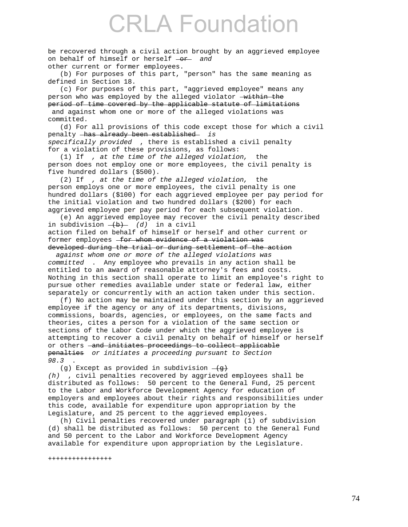be recovered through a civil action brought by an aggrieved employee on behalf of himself or herself  $-$ or *and* other current or former employees.

 (b) For purposes of this part, "person" has the same meaning as defined in Section 18.

 (c) For purposes of this part, "aggrieved employee" means any person who was employed by the alleged violator  $-\text{within the}$ period of time covered by the applicable statute of limitations and against whom one or more of the alleged violations was committed.

 (d) For all provisions of this code except those for which a civil penalty has already been established *is specifically provided* , there is established a civil penalty for a violation of these provisions, as follows:

 (1) If *, at the time of the alleged violation,* the person does not employ one or more employees, the civil penalty is five hundred dollars (\$500).

 (2) If *, at the time of the alleged violation,* the person employs one or more employees, the civil penalty is one hundred dollars (\$100) for each aggrieved employee per pay period for the initial violation and two hundred dollars (\$200) for each aggrieved employee per pay period for each subsequent violation.

 (e) An aggrieved employee may recover the civil penalty described in subdivision  $\frac{1}{b}$  *(d)* in a civil action filed on behalf of himself or herself and other current or former employees  $-$  for whom evidence of a violation was

#### developed during the trial or during settlement of the action  *against whom one or more of the alleged violations was*

*committed* . Any employee who prevails in any action shall be entitled to an award of reasonable attorney's fees and costs. Nothing in this section shall operate to limit an employee's right to pursue other remedies available under state or federal law, either separately or concurrently with an action taken under this section.

 (f) No action may be maintained under this section by an aggrieved employee if the agency or any of its departments, divisions, commissions, boards, agencies, or employees, on the same facts and theories, cites a person for a violation of the same section or sections of the Labor Code under which the aggrieved employee is attempting to recover a civil penalty on behalf of himself or herself or others - and initiates proceedings to collect applicable penalties *or initiates a proceeding pursuant to Section 98.3* .

(g) Except as provided in subdivision  $\overline{g}$ *(h)* , civil penalties recovered by aggrieved employees shall be distributed as follows: 50 percent to the General Fund, 25 percent to the Labor and Workforce Development Agency for education of employers and employees about their rights and responsibilities under this code, available for expenditure upon appropriation by the Legislature, and 25 percent to the aggrieved employees.

 (h) Civil penalties recovered under paragraph (1) of subdivision (d) shall be distributed as follows: 50 percent to the General Fund and 50 percent to the Labor and Workforce Development Agency available for expenditure upon appropriation by the Legislature.

++++++++++++++++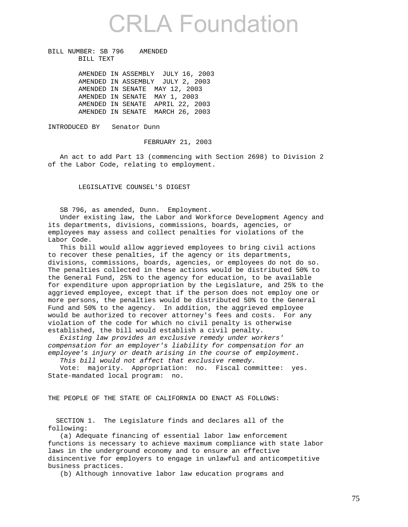BILL NUMBER: SB 796 AMENDED BILL TEXT

> AMENDED IN ASSEMBLY JULY 16, 2003 AMENDED IN ASSEMBLY JULY 2, 2003 AMENDED IN SENATE MAY 12, 2003 AMENDED IN SENATE MAY 1, 2003 AMENDED IN SENATE APRIL 22, 2003 AMENDED IN SENATE MARCH 26, 2003

INTRODUCED BY Senator Dunn

FEBRUARY 21, 2003

 An act to add Part 13 (commencing with Section 2698) to Division 2 of the Labor Code, relating to employment.

LEGISLATIVE COUNSEL'S DIGEST

SB 796, as amended, Dunn. Employment.

 Under existing law, the Labor and Workforce Development Agency and its departments, divisions, commissions, boards, agencies, or employees may assess and collect penalties for violations of the Labor Code.

 This bill would allow aggrieved employees to bring civil actions to recover these penalties, if the agency or its departments, divisions, commissions, boards, agencies, or employees do not do so. The penalties collected in these actions would be distributed 50% to the General Fund, 25% to the agency for education, to be available for expenditure upon appropriation by the Legislature, and 25% to the aggrieved employee, except that if the person does not employ one or more persons, the penalties would be distributed 50% to the General Fund and 50% to the agency. In addition, the aggrieved employee would be authorized to recover attorney's fees and costs. For any violation of the code for which no civil penalty is otherwise established, the bill would establish a civil penalty.

 *Existing law provides an exclusive remedy under workers' compensation for an employer's liability for compensation for an employee's injury or death arising in the course of employment.* 

 *This bill would not affect that exclusive remedy.* 

 Vote: majority. Appropriation: no. Fiscal committee: yes. State-mandated local program: no.

THE PEOPLE OF THE STATE OF CALIFORNIA DO ENACT AS FOLLOWS:

 SECTION 1. The Legislature finds and declares all of the following:

 (a) Adequate financing of essential labor law enforcement functions is necessary to achieve maximum compliance with state labor laws in the underground economy and to ensure an effective disincentive for employers to engage in unlawful and anticompetitive business practices.

(b) Although innovative labor law education programs and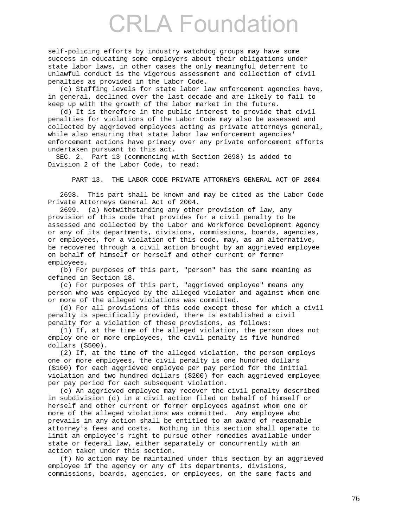self-policing efforts by industry watchdog groups may have some success in educating some employers about their obligations under state labor laws, in other cases the only meaningful deterrent to unlawful conduct is the vigorous assessment and collection of civil penalties as provided in the Labor Code.

 (c) Staffing levels for state labor law enforcement agencies have, in general, declined over the last decade and are likely to fail to keep up with the growth of the labor market in the future.

 (d) It is therefore in the public interest to provide that civil penalties for violations of the Labor Code may also be assessed and collected by aggrieved employees acting as private attorneys general, while also ensuring that state labor law enforcement agencies' enforcement actions have primacy over any private enforcement efforts undertaken pursuant to this act.

 SEC. 2. Part 13 (commencing with Section 2698) is added to Division 2 of the Labor Code, to read:

PART 13. THE LABOR CODE PRIVATE ATTORNEYS GENERAL ACT OF 2004

 2698. This part shall be known and may be cited as the Labor Code Private Attorneys General Act of 2004.

 2699. (a) Notwithstanding any other provision of law, any provision of this code that provides for a civil penalty to be assessed and collected by the Labor and Workforce Development Agency or any of its departments, divisions, commissions, boards, agencies, or employees, for a violation of this code, may, as an alternative, be recovered through a civil action brought by an aggrieved employee on behalf of himself or herself and other current or former employees.

 (b) For purposes of this part, "person" has the same meaning as defined in Section 18.

 (c) For purposes of this part, "aggrieved employee" means any person who was employed by the alleged violator and against whom one or more of the alleged violations was committed.

 (d) For all provisions of this code except those for which a civil penalty is specifically provided, there is established a civil penalty for a violation of these provisions, as follows:

 (1) If, at the time of the alleged violation, the person does not employ one or more employees, the civil penalty is five hundred dollars (\$500).

 (2) If, at the time of the alleged violation, the person employs one or more employees, the civil penalty is one hundred dollars (\$100) for each aggrieved employee per pay period for the initial violation and two hundred dollars (\$200) for each aggrieved employee per pay period for each subsequent violation.

 (e) An aggrieved employee may recover the civil penalty described in subdivision (d) in a civil action filed on behalf of himself or herself and other current or former employees against whom one or more of the alleged violations was committed. Any employee who prevails in any action shall be entitled to an award of reasonable attorney's fees and costs. Nothing in this section shall operate to limit an employee's right to pursue other remedies available under state or federal law, either separately or concurrently with an action taken under this section.

 (f) No action may be maintained under this section by an aggrieved employee if the agency or any of its departments, divisions, commissions, boards, agencies, or employees, on the same facts and

76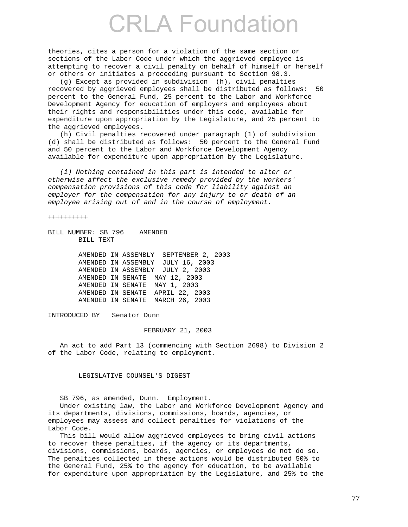theories, cites a person for a violation of the same section or sections of the Labor Code under which the aggrieved employee is attempting to recover a civil penalty on behalf of himself or herself or others or initiates a proceeding pursuant to Section 98.3.

 (g) Except as provided in subdivision (h), civil penalties recovered by aggrieved employees shall be distributed as follows: 50 percent to the General Fund, 25 percent to the Labor and Workforce Development Agency for education of employers and employees about their rights and responsibilities under this code, available for expenditure upon appropriation by the Legislature, and 25 percent to the aggrieved employees.

 (h) Civil penalties recovered under paragraph (1) of subdivision (d) shall be distributed as follows: 50 percent to the General Fund and 50 percent to the Labor and Workforce Development Agency available for expenditure upon appropriation by the Legislature.

 *(i) Nothing contained in this part is intended to alter or otherwise affect the exclusive remedy provided by the workers' compensation provisions of this code for liability against an employer for the compensation for any injury to or death of an employee arising out of and in the course of employment.* 

++++++++++

BILL NUMBER: SB 796 AMENDED BILL TEXT

> AMENDED IN ASSEMBLY SEPTEMBER 2, 2003 AMENDED IN ASSEMBLY JULY 16, 2003 AMENDED IN ASSEMBLY JULY 2, 2003 AMENDED IN SENATE MAY 12, 2003 AMENDED IN SENATE MAY 1, 2003 AMENDED IN SENATE APRIL 22, 2003 AMENDED IN SENATE MARCH 26, 2003

INTRODUCED BY Senator Dunn

FEBRUARY 21, 2003

 An act to add Part 13 (commencing with Section 2698) to Division 2 of the Labor Code, relating to employment.

LEGISLATIVE COUNSEL'S DIGEST

SB 796, as amended, Dunn. Employment.

 Under existing law, the Labor and Workforce Development Agency and its departments, divisions, commissions, boards, agencies, or employees may assess and collect penalties for violations of the Labor Code.

 This bill would allow aggrieved employees to bring civil actions to recover these penalties, if the agency or its departments, divisions, commissions, boards, agencies, or employees do not do so. The penalties collected in these actions would be distributed 50% to the General Fund, 25% to the agency for education, to be available for expenditure upon appropriation by the Legislature, and 25% to the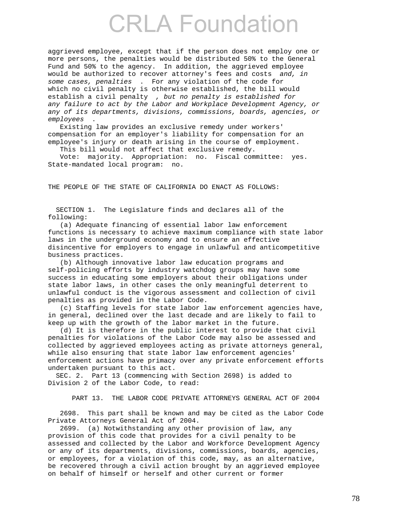aggrieved employee, except that if the person does not employ one or more persons, the penalties would be distributed 50% to the General Fund and 50% to the agency. In addition, the aggrieved employee would be authorized to recover attorney's fees and costs *and, in some cases, penalties* . For any violation of the code for which no civil penalty is otherwise established, the bill would establish a civil penalty *, but no penalty is established for any failure to act by the Labor and Workplace Development Agency, or any of its departments, divisions, commissions, boards, agencies, or employees* .

 Existing law provides an exclusive remedy under workers' compensation for an employer's liability for compensation for an employee's injury or death arising in the course of employment.

This bill would not affect that exclusive remedy.

 Vote: majority. Appropriation: no. Fiscal committee: yes. State-mandated local program: no.

THE PEOPLE OF THE STATE OF CALIFORNIA DO ENACT AS FOLLOWS:

 SECTION 1. The Legislature finds and declares all of the following:

 (a) Adequate financing of essential labor law enforcement functions is necessary to achieve maximum compliance with state labor laws in the underground economy and to ensure an effective disincentive for employers to engage in unlawful and anticompetitive business practices.

 (b) Although innovative labor law education programs and self-policing efforts by industry watchdog groups may have some success in educating some employers about their obligations under state labor laws, in other cases the only meaningful deterrent to unlawful conduct is the vigorous assessment and collection of civil penalties as provided in the Labor Code.

 (c) Staffing levels for state labor law enforcement agencies have, in general, declined over the last decade and are likely to fail to keep up with the growth of the labor market in the future.

 (d) It is therefore in the public interest to provide that civil penalties for violations of the Labor Code may also be assessed and collected by aggrieved employees acting as private attorneys general, while also ensuring that state labor law enforcement agencies' enforcement actions have primacy over any private enforcement efforts undertaken pursuant to this act.

 SEC. 2. Part 13 (commencing with Section 2698) is added to Division 2 of the Labor Code, to read:

PART 13. THE LABOR CODE PRIVATE ATTORNEYS GENERAL ACT OF 2004

 2698. This part shall be known and may be cited as the Labor Code Private Attorneys General Act of 2004.

 2699. (a) Notwithstanding any other provision of law, any provision of this code that provides for a civil penalty to be assessed and collected by the Labor and Workforce Development Agency or any of its departments, divisions, commissions, boards, agencies, or employees, for a violation of this code, may, as an alternative, be recovered through a civil action brought by an aggrieved employee on behalf of himself or herself and other current or former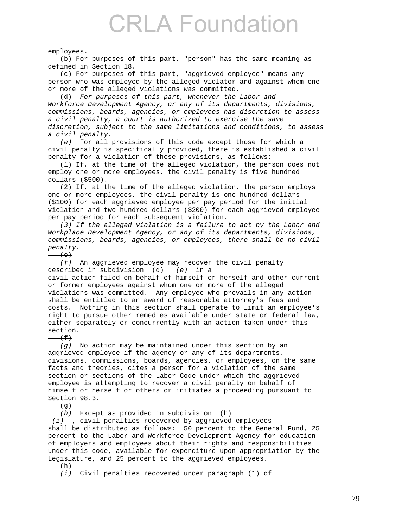employees.

 (b) For purposes of this part, "person" has the same meaning as defined in Section 18.

 (c) For purposes of this part, "aggrieved employee" means any person who was employed by the alleged violator and against whom one or more of the alleged violations was committed.

 (d) *For purposes of this part, whenever the Labor and Workforce Development Agency, or any of its departments, divisions, commissions, boards, agencies, or employees has discretion to assess a civil penalty, a court is authorized to exercise the same discretion, subject to the same limitations and conditions, to assess a civil penalty.* 

 *(e)* For all provisions of this code except those for which a civil penalty is specifically provided, there is established a civil penalty for a violation of these provisions, as follows:

 (1) If, at the time of the alleged violation, the person does not employ one or more employees, the civil penalty is five hundred dollars (\$500).

 (2) If, at the time of the alleged violation, the person employs one or more employees, the civil penalty is one hundred dollars (\$100) for each aggrieved employee per pay period for the initial violation and two hundred dollars (\$200) for each aggrieved employee per pay period for each subsequent violation.

 *(3) If the alleged violation is a failure to act by the Labor and Workplace Development Agency, or any of its departments, divisions, commissions, boards, agencies, or employees, there shall be no civil penalty.* 

 $(e)$ 

 *(f)* An aggrieved employee may recover the civil penalty described in subdivision  $\frac{d}{dx}$  (e) in a

civil action filed on behalf of himself or herself and other current or former employees against whom one or more of the alleged violations was committed. Any employee who prevails in any action shall be entitled to an award of reasonable attorney's fees and costs. Nothing in this section shall operate to limit an employee's right to pursue other remedies available under state or federal law, either separately or concurrently with an action taken under this section.

 $(f)$ 

 *(g)* No action may be maintained under this section by an aggrieved employee if the agency or any of its departments, divisions, commissions, boards, agencies, or employees, on the same facts and theories, cites a person for a violation of the same section or sections of the Labor Code under which the aggrieved employee is attempting to recover a civil penalty on behalf of himself or herself or others or initiates a proceeding pursuant to Section 98.3.

 $\left( q\right)$ 

 $(h)$  Except as provided in subdivision  $-\frac{h}{h}$ 

 *(i)* , civil penalties recovered by aggrieved employees shall be distributed as follows: 50 percent to the General Fund, 25 percent to the Labor and Workforce Development Agency for education of employers and employees about their rights and responsibilities under this code, available for expenditure upon appropriation by the Legislature, and 25 percent to the aggrieved employees.

 $(h)$ 

 *(i)* Civil penalties recovered under paragraph (1) of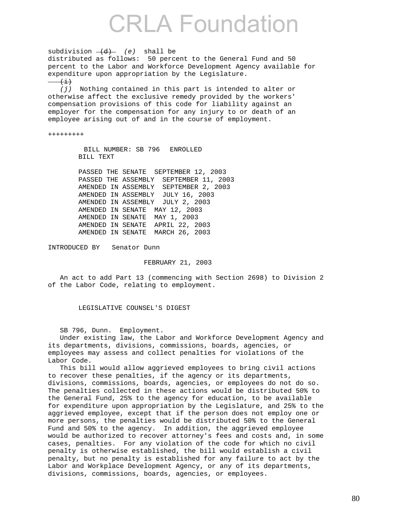subdivision  $\frac{d}{d}$  (e) shall be distributed as follows: 50 percent to the General Fund and 50 percent to the Labor and Workforce Development Agency available for expenditure upon appropriation by the Legislature.  $\left(\frac{1}{1}\right)$  *(j)* Nothing contained in this part is intended to alter or otherwise affect the exclusive remedy provided by the workers' compensation provisions of this code for liability against an employer for the compensation for any injury to or death of an employee arising out of and in the course of employment. +++++++++ BILL NUMBER: SB 796 ENROLLED BILL TEXT PASSED THE SENATE SEPTEMBER 12, 2003 PASSED THE ASSEMBLY SEPTEMBER 11, 2003 AMENDED IN ASSEMBLY SEPTEMBER 2, 2003

 AMENDED IN ASSEMBLY JULY 16, 2003 AMENDED IN ASSEMBLY JULY 2, 2003 AMENDED IN SENATE MAY 12, 2003 AMENDED IN SENATE MAY 1, 2003 AMENDED IN SENATE APRIL 22, 2003 AMENDED IN SENATE MARCH 26, 2003

INTRODUCED BY Senator Dunn

FEBRUARY 21, 2003

 An act to add Part 13 (commencing with Section 2698) to Division 2 of the Labor Code, relating to employment.

LEGISLATIVE COUNSEL'S DIGEST

SB 796, Dunn. Employment.

 Under existing law, the Labor and Workforce Development Agency and its departments, divisions, commissions, boards, agencies, or employees may assess and collect penalties for violations of the Labor Code.

 This bill would allow aggrieved employees to bring civil actions to recover these penalties, if the agency or its departments, divisions, commissions, boards, agencies, or employees do not do so. The penalties collected in these actions would be distributed 50% to the General Fund, 25% to the agency for education, to be available for expenditure upon appropriation by the Legislature, and 25% to the aggrieved employee, except that if the person does not employ one or more persons, the penalties would be distributed 50% to the General Fund and 50% to the agency. In addition, the aggrieved employee would be authorized to recover attorney's fees and costs and, in some cases, penalties. For any violation of the code for which no civil penalty is otherwise established, the bill would establish a civil penalty, but no penalty is established for any failure to act by the Labor and Workplace Development Agency, or any of its departments, divisions, commissions, boards, agencies, or employees.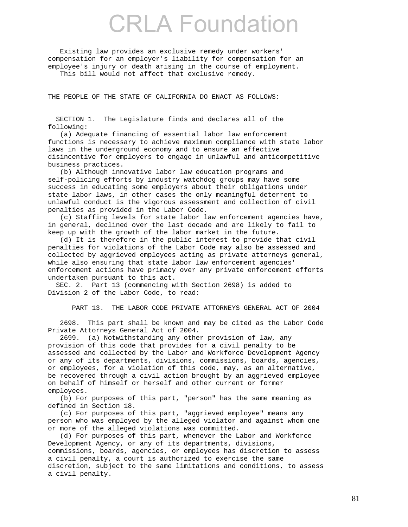Existing law provides an exclusive remedy under workers' compensation for an employer's liability for compensation for an employee's injury or death arising in the course of employment. This bill would not affect that exclusive remedy.

THE PEOPLE OF THE STATE OF CALIFORNIA DO ENACT AS FOLLOWS:

 SECTION 1. The Legislature finds and declares all of the following:

 (a) Adequate financing of essential labor law enforcement functions is necessary to achieve maximum compliance with state labor laws in the underground economy and to ensure an effective disincentive for employers to engage in unlawful and anticompetitive business practices.

 (b) Although innovative labor law education programs and self-policing efforts by industry watchdog groups may have some success in educating some employers about their obligations under state labor laws, in other cases the only meaningful deterrent to unlawful conduct is the vigorous assessment and collection of civil penalties as provided in the Labor Code.

 (c) Staffing levels for state labor law enforcement agencies have, in general, declined over the last decade and are likely to fail to keep up with the growth of the labor market in the future.

 (d) It is therefore in the public interest to provide that civil penalties for violations of the Labor Code may also be assessed and collected by aggrieved employees acting as private attorneys general, while also ensuring that state labor law enforcement agencies' enforcement actions have primacy over any private enforcement efforts undertaken pursuant to this act.

 SEC. 2. Part 13 (commencing with Section 2698) is added to Division 2 of the Labor Code, to read:

PART 13. THE LABOR CODE PRIVATE ATTORNEYS GENERAL ACT OF 2004

 2698. This part shall be known and may be cited as the Labor Code Private Attorneys General Act of 2004.

 2699. (a) Notwithstanding any other provision of law, any provision of this code that provides for a civil penalty to be assessed and collected by the Labor and Workforce Development Agency or any of its departments, divisions, commissions, boards, agencies, or employees, for a violation of this code, may, as an alternative, be recovered through a civil action brought by an aggrieved employee on behalf of himself or herself and other current or former employees.

 (b) For purposes of this part, "person" has the same meaning as defined in Section 18.

 (c) For purposes of this part, "aggrieved employee" means any person who was employed by the alleged violator and against whom one or more of the alleged violations was committed.

 (d) For purposes of this part, whenever the Labor and Workforce Development Agency, or any of its departments, divisions, commissions, boards, agencies, or employees has discretion to assess a civil penalty, a court is authorized to exercise the same discretion, subject to the same limitations and conditions, to assess a civil penalty.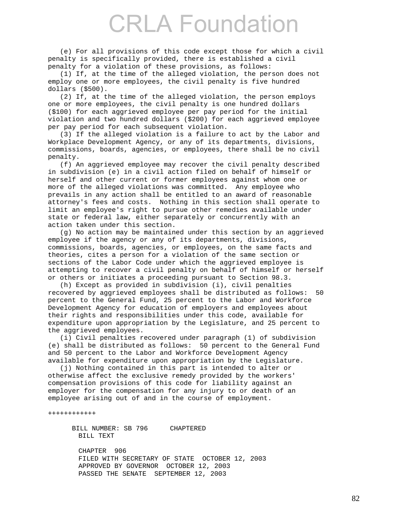(e) For all provisions of this code except those for which a civil penalty is specifically provided, there is established a civil penalty for a violation of these provisions, as follows:

 (1) If, at the time of the alleged violation, the person does not employ one or more employees, the civil penalty is five hundred dollars (\$500).

 (2) If, at the time of the alleged violation, the person employs one or more employees, the civil penalty is one hundred dollars (\$100) for each aggrieved employee per pay period for the initial violation and two hundred dollars (\$200) for each aggrieved employee per pay period for each subsequent violation.

 (3) If the alleged violation is a failure to act by the Labor and Workplace Development Agency, or any of its departments, divisions, commissions, boards, agencies, or employees, there shall be no civil penalty.

 (f) An aggrieved employee may recover the civil penalty described in subdivision (e) in a civil action filed on behalf of himself or herself and other current or former employees against whom one or more of the alleged violations was committed. Any employee who prevails in any action shall be entitled to an award of reasonable attorney's fees and costs. Nothing in this section shall operate to limit an employee's right to pursue other remedies available under state or federal law, either separately or concurrently with an action taken under this section.

 (g) No action may be maintained under this section by an aggrieved employee if the agency or any of its departments, divisions, commissions, boards, agencies, or employees, on the same facts and theories, cites a person for a violation of the same section or sections of the Labor Code under which the aggrieved employee is attempting to recover a civil penalty on behalf of himself or herself or others or initiates a proceeding pursuant to Section 98.3.

 (h) Except as provided in subdivision (i), civil penalties recovered by aggrieved employees shall be distributed as follows: 50 percent to the General Fund, 25 percent to the Labor and Workforce Development Agency for education of employers and employees about their rights and responsibilities under this code, available for expenditure upon appropriation by the Legislature, and 25 percent to the aggrieved employees.

 (i) Civil penalties recovered under paragraph (1) of subdivision (e) shall be distributed as follows: 50 percent to the General Fund and 50 percent to the Labor and Workforce Development Agency available for expenditure upon appropriation by the Legislature.

 (j) Nothing contained in this part is intended to alter or otherwise affect the exclusive remedy provided by the workers' compensation provisions of this code for liability against an employer for the compensation for any injury to or death of an employee arising out of and in the course of employment.

++++++++++++

 BILL NUMBER: SB 796 CHAPTERED BILL TEXT

 CHAPTER 906 FILED WITH SECRETARY OF STATE OCTOBER 12, 2003 APPROVED BY GOVERNOR OCTOBER 12, 2003 PASSED THE SENATE SEPTEMBER 12, 2003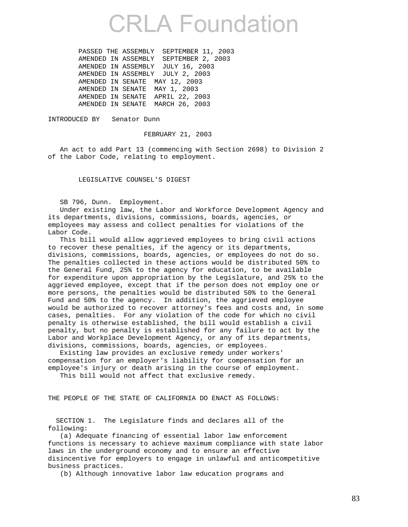PASSED THE ASSEMBLY SEPTEMBER 11, 2003 AMENDED IN ASSEMBLY SEPTEMBER 2, 2003 AMENDED IN ASSEMBLY JULY 16, 2003 AMENDED IN ASSEMBLY JULY 2, 2003 AMENDED IN SENATE MAY 12, 2003 AMENDED IN SENATE MAY 1, 2003 AMENDED IN SENATE APRIL 22, 2003 AMENDED IN SENATE MARCH 26, 2003

INTRODUCED BY Senator Dunn

FEBRUARY 21, 2003

 An act to add Part 13 (commencing with Section 2698) to Division 2 of the Labor Code, relating to employment.

LEGISLATIVE COUNSEL'S DIGEST

SB 796, Dunn. Employment.

 Under existing law, the Labor and Workforce Development Agency and its departments, divisions, commissions, boards, agencies, or employees may assess and collect penalties for violations of the Labor Code.

 This bill would allow aggrieved employees to bring civil actions to recover these penalties, if the agency or its departments, divisions, commissions, boards, agencies, or employees do not do so. The penalties collected in these actions would be distributed 50% to the General Fund, 25% to the agency for education, to be available for expenditure upon appropriation by the Legislature, and 25% to the aggrieved employee, except that if the person does not employ one or more persons, the penalties would be distributed 50% to the General Fund and 50% to the agency. In addition, the aggrieved employee would be authorized to recover attorney's fees and costs and, in some cases, penalties. For any violation of the code for which no civil penalty is otherwise established, the bill would establish a civil penalty, but no penalty is established for any failure to act by the Labor and Workplace Development Agency, or any of its departments, divisions, commissions, boards, agencies, or employees.

 Existing law provides an exclusive remedy under workers' compensation for an employer's liability for compensation for an employee's injury or death arising in the course of employment.

This bill would not affect that exclusive remedy.

THE PEOPLE OF THE STATE OF CALIFORNIA DO ENACT AS FOLLOWS:

 SECTION 1. The Legislature finds and declares all of the following:

 (a) Adequate financing of essential labor law enforcement functions is necessary to achieve maximum compliance with state labor laws in the underground economy and to ensure an effective disincentive for employers to engage in unlawful and anticompetitive business practices.

(b) Although innovative labor law education programs and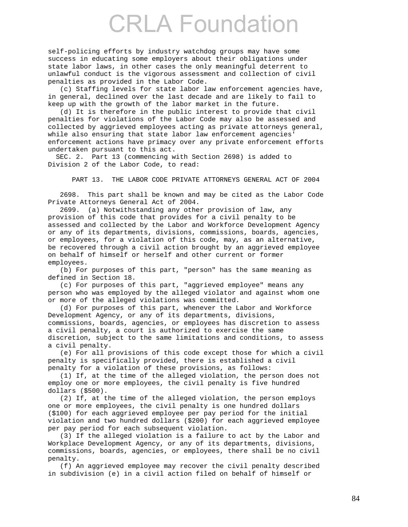self-policing efforts by industry watchdog groups may have some success in educating some employers about their obligations under state labor laws, in other cases the only meaningful deterrent to unlawful conduct is the vigorous assessment and collection of civil penalties as provided in the Labor Code.

 (c) Staffing levels for state labor law enforcement agencies have, in general, declined over the last decade and are likely to fail to keep up with the growth of the labor market in the future.

 (d) It is therefore in the public interest to provide that civil penalties for violations of the Labor Code may also be assessed and collected by aggrieved employees acting as private attorneys general, while also ensuring that state labor law enforcement agencies' enforcement actions have primacy over any private enforcement efforts undertaken pursuant to this act.

 SEC. 2. Part 13 (commencing with Section 2698) is added to Division 2 of the Labor Code, to read:

PART 13. THE LABOR CODE PRIVATE ATTORNEYS GENERAL ACT OF 2004

 2698. This part shall be known and may be cited as the Labor Code Private Attorneys General Act of 2004.

 2699. (a) Notwithstanding any other provision of law, any provision of this code that provides for a civil penalty to be assessed and collected by the Labor and Workforce Development Agency or any of its departments, divisions, commissions, boards, agencies, or employees, for a violation of this code, may, as an alternative, be recovered through a civil action brought by an aggrieved employee on behalf of himself or herself and other current or former employees.

 (b) For purposes of this part, "person" has the same meaning as defined in Section 18.

 (c) For purposes of this part, "aggrieved employee" means any person who was employed by the alleged violator and against whom one or more of the alleged violations was committed.

 (d) For purposes of this part, whenever the Labor and Workforce Development Agency, or any of its departments, divisions, commissions, boards, agencies, or employees has discretion to assess a civil penalty, a court is authorized to exercise the same discretion, subject to the same limitations and conditions, to assess a civil penalty.

 (e) For all provisions of this code except those for which a civil penalty is specifically provided, there is established a civil penalty for a violation of these provisions, as follows:

 (1) If, at the time of the alleged violation, the person does not employ one or more employees, the civil penalty is five hundred dollars (\$500).

 (2) If, at the time of the alleged violation, the person employs one or more employees, the civil penalty is one hundred dollars (\$100) for each aggrieved employee per pay period for the initial violation and two hundred dollars (\$200) for each aggrieved employee per pay period for each subsequent violation.

 (3) If the alleged violation is a failure to act by the Labor and Workplace Development Agency, or any of its departments, divisions, commissions, boards, agencies, or employees, there shall be no civil penalty.

 (f) An aggrieved employee may recover the civil penalty described in subdivision (e) in a civil action filed on behalf of himself or